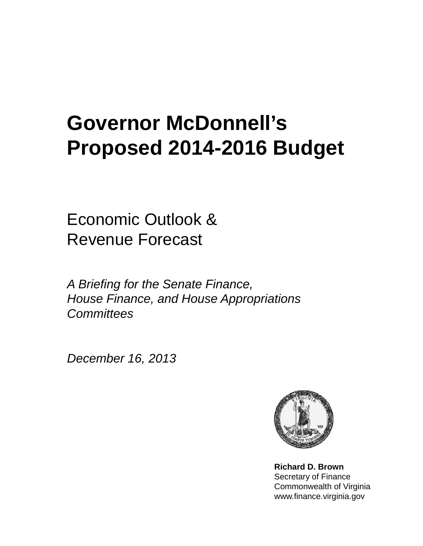## **Governor McDonnell's Proposed 2014 Proposed 2014-2016 Budget**

Economic Outlook & Revenue Forecast

*A Briefing for the Senate Finance, House Finance, and House Appropriations Committees*

*December 16, 2013*



**Richard D. Brown** Secretary of Finance Commonwealth of Virginia www.finance.virginia.gov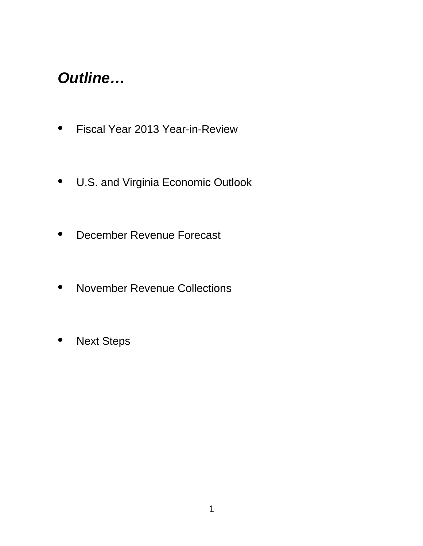## *Outline…*

- Fiscal Year 2013 Year-in-Review
- U.S. and Virginia Economic Outlook
- December Revenue Forecast
- November Revenue Collections
- Next Steps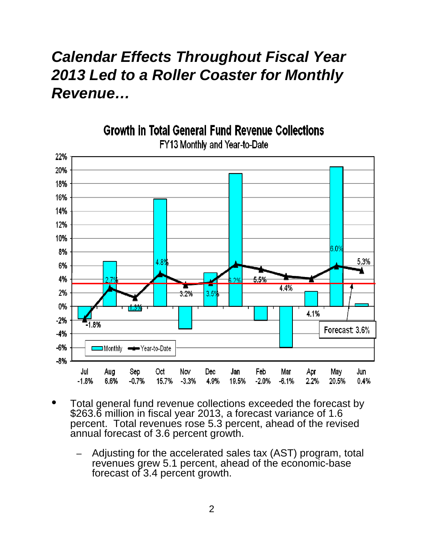## *Calendar Effects Throughout Fiscal Year 2013 Led to a Roller Coaster for Monthly Revenue…*



FY13 Monthly and Year-to-Date

**Growth in Total General Fund Revenue Collections** 

- Total general fund revenue collections exceeded the forecast by \$263.6 million in fiscal year 2013, a forecast variance of 1.6 percent. Total revenues rose 5.3 percent, ahead of the revised annual forecast of 3.6 percent growth.
	- Adjusting for the accelerated sales tax (AST) program, total revenues grew 5.1 percent, ahead of the economic-base forecast of 3.4 percent growth.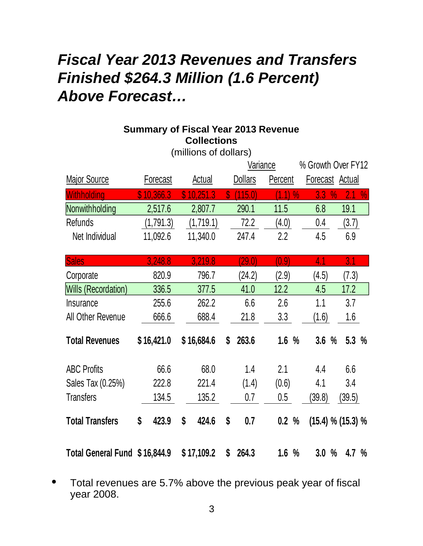## *Fiscal Year 2013 Revenues and Transfers Finished \$264.3 Million (1.6 Percent) Above Forecast…*

### **Summary of Fiscal Year 2013 Revenue Collections**

|                               |             |             | Variance                             |                        | % Growth Over FY12                           |
|-------------------------------|-------------|-------------|--------------------------------------|------------------------|----------------------------------------------|
| <b>Major Source</b>           | Forecast    | Actual      | <b>Dollars</b>                       | <b>Percent</b>         | <b>Actual</b><br><b>Forecast</b>             |
| Withholding                   | \$10,366.3  | \$10,251.3  | (115.0)<br>$\boldsymbol{\mathsf{S}}$ | (1.1)<br>$\frac{0}{0}$ | 2.1<br>$\frac{0}{0}$<br>3.3<br>$\frac{0}{0}$ |
| Nonwithholding                | 2,517.6     | 2,807.7     | 290.1                                | 11.5                   | 6.8<br>19.1                                  |
| Refunds                       | (1,791.3)   | (1,719.1)   | 72.2                                 | (4.0)                  | (3.7)<br>0.4                                 |
| Net Individual                | 11,092.6    | 11,340.0    | 247.4                                | 2.2                    | 6.9<br>4.5                                   |
| <b>Sales</b>                  | 3,248.8     | 3,219.8     | (29.0)                               | (0.9)                  | 3.1<br>4.1                                   |
| Corporate                     | 820.9       | 796.7       | (24.2)                               | (2.9)                  | (4.5)<br>(7.3)                               |
| <b>Wills (Recordation)</b>    | 336.5       | 377.5       | 41.0                                 | 12.2                   | 4.5<br>17.2                                  |
| <b>Insurance</b>              | 255.6       | 262.2       | 6.6                                  | 2.6                    | 3.7<br>1.1                                   |
| All Other Revenue             | 666.6       | 688.4       | 21.8                                 | 3.3                    | 1.6<br>(1.6)                                 |
| <b>Total Revenues</b>         | \$16,421.0  | \$16,684.6  | \$<br>263.6                          | 1.6%                   | 5.3%<br>3.6<br>$\frac{0}{0}$                 |
| <b>ABC Profits</b>            | 66.6        | 68.0        | 1.4                                  | 2.1                    | 6.6<br>4.4                                   |
| Sales Tax (0.25%)             | 222.8       | 221.4       | (1.4)                                | (0.6)                  | 3.4<br>4.1                                   |
| <b>Transfers</b>              | 134.5       | 135.2       | 0.7                                  | $0.5\,$                | (39.5)<br>(39.8)                             |
| <b>Total Transfers</b>        | \$<br>423.9 | \$<br>424.6 | \$<br>0.7                            | 0.2%                   | $(15.4)$ % $(15.3)$ %                        |
| Total General Fund \$16,844.9 |             | \$17,109.2  | 264.3<br>\$                          | 1.6%                   | 3.0%<br>4.7 $%$                              |

(millions of dollars)

• Total revenues are 5.7% above the previous peak year of fiscal year 2008.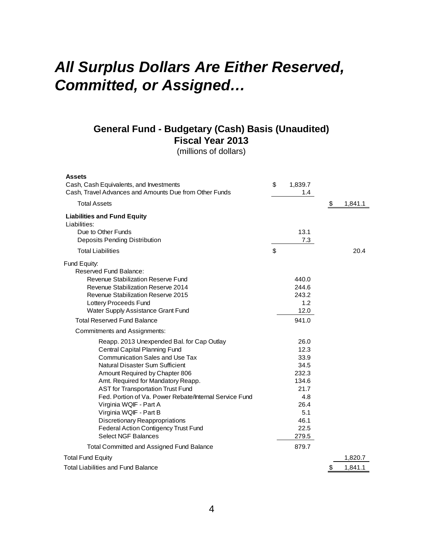## *All Surplus Dollars Are Either Reserved, Committed or Assigned Committed, or Assigned…*

#### **General Fund - Budgetary (Cash) Basis (Unaudited) Fiscal Year 2013**

(millions of dollars)

| <b>Assets</b><br>Cash, Cash Equivalents, and Investments<br>Cash, Travel Advances and Amounts Due from Other Funds | \$<br>1,839.7<br>1.4 |               |
|--------------------------------------------------------------------------------------------------------------------|----------------------|---------------|
| <b>Total Assets</b>                                                                                                |                      | \$<br>1,841.1 |
| <b>Liabilities and Fund Equity</b>                                                                                 |                      |               |
| Liabilities:                                                                                                       |                      |               |
| Due to Other Funds                                                                                                 | 13.1                 |               |
| Deposits Pending Distribution                                                                                      | 7.3                  |               |
| <b>Total Liabilities</b>                                                                                           | \$                   | 20.4          |
| Fund Equity:<br>Reserved Fund Balance:                                                                             |                      |               |
| Revenue Stabilization Reserve Fund                                                                                 | 440.0                |               |
| Revenue Stabilization Reserve 2014                                                                                 | 244.6                |               |
| Revenue Stabilization Reserve 2015                                                                                 | 243.2                |               |
| Lottery Proceeds Fund                                                                                              | 1.2                  |               |
| Water Supply Assistance Grant Fund                                                                                 | 12.0                 |               |
| <b>Total Reserved Fund Balance</b>                                                                                 | 941.0                |               |
| Commitments and Assignments:                                                                                       |                      |               |
| Reapp. 2013 Unexpended Bal. for Cap Outlay                                                                         | 26.0                 |               |
| Central Capital Planning Fund                                                                                      | 12.3                 |               |
| <b>Communication Sales and Use Tax</b>                                                                             | 33.9                 |               |
| Natural Disaster Sum Sufficient                                                                                    | 34.5                 |               |
| Amount Required by Chapter 806                                                                                     | 232.3                |               |
| Amt. Required for Mandatory Reapp.                                                                                 | 134.6                |               |
| <b>AST for Transportation Trust Fund</b>                                                                           | 21.7                 |               |
| Fed. Portion of Va. Power Rebate/Internal Service Fund                                                             | 4.8                  |               |
| Virginia WQIF - Part A                                                                                             | 26.4                 |               |
| Virginia WQIF - Part B                                                                                             | 5.1                  |               |
| <b>Discretionary Reappropriations</b><br>Federal Action Contigency Trust Fund                                      | 46.1<br>22.5         |               |
| <b>Select NGF Balances</b>                                                                                         | 279.5                |               |
| Total Committed and Assigned Fund Balance                                                                          | 879.7                |               |
| <b>Total Fund Equity</b>                                                                                           |                      | 1,820.7       |
| <b>Total Liabilities and Fund Balance</b>                                                                          |                      | 1,841.1<br>\$ |
|                                                                                                                    |                      |               |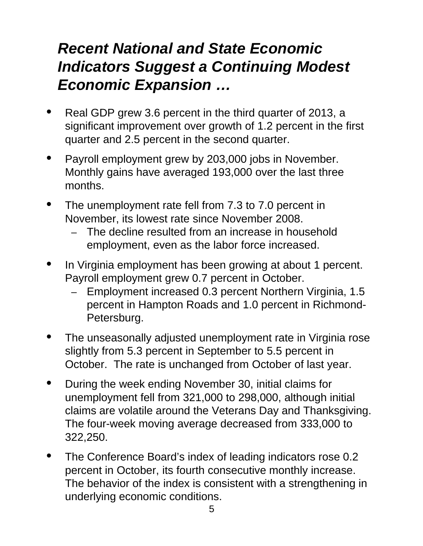## *Recent National and State Economic Indicators Suggest a Continuing Modest Economic Expansion Economic Expansion …*

- Real GDP grew 3.6 percent in the third quarter of 2013, a significant improvement over growth of 1.2 percent in the first quarter and 2.5 percent in the second quarter.
- Payroll employment grew by 203,000 jobs in November. Monthly gains have averaged 193,000 over the last three months.
- The unemployment rate fell from  $7.3$  to  $7.0$  percent in November, its lowest rate since November 2008.
	- The decline resulted from an increase in household employment, even as the labor force increased.
- In Virginia employment has been growing at about 1 percent. Payroll employment grew 0.7 percent in October.
	- Employment increased 0.3 percent Northern Virginia, 1.5 percent in Hampton Roads and 1.0 percent in Richmond-Petersburg.
- The unseasonally adjusted unemployment rate in Virginia rose slightly from 5.3 percent in September to 5.5 percent in October. The rate is unchanged from October of last year.
- During the week ending November 30, initial claims for unemployment fell from 321,000 to 298,000, although initial claims are volatile around the Veterans Day and Thanksgiving. The four-week moving average decreased from 333,000 to 322,250.
- The Conference Board's index of leading indicators rose 0.2<br>percent in October, its fourth consecutive monthly increase. The behavior of the index is consistent with a strengthening in underlying economic conditions.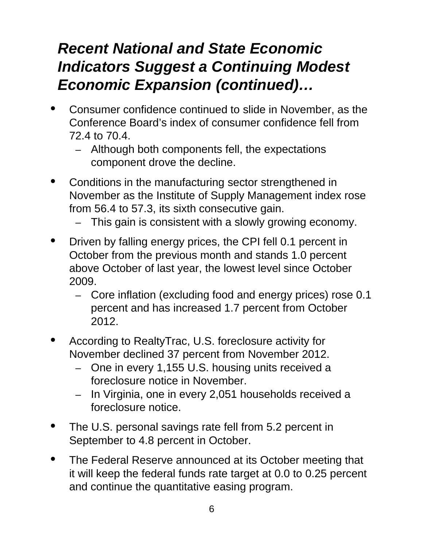## *Recent National and State Economic Indicators Suggest a Continuing Modest Economic Expansion (continued) Economic Expansion (continued)…*

- Consumer confidence continued to slide in November, as the Conference Board's index of consumer confidence fell from 72.4 to 70.4.
	- Although both components fell, the expectations component drove the decline.
- Conditions in the manufacturing sector strengthened in November as the Institute of Supply Management index rose from 56.4 to 57.3, its sixth consecutive gain.
	- This gain is consistent with a slowly growing economy.
- Driven by falling energy prices, the CPI fell 0.1 percent in October from the previous month and stands 1.0 percent above October of last year, the lowest level since October 2009.
	- Core inflation (excluding food and energy prices) rose 0.1 percent and has increased 1.7 percent from October 2012.
- According to RealtyTrac, U.S. foreclosure activity for November declined 37 percent from November 2012.
	- One in every 1,155 U.S. housing units received a foreclosure notice in November.
	- In Virginia, one in every 2,051 households received a foreclosure notice.
- The U.S. personal savings rate fell from 5.2 percent in September to 4.8 percent in October.
- The Federal Reserve announced at its October meeting that<br>it will keep the federal funds rate target at 0.0 to 0.25 percent and continue the quantitative easing program.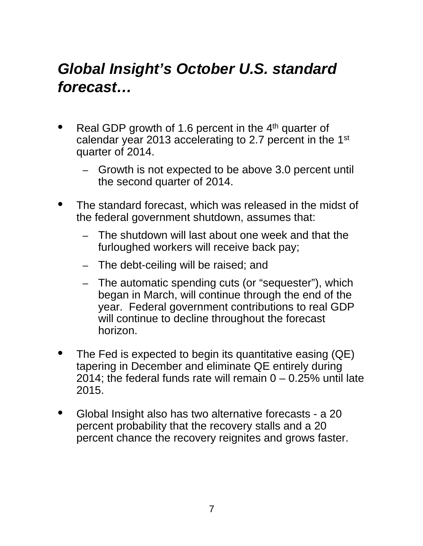## *Global Insight's October U.S. standard forecast…*

- Real GDP growth of 1.6 percent in the  $4<sup>th</sup>$  quarter of calendar year 2013 accelerating to 2.7 percent in the 1st quarter of 2014.
	- Growth is not expected to be above 3.0 percent until the second quarter of 2014.
- The standard forecast, which was released in the midst of the federal government shutdown, assumes that:
	- The shutdown will last about one week and that the furloughed workers will receive back pay;
	- The debt-ceiling will be raised; and
	- The automatic spending cuts (or "sequester"), which began in March, will continue through the end of the year. Federal government contributions to real GDP will continue to decline throughout the forecast horizon.
- The Fed is expected to begin its quantitative easing (QE) tapering in December and eliminate QE entirely during 2014; the federal funds rate will remain  $0 - 0.25$ % until late 2015.
- Global Insight also has two alternative forecasts a 20 percent probability that the recovery stalls and a 20 percent chance the recovery reignites and grows faster.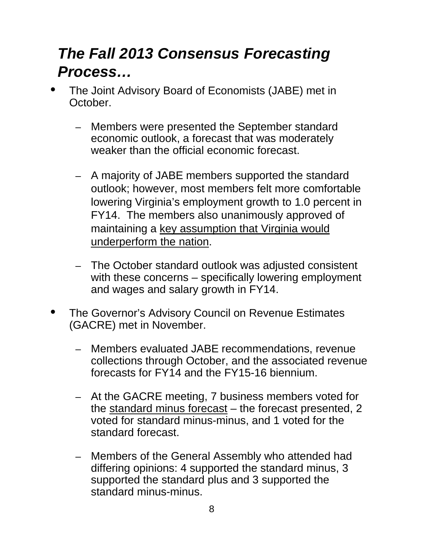## *The Fall 2013 Consensus Forecasting Process…*

- The Joint Advisory Board of Economists (JABE) met in October.
	- Members were presented the September standard economic outlook, a forecast that was moderately weaker than the official economic forecast.
	- A majority of JABE members supported the standard outlook; however, most members felt more comfortable lowering Virginia's employment growth to 1.0 percent in FY14. The members also unanimously approved of maintaining a key assumption that Virginia would underperform the nation.
	- The October standard outlook was adjusted consistent with these concerns – specifically lowering employment and wages and salary growth in FY14.
- The Governor's Advisory Council on Revenue Estimates (GACRE) met in November.
	- Members evaluated JABE recommendations, revenue collections through October, and the associated revenue forecasts for FY14 and the FY15-16 biennium.
	- At the GACRE meeting, 7 business members voted for the standard minus forecast – the forecast presented, 2 voted for standard minus-minus, and 1 voted for the standard forecast.
	- Members of the General Assembly who attended had differing opinions: 4 supported the standard minus, 3 supported the standard plus and 3 supported the standard minus-minus.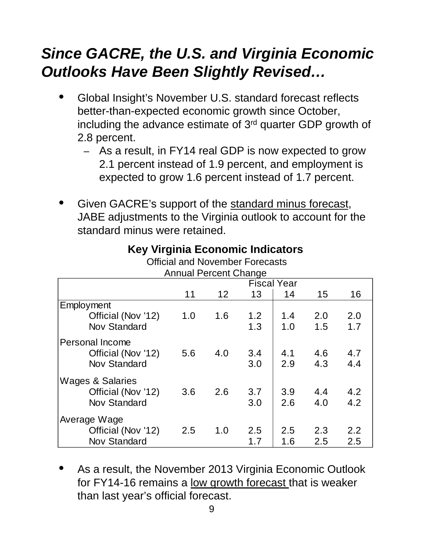## *Since GACRE, the U.S. and Virginia Economic Outlooks Have Been Slightly Revised…*

- Global Insight's November U.S. standard forecast reflects better-than-expected economic growth since October, including the advance estimate of 3rd quarter GDP growth of 2.8 percent.
	- $-$  As a result, in FY14 real GDP is now expected to grow 2.1 percent instead of 1.9 percent, and employment is expected to grow 1.6 percent instead of 1.7 percent.
- Given GACRE's support of the standard minus forecast, JABE adjustments to the Virginia outlook to account for the standard minus were retained.

| Annual Percent Unange |                    |     |     |     |     |     |  |  |  |  |
|-----------------------|--------------------|-----|-----|-----|-----|-----|--|--|--|--|
|                       | <b>Fiscal Year</b> |     |     |     |     |     |  |  |  |  |
|                       | 11                 | 12  | 13  | 14  | 15  | 16  |  |  |  |  |
| Employment            |                    |     |     |     |     |     |  |  |  |  |
| Official (Nov '12)    | 1.0                | 1.6 | 1.2 | 1.4 | 2.0 | 2.0 |  |  |  |  |
| <b>Nov Standard</b>   |                    |     | 1.3 | 1.0 | 1.5 | 1.7 |  |  |  |  |
| Personal Income       |                    |     |     |     |     |     |  |  |  |  |
| Official (Nov '12)    | 5.6                | 4.0 | 3.4 | 4.1 | 4.6 | 4.7 |  |  |  |  |
| <b>Nov Standard</b>   |                    |     | 3.0 | 2.9 | 4.3 | 4.4 |  |  |  |  |
| Wages & Salaries      |                    |     |     |     |     |     |  |  |  |  |
| Official (Nov '12)    | 3.6                | 2.6 | 3.7 | 3.9 | 4.4 | 4.2 |  |  |  |  |
| <b>Nov Standard</b>   |                    |     | 3.0 | 2.6 | 4.0 | 4.2 |  |  |  |  |
| Average Wage          |                    |     |     |     |     |     |  |  |  |  |
| Official (Nov '12)    | 2.5                | 1.0 | 2.5 | 2.5 | 2.3 | 2.2 |  |  |  |  |
| <b>Nov Standard</b>   |                    |     | 1.7 | 1.6 | 2.5 | 2.5 |  |  |  |  |

## **Key Virginia Economic Indicators**

Official and November Forecasts Annual Percent Change Annual Percent

• As a result, the November 2013 Virginia Economic Outlook for FY14-16 remains a low growth forecast that is weaker than last year's official forecast.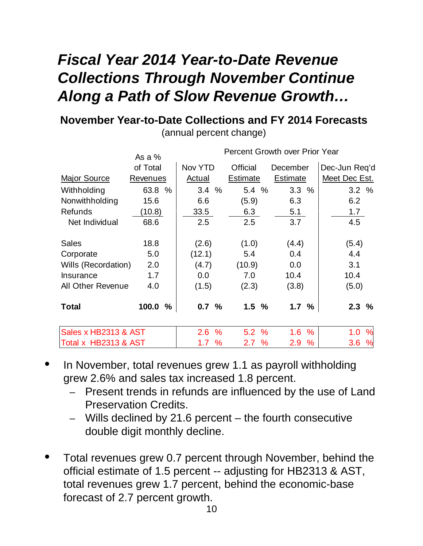## *Fiscal Year 2014 Year-to-Date Revenue Collections Through November Continue Along a Path of Slow Revenue Growth…*

#### **November Year-to-Date Collections and FY 2014 Forecasts**

(annual percent change)

|                          | As a $%$        |                      |                 | <b>Percent Growth over Prior Year</b> |               |
|--------------------------|-----------------|----------------------|-----------------|---------------------------------------|---------------|
|                          | of Total        | Nov YTD              | <b>Official</b> | December                              | Dec-Jun Req'd |
| <b>Major Source</b>      | <b>Revenues</b> | Actual               | <b>Estimate</b> | <b>Estimate</b>                       | Meet Dec Est. |
| Withholding              | 63.8 %          | $\%$<br>3.4          | 5.4 %           | 3.3%                                  | 3.2%          |
| Nonwithholding           | 15.6            | 6.6                  | (5.9)           | 6.3                                   | 6.2           |
| <b>Refunds</b>           | (10.8)          | 33.5                 | 6.3             | 5.1                                   | 1.7           |
| Net Individual           | 68.6            | 2.5                  | 2.5             | 3.7                                   | 4.5           |
| <b>Sales</b>             | 18.8            | (2.6)                | (1.0)           | (4.4)                                 | (5.4)         |
| Corporate                | 5.0             | (12.1)               | 5.4             | 0.4                                   | 4.4           |
| Wills (Recordation)      | 2.0             | (4.7)                | (10.9)          | 0.0                                   | 3.1           |
| Insurance                | 1.7             | 0.0                  | 7.0             | 10.4                                  | 10.4          |
| <b>All Other Revenue</b> | 4.0             | (1.5)                | (2.3)           | (3.8)                                 | (5.0)         |
| <b>Total</b>             | 100.0<br>%      | 0.7 %                | 1.5%            | 1.7<br>%                              | 2.3%          |
| Sales x HB2313 & AST     |                 | $\frac{9}{6}$<br>2.6 | 5.2%            | 1.6<br>$\frac{0}{0}$                  | %<br>1.0      |
| Total x HB2313 & AST     |                 | 1.7 %                | 2.7%            | 2.9<br>%                              | 3.6<br>%      |

- In November, total revenues grew 1.1 as payroll withholding grew 2.6% and sales tax increased 1.8 percent.
	- Present trends in refunds are influenced by the use of Land Preservation Credits.
	- Wills declined by 21.6 percent the fourth consecutive double digit monthly decline.
- Total revenues grew 0.7 percent through November, behind the official estimate of 1.5 percent -- adjusting for HB2313 & AST, total revenues grew 1.7 percent, behind the economic-base forecast of 2.7 percent growth.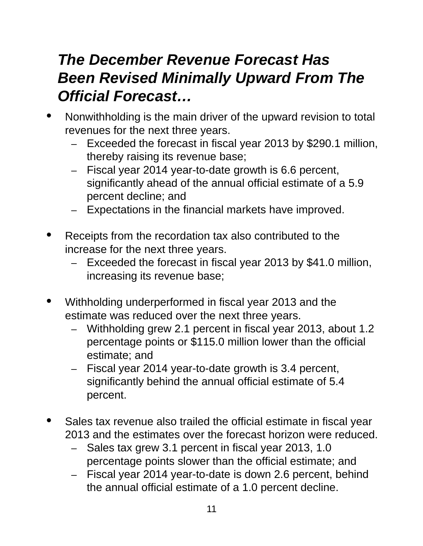## *The December Revenue Forecast Has Been Revised Minimally Upward From The Official Forecast…*

- Nonwithholding is the main driver of the upward revision to total revenues for the next three years.
	- $-$  Exceeded the forecast in fiscal year 2013 by \$290.1 million, thereby raising its revenue base;
	- Fiscal year 2014 year-to-date growth is 6.6 percent, significantly ahead of the annual official estimate of a 5.9 percent decline; and
	- $-$  Expectations in the financial markets have improved.
- Receipts from the recordation tax also contributed to the increase for the next three years.
	- Exceeded the forecast in fiscal year 2013 by \$41.0 million, increasing its revenue base;
- Withholding underperformed in fiscal year 2013 and the estimate was reduced over the next three years.
	- Withholding grew 2.1 percent in fiscal year 2013, about 1.2 percentage points or \$115.0 million lower than the official estimate; and
	- Fiscal year 2014 year-to-date growth is 3.4 percent, significantly behind the annual official estimate of 5.4 percent.
- Sales tax revenue also trailed the official estimate in fiscal year 2013 and the estimates over the forecast horizon were reduced.
	- Sales tax grew 3.1 percent in fiscal year 2013, 1.0 percentage points slower than the official estimate; and
	- Fiscal year 2014 year-to-date is down 2.6 percent, behind the annual official estimate of a 1.0 percent decline.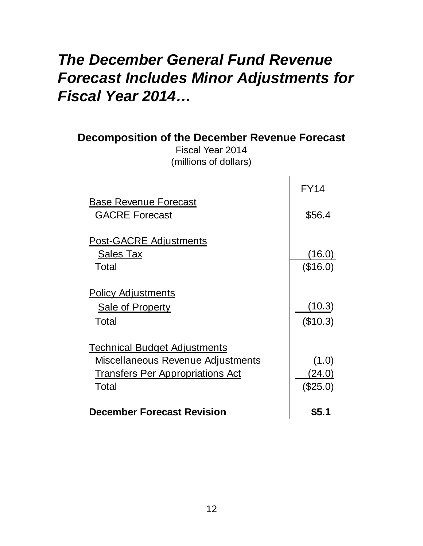## *The December General Fund Revenue Forecast Includes Minor Adjustments for Fiscal Year 2014…*

| <b>Decomposition of the December Revenue Forecast</b><br>Fiscal Year 2014<br>(millions of dollars)                           |                               |
|------------------------------------------------------------------------------------------------------------------------------|-------------------------------|
|                                                                                                                              | <b>FY14</b>                   |
| <b>Base Revenue Forecast</b><br><b>GACRE Forecast</b>                                                                        | \$56.4                        |
| <b>Post-GACRE Adjustments</b><br><u>Sales Tax</u><br>Total                                                                   | (16.0)<br>(\$16.0)            |
| <b>Policy Adjustments</b><br><b>Sale of Property</b><br>Total                                                                | (10.3)<br>(\$10.3)            |
| <b>Technical Budget Adjustments</b><br>Miscellaneous Revenue Adjustments<br><u>Transfers Per Appropriations Act</u><br>Total | (1.0)<br>(24.0)<br>$(\$25.0)$ |
| <b>December Forecast Revision</b>                                                                                            | \$5.1                         |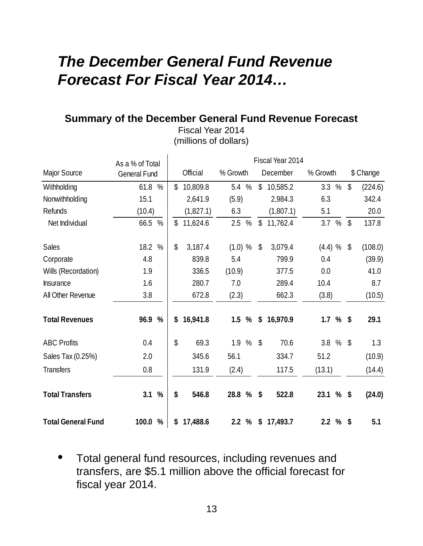## *The December General Fund Revenue Forecast For Fiscal Year 2014…*

 $\overline{a}$ 

#### **Summary of the December General Fund Revenue Forecast**

Fiscal Year 2014 (millions of dollars)

|                           | As a % of Total        | Fiscal Year 2014 |              |           |          |               |                           |           |             |      |              |           |
|---------------------------|------------------------|------------------|--------------|-----------|----------|---------------|---------------------------|-----------|-------------|------|--------------|-----------|
| <b>Major Source</b>       | <b>General Fund</b>    |                  |              | Official  | % Growth |               |                           | December  | % Growth    |      |              | \$ Change |
| Withholding               | 61.8<br>$\%$           |                  | \$           | 10,809.8  | 5.4      | $\frac{0}{0}$ | \$                        | 10,585.2  | 3.3         | $\%$ | \$           | (224.6)   |
| Nonwithholding            | 15.1                   |                  |              | 2,641.9   | (5.9)    |               |                           | 2,984.3   | 6.3         |      |              | 342.4     |
| Refunds                   | (10.4)                 |                  |              | (1,827.1) | 6.3      |               |                           | (1,807.1) | 5.1         |      |              | 20.0      |
| Net Individual            | $\%$<br>66.5           |                  | \$           | 11,624.6  | 2.5      | $\%$          | \$                        | 11,762.4  | 3.7         | $\%$ | $\mathbb{S}$ | 137.8     |
| <b>Sales</b>              | 18.2 %                 |                  | $\mathbb{S}$ | 3,187.4   | (1.0) %  |               | \$                        | 3,079.4   | (4.4) %     |      | \$           | (108.0)   |
| Corporate                 | 4.8                    |                  |              | 839.8     | 5.4      |               |                           | 799.9     | 0.4         |      |              | (39.9)    |
| Wills (Recordation)       | 1.9                    |                  |              | 336.5     | (10.9)   |               |                           | 377.5     | 0.0         |      |              | 41.0      |
| Insurance                 | 1.6                    |                  |              | 280.7     | 7.0      |               |                           | 289.4     | 10.4        |      |              | 8.7       |
| All Other Revenue         | 3.8                    |                  |              | 672.8     | (2.3)    |               |                           | 662.3     | (3.8)       |      |              | (10.5)    |
| <b>Total Revenues</b>     | 96.9 %                 |                  | \$           | 16,941.8  |          | $1.5\%$       | \$                        | 16,970.9  | $1.7 \%$ \$ |      |              | 29.1      |
| <b>ABC Profits</b>        | 0.4                    |                  | \$           | 69.3      |          | 1.9 %         | $\boldsymbol{\mathsf{S}}$ | 70.6      | 3.8%        |      |              | 1.3       |
| Sales Tax (0.25%)         | 2.0                    |                  |              | 345.6     | 56.1     |               |                           | 334.7     | 51.2        |      |              | (10.9)    |
| <b>Transfers</b>          | 0.8                    |                  |              | 131.9     | (2.4)    |               |                           | 117.5     | (13.1)      |      |              | (14.4)    |
| <b>Total Transfers</b>    | $\frac{0}{0}$<br>3.1   |                  | \$           | 546.8     | 28.8 %   |               | \$                        | 522.8     | 23.1 %      |      | \$           | (24.0)    |
| <b>Total General Fund</b> | 100.0<br>$\frac{0}{0}$ |                  | \$           | 17,488.6  |          | 2.2%          | \$                        | 17,493.7  | $2.2 \%$ \$ |      |              | 5.1       |

• Total general fund resources, including revenues and transfers, are \$5.1 million above the official forecast for fiscal year 2014.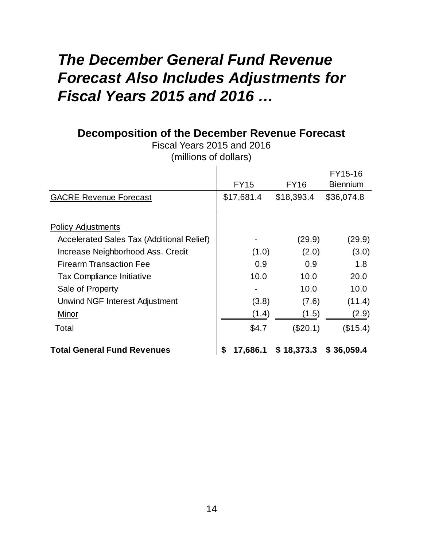## *The December General Fund Revenue Forecast Also Includes Adjustments for Fiscal Years 2015 and 2016 …*

#### **Decomposition of the December Revenue Forecast**

Fiscal Years 2015 and 2016 (millions of dollars)

|                                                  |                |             | FY15-16         |
|--------------------------------------------------|----------------|-------------|-----------------|
|                                                  | <b>FY15</b>    | <b>FY16</b> | <b>Biennium</b> |
| <b>GACRE Revenue Forecast</b>                    | \$17,681.4     | \$18,393.4  | \$36,074.8      |
|                                                  |                |             |                 |
| <b>Policy Adjustments</b>                        |                |             |                 |
| <b>Accelerated Sales Tax (Additional Relief)</b> |                | (29.9)      | (29.9)          |
| Increase Neighborhood Ass. Credit                | (1.0)          | (2.0)       | (3.0)           |
| <b>Firearm Transaction Fee</b>                   | 0.9            | 0.9         | 1.8             |
| <b>Tax Compliance Initiative</b>                 | 10.0           | 10.0        | 20.0            |
| Sale of Property                                 |                | 10.0        | 10.0            |
| Unwind NGF Interest Adjustment                   | (3.8)          | (7.6)       | (11.4)          |
| Minor                                            | (1.4)          | (1.5)       | (2.9)           |
| Total                                            | \$4.7          | (\$20.1)    | (\$15.4)        |
| <b>Total General Fund Revenues</b>               | \$<br>17,686.1 | \$18,373.3  | \$36,059.4      |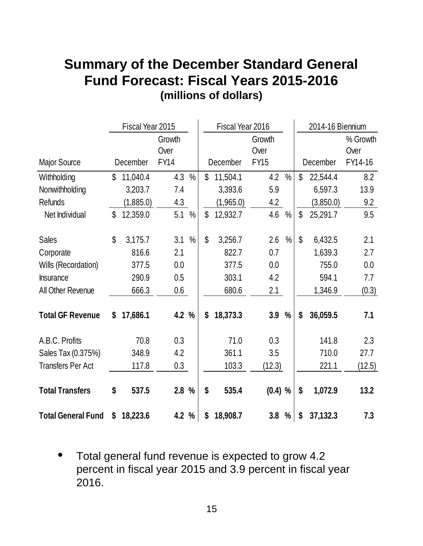## **Summary of the December Standard General Fund Forecast: Fiscal Years 2015-2016 (millions of dollars)**

|                           |              | Fiscal Year 2015 |             |               | Fiscal Year 2016 |           |             | 2014-16 Biennium |                    |           |          |
|---------------------------|--------------|------------------|-------------|---------------|------------------|-----------|-------------|------------------|--------------------|-----------|----------|
|                           |              |                  | Growth      |               |                  |           | Growth      |                  |                    |           | % Growth |
|                           |              |                  | Over        |               |                  |           | Over        |                  |                    |           | Over     |
| <b>Major Source</b>       |              | December         | <b>FY14</b> |               |                  | December  | <b>FY15</b> |                  |                    | December  | FY14-16  |
| Withholding               | $\mathbb{S}$ | 11,040.4         | 4.3         | $\frac{0}{0}$ | \$               | 11,504.1  | 4.2         | $\frac{0}{0}$    | $\mathbf{\hat{S}}$ | 22,544.4  | 8.2      |
| Nonwithholding            |              | 3,203.7          | 7.4         |               |                  | 3,393.6   | 5.9         |                  |                    | 6,597.3   | 13.9     |
| <b>Refunds</b>            |              | (1,885.0)        | 4.3         |               |                  | (1,965.0) | 4.2         |                  |                    | (3,850.0) | 9.2      |
| Net Individual            | \$           | 12,359.0         | 5.1         | $\%$          | \$               | 12,932.7  | 4.6         | $\%$             | $\mathbb{S}$       | 25,291.7  | 9.5      |
| <b>Sales</b>              | $\mathbb{S}$ | 3,175.7          | 3.1         | $\frac{0}{0}$ | \$               | 3,256.7   | 2.6         | $\%$             | $\mathbb{S}$       | 6,432.5   | 2.1      |
| Corporate                 |              | 816.6            | 2.1         |               |                  | 822.7     | 0.7         |                  |                    | 1,639.3   | 2.7      |
| Wills (Recordation)       |              | 377.5            | 0.0         |               |                  | 377.5     | 0.0         |                  |                    | 755.0     | 0.0      |
| <b>Insurance</b>          |              | 290.9            | 0.5         |               |                  | 303.1     | 4.2         |                  |                    | 594.1     | 7.7      |
| All Other Revenue         |              | 666.3            | 0.6         |               |                  | 680.6     | 2.1         |                  |                    | 1,346.9   | (0.3)    |
| <b>Total GF Revenue</b>   | \$           | 17,686.1         | 4.2 %       |               | \$               | 18,373.3  | 3.9         | $\frac{0}{0}$    | \$                 | 36,059.5  | 7.1      |
| A.B.C. Profits            |              | 70.8             | 0.3         |               |                  | 71.0      | 0.3         |                  |                    | 141.8     | 2.3      |
| Sales Tax (0.375%)        |              | 348.9            | 4.2         |               |                  | 361.1     | 3.5         |                  |                    | 710.0     | 27.7     |
| <b>Transfers Per Act</b>  |              | 117.8            | 0.3         |               |                  | 103.3     | (12.3)      |                  |                    | 221.1     | (12.5)   |
| <b>Total Transfers</b>    | \$           | 537.5            | 2.8%        |               | \$               | 535.4     | $(0.4)$ %   |                  | \$                 | 1,072.9   | 13.2     |
| <b>Total General Fund</b> | \$           | 18,223.6         | 4.2%        |               | \$               | 18,908.7  | 3.8         | %                | \$                 | 37,132.3  | 7.3      |

• Total general fund revenue is expected to grow 4.2 percent in fiscal year 2015 and 3.9 percent in fiscal year 2016.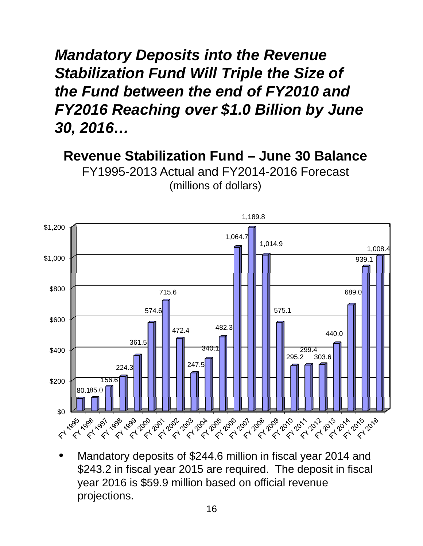*Mandatory Deposits into the Revenue Stabilization Fund Will Triple the Size of the Fund between the end of FY2010 and FY2016 Reaching over \$1.0 Billion by June 30, 2016…*

**Revenue Stabilization Fund – June 30 Balance** FY1995-2013 Actual and FY2014-2016 Forecast



(millions of dollars)

• Mandatory deposits of \$244.6 million in fiscal year 2014 and<br>\$243.2 in fiscal year 2015 are required. The deposit in fiscal year 2016 is \$59.9 million based on official revenue projections.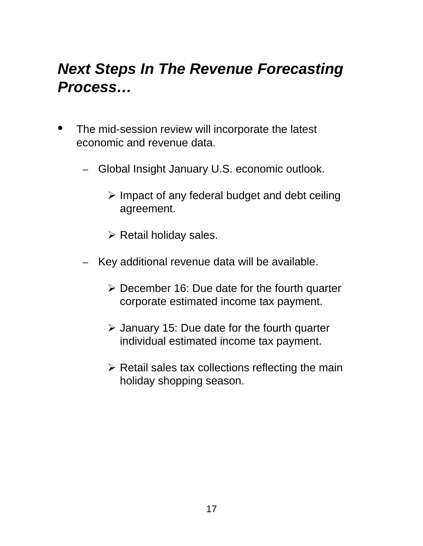## *Next Steps In The Revenue Forecasting Process…*

- The mid-session review will incorporate the latest economic and revenue data.
	- Global Insight January U.S. economic outlook.
		- $\triangleright$  Impact of any federal budget and debt ceiling agreement.
		- $\triangleright$  Retail holiday sales.
	- Key additional revenue data will be available.
		- $\triangleright$  December 16: Due date for the fourth quarter corporate estimated income tax payment.
		- $\triangleright$  January 15: Due date for the fourth quarter individual estimated income tax payment.
		- $\triangleright$  Retail sales tax collections reflecting the main holiday shopping season.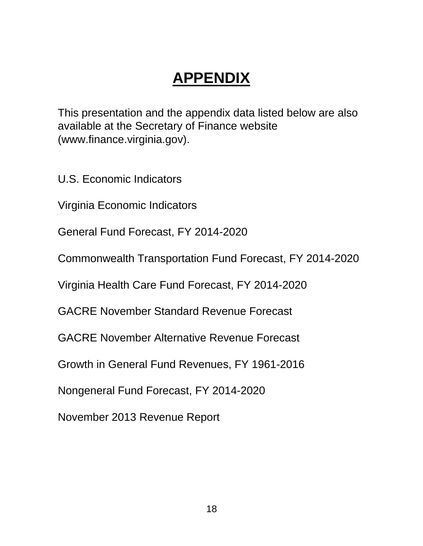## **APPENDIX**

This presentation and the appendix data listed below are also available at the Secretary of Finance website (www.finance.virginia.gov).

U.S. Economic Indicators

Virginia Economic Indicators

General Fund Forecast, FY 2014-2020

Commonwealth Transportation Fund Forecast, FY 2014-2020

Virginia Health Care Fund Forecast, FY 2014-2020

GACRE November Standard Revenue Forecast

GACRE November Alternative Revenue Forecast

Growth in General Fund Revenues, FY 1961-2016

Nongeneral Fund Forecast, FY 2014-2020

November 2013 Revenue Report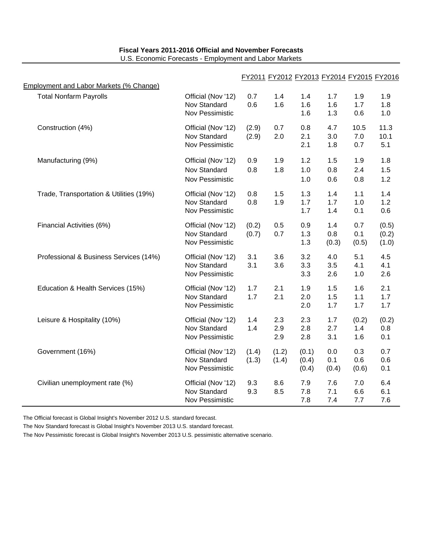|                                         |                                    |                |            |                |              | FY2011 FY2012 FY2013 FY2014 FY2015 FY2016 |                |
|-----------------------------------------|------------------------------------|----------------|------------|----------------|--------------|-------------------------------------------|----------------|
| Employment and Labor Markets (% Change) |                                    |                |            |                |              |                                           |                |
| <b>Total Nonfarm Payrolls</b>           | Official (Nov '12)<br>Nov Standard | 0.7<br>0.6     | 1.4<br>1.6 | 1.4<br>1.6     | 1.7<br>1.6   | 1.9<br>1.7                                | 1.9<br>1.8     |
|                                         | Nov Pessimistic                    |                |            | 1.6            | 1.3          | 0.6                                       | 1.0            |
| Construction (4%)                       | Official (Nov '12)<br>Nov Standard | (2.9)<br>(2.9) | 0.7<br>2.0 | 0.8<br>2.1     | 4.7<br>3.0   | 10.5<br>7.0                               | 11.3<br>10.1   |
|                                         | Nov Pessimistic                    |                |            | 2.1            | 1.8          | 0.7                                       | 5.1            |
| Manufacturing (9%)                      | Official (Nov '12)                 | 0.9            | 1.9        | 1.2            | 1.5          | 1.9                                       | 1.8            |
|                                         | Nov Standard<br>Nov Pessimistic    | 0.8            | 1.8        | 1.0<br>1.0     | 0.8<br>0.6   | 2.4<br>0.8                                | 1.5<br>1.2     |
| Trade, Transportation & Utilities (19%) | Official (Nov '12)<br>Nov Standard | 0.8<br>0.8     | 1.5<br>1.9 | 1.3<br>1.7     | 1.4<br>1.7   | 1.1<br>1.0                                | 1.4<br>1.2     |
|                                         | Nov Pessimistic                    |                |            | 1.7            | 1.4          | 0.1                                       | 0.6            |
| Financial Activities (6%)               | Official (Nov '12)<br>Nov Standard | (0.2)<br>(0.7) | 0.5<br>0.7 | 0.9<br>1.3     | 1.4<br>0.8   | 0.7<br>0.1                                | (0.5)<br>(0.2) |
|                                         | Nov Pessimistic                    |                |            | 1.3            | (0.3)        | (0.5)                                     | (1.0)          |
| Professional & Business Services (14%)  | Official (Nov '12)<br>Nov Standard | 3.1<br>3.1     | 3.6<br>3.6 | 3.2            | 4.0<br>3.5   | 5.1<br>4.1                                | 4.5<br>4.1     |
|                                         | Nov Pessimistic                    |                |            | 3.3<br>3.3     | 2.6          | 1.0                                       | 2.6            |
| Education & Health Services (15%)       | Official (Nov '12)<br>Nov Standard | 1.7<br>1.7     | 2.1<br>2.1 | 1.9            | 1.5          | 1.6<br>1.1                                | 2.1<br>1.7     |
|                                         | Nov Pessimistic                    |                |            | 2.0<br>2.0     | 1.5<br>1.7   | 1.7                                       | 1.7            |
| Leisure & Hospitality (10%)             | Official (Nov '12)                 | 1.4            | 2.3        | 2.3            | 1.7          | (0.2)                                     | (0.2)          |
|                                         | Nov Standard<br>Nov Pessimistic    | 1.4            | 2.9<br>2.9 | 2.8<br>2.8     | 2.7<br>3.1   | 1.4<br>1.6                                | 0.8<br>0.1     |
| Government (16%)                        | Official (Nov '12)                 | (1.4)          | (1.2)      | (0.1)          | 0.0          | 0.3                                       | 0.7            |
|                                         | Nov Standard<br>Nov Pessimistic    | (1.3)          | (1.4)      | (0.4)<br>(0.4) | 0.1<br>(0.4) | 0.6<br>(0.6)                              | 0.6<br>0.1     |
| Civilian unemployment rate (%)          | Official (Nov '12)                 | 9.3            | 8.6        | 7.9            | 7.6          | 7.0                                       | 6.4            |
|                                         | Nov Standard<br>Nov Pessimistic    | 9.3            | 8.5        | 7.8<br>7.8     | 7.1<br>7.4   | 6.6<br>7.7                                | 6.1<br>7.6     |

#### **Fiscal Years 2011-2016 Official and November Forecasts** U.S. Economic Forecasts - Employment and Labor Markets

The Official forecast is Global Insight's November 2012 U.S. standard forecast.

The Nov Standard forecast is Global Insight's November 2013 U.S. standard forecast.

The Nov Pessimistic forecast is Global Insight's November 2013 U.S. pessimistic alternative scenario.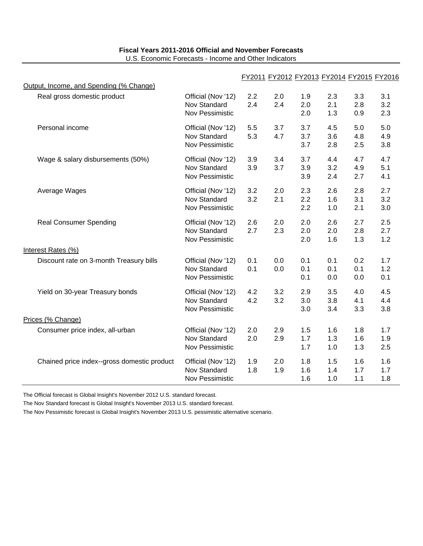| Fiscal Years 2011-2016 Official and November Forecasts |  |
|--------------------------------------------------------|--|
| U.S. Economic Forecasts - Income and Other Indicators  |  |

|                                             |                                                              |            |            |                   |                   |                   | FY2011 FY2012 FY2013 FY2014 FY2015 FY2016 |
|---------------------------------------------|--------------------------------------------------------------|------------|------------|-------------------|-------------------|-------------------|-------------------------------------------|
| Output, Income, and Spending (% Change)     |                                                              |            |            |                   |                   |                   |                                           |
| Real gross domestic product                 | Official (Nov '12)<br>Nov Standard<br><b>Nov Pessimistic</b> | 2.2<br>2.4 | 2.0<br>2.4 | 1.9<br>2.0<br>2.0 | 2.3<br>2.1<br>1.3 | 3.3<br>2.8<br>0.9 | 3.1<br>3.2<br>2.3                         |
| Personal income                             | Official (Nov '12)<br><b>Nov Standard</b><br>Nov Pessimistic | 5.5<br>5.3 | 3.7<br>4.7 | 3.7<br>3.7<br>3.7 | 4.5<br>3.6<br>2.8 | 5.0<br>4.8<br>2.5 | 5.0<br>4.9<br>3.8                         |
| Wage & salary disbursements (50%)           | Official (Nov '12)<br>Nov Standard<br>Nov Pessimistic        | 3.9<br>3.9 | 3.4<br>3.7 | 3.7<br>3.9<br>3.9 | 4.4<br>3.2<br>2.4 | 4.7<br>4.9<br>2.7 | 4.7<br>5.1<br>4.1                         |
| Average Wages                               | Official (Nov '12)<br>Nov Standard<br>Nov Pessimistic        | 3.2<br>3.2 | 2.0<br>2.1 | 2.3<br>2.2<br>2.2 | 2.6<br>1.6<br>1.0 | 2.8<br>3.1<br>2.1 | 2.7<br>3.2<br>3.0                         |
| <b>Real Consumer Spending</b>               | Official (Nov '12)<br><b>Nov Standard</b><br>Nov Pessimistic | 2.6<br>2.7 | 2.0<br>2.3 | 2.0<br>2.0<br>2.0 | 2.6<br>2.0<br>1.6 | 2.7<br>2.8<br>1.3 | 2.5<br>2.7<br>1.2                         |
| Interest Rates (%)                          |                                                              |            |            |                   |                   |                   |                                           |
| Discount rate on 3-month Treasury bills     | Official (Nov '12)<br><b>Nov Standard</b><br>Nov Pessimistic | 0.1<br>0.1 | 0.0<br>0.0 | 0.1<br>0.1<br>0.1 | 0.1<br>0.1<br>0.0 | 0.2<br>0.1<br>0.0 | 1.7<br>1.2<br>0.1                         |
| Yield on 30-year Treasury bonds             | Official (Nov '12)<br>Nov Standard<br>Nov Pessimistic        | 4.2<br>4.2 | 3.2<br>3.2 | 2.9<br>3.0<br>3.0 | 3.5<br>3.8<br>3.4 | 4.0<br>4.1<br>3.3 | 4.5<br>4.4<br>3.8                         |
| Prices (% Change)                           |                                                              |            |            |                   |                   |                   |                                           |
| Consumer price index, all-urban             | Official (Nov '12)<br><b>Nov Standard</b><br>Nov Pessimistic | 2.0<br>2.0 | 2.9<br>2.9 | 1.5<br>1.7<br>1.7 | 1.6<br>1.3<br>1.0 | 1.8<br>1.6<br>1.3 | 1.7<br>1.9<br>2.5                         |
| Chained price index--gross domestic product | Official (Nov '12)<br>Nov Standard<br>Nov Pessimistic        | 1.9<br>1.8 | 2.0<br>1.9 | 1.8<br>1.6<br>1.6 | 1.5<br>1.4<br>1.0 | 1.6<br>1.7<br>1.1 | 1.6<br>1.7<br>1.8                         |

The Official forecast is Global Insight's November 2012 U.S. standard forecast.

The Nov Standard forecast is Global Insight's November 2013 U.S. standard forecast.

The Nov Pessimistic forecast is Global Insight's November 2013 U.S. pessimistic alternative scenario.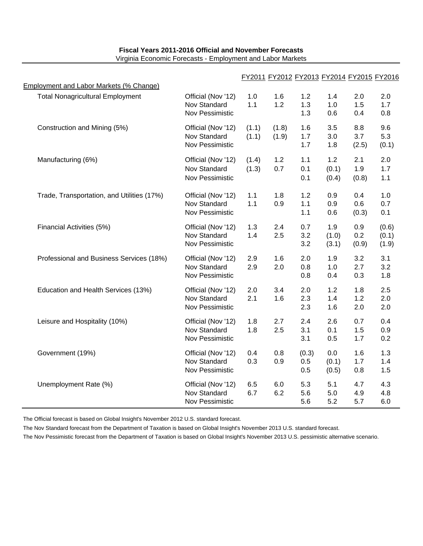|                                            |                                                       | FY2011 FY2012 FY2013 FY2014 FY2015 FY2016 |                |                     |                       |                     |                         |
|--------------------------------------------|-------------------------------------------------------|-------------------------------------------|----------------|---------------------|-----------------------|---------------------|-------------------------|
| Employment and Labor Markets (% Change)    |                                                       |                                           |                |                     |                       |                     |                         |
| <b>Total Nonagricultural Employment</b>    | Official (Nov '12)<br>Nov Standard<br>Nov Pessimistic | 1.0<br>1.1                                | 1.6<br>1.2     | 1.2<br>1.3<br>1.3   | 1.4<br>1.0<br>0.6     | 2.0<br>1.5<br>0.4   | 2.0<br>1.7<br>0.8       |
| Construction and Mining (5%)               | Official (Nov '12)<br>Nov Standard<br>Nov Pessimistic | (1.1)<br>(1.1)                            | (1.8)<br>(1.9) | 1.6<br>1.7<br>1.7   | 3.5<br>3.0<br>1.8     | 8.8<br>3.7<br>(2.5) | 9.6<br>5.3<br>(0.1)     |
| Manufacturing (6%)                         | Official (Nov '12)<br>Nov Standard<br>Nov Pessimistic | (1.4)<br>(1.3)                            | 1.2<br>0.7     | 1.1<br>0.1<br>0.1   | 1.2<br>(0.1)<br>(0.4) | 2.1<br>1.9<br>(0.8) | 2.0<br>1.7<br>1.1       |
| Trade, Transportation, and Utilities (17%) | Official (Nov '12)<br>Nov Standard<br>Nov Pessimistic | 1.1<br>1.1                                | 1.8<br>0.9     | 1.2<br>1.1<br>1.1   | 0.9<br>0.9<br>0.6     | 0.4<br>0.6<br>(0.3) | 1.0<br>0.7<br>0.1       |
| Financial Activities (5%)                  | Official (Nov '12)<br>Nov Standard<br>Nov Pessimistic | 1.3<br>1.4                                | 2.4<br>2.5     | 0.7<br>3.2<br>3.2   | 1.9<br>(1.0)<br>(3.1) | 0.9<br>0.2<br>(0.9) | (0.6)<br>(0.1)<br>(1.9) |
| Professional and Business Services (18%)   | Official (Nov '12)<br>Nov Standard<br>Nov Pessimistic | 2.9<br>2.9                                | 1.6<br>2.0     | 2.0<br>0.8<br>0.8   | 1.9<br>1.0<br>0.4     | 3.2<br>2.7<br>0.3   | 3.1<br>3.2<br>1.8       |
| Education and Health Services (13%)        | Official (Nov '12)<br>Nov Standard<br>Nov Pessimistic | 2.0<br>2.1                                | 3.4<br>1.6     | 2.0<br>2.3<br>2.3   | 1.2<br>1.4<br>1.6     | 1.8<br>1.2<br>2.0   | 2.5<br>2.0<br>2.0       |
| Leisure and Hospitality (10%)              | Official (Nov '12)<br>Nov Standard<br>Nov Pessimistic | 1.8<br>1.8                                | 2.7<br>2.5     | 2.4<br>3.1<br>3.1   | 2.6<br>0.1<br>0.5     | 0.7<br>1.5<br>1.7   | 0.4<br>0.9<br>0.2       |
| Government (19%)                           | Official (Nov '12)<br>Nov Standard<br>Nov Pessimistic | 0.4<br>0.3                                | 0.8<br>0.9     | (0.3)<br>0.5<br>0.5 | 0.0<br>(0.1)<br>(0.5) | 1.6<br>1.7<br>0.8   | 1.3<br>1.4<br>1.5       |
| Unemployment Rate (%)                      | Official (Nov '12)<br>Nov Standard<br>Nov Pessimistic | 6.5<br>6.7                                | 6.0<br>6.2     | 5.3<br>5.6<br>5.6   | 5.1<br>5.0<br>5.2     | 4.7<br>4.9<br>5.7   | 4.3<br>4.8<br>6.0       |

#### **Fiscal Years 2011-2016 Official and November Forecasts** Virginia Economic Forecasts - Employment and Labor Markets

The Official forecast is based on Global Insight's November 2012 U.S. standard forecast.

The Nov Standard forecast from the Department of Taxation is based on Global Insight's November 2013 U.S. standard forecast.

The Nov Pessimistic forecast from the Department of Taxation is based on Global Insight's November 2013 U.S. pessimistic alternative scenario.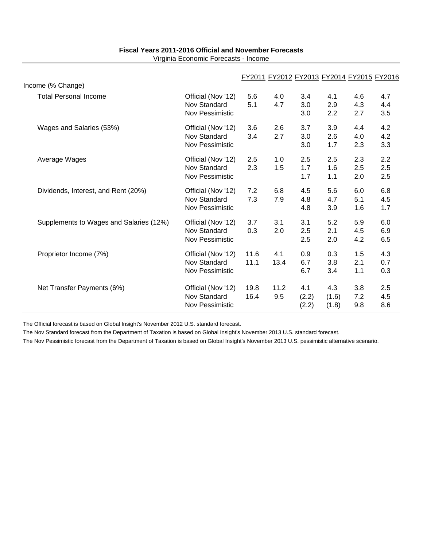| Fiscal Years 2011-2016 Official and November Forecasts |  |
|--------------------------------------------------------|--|
| Virginia Economic Forecasts - Income                   |  |

|                                         |                                                              |              | FY2011 FY2012 FY2013 FY2014 FY2015 FY2016 |                       |                       |                   |                   |
|-----------------------------------------|--------------------------------------------------------------|--------------|-------------------------------------------|-----------------------|-----------------------|-------------------|-------------------|
| Income (% Change)                       |                                                              |              |                                           |                       |                       |                   |                   |
| <b>Total Personal Income</b>            | Official (Nov '12)<br>Nov Standard<br>Nov Pessimistic        | 5.6<br>5.1   | 4.0<br>4.7                                | 3.4<br>3.0<br>3.0     | 4.1<br>2.9<br>2.2     | 4.6<br>4.3<br>2.7 | 4.7<br>4.4<br>3.5 |
| Wages and Salaries (53%)                | Official (Nov '12)<br><b>Nov Standard</b><br>Nov Pessimistic | 3.6<br>3.4   | 2.6<br>2.7                                | 3.7<br>3.0<br>3.0     | 3.9<br>2.6<br>1.7     | 4.4<br>4.0<br>2.3 | 4.2<br>4.2<br>3.3 |
| Average Wages                           | Official (Nov '12)<br>Nov Standard<br>Nov Pessimistic        | 2.5<br>2.3   | 1.0<br>1.5                                | 2.5<br>1.7<br>1.7     | 2.5<br>1.6<br>1.1     | 2.3<br>2.5<br>2.0 | 2.2<br>2.5<br>2.5 |
| Dividends, Interest, and Rent (20%)     | Official (Nov '12)<br><b>Nov Standard</b><br>Nov Pessimistic | 7.2<br>7.3   | 6.8<br>7.9                                | 4.5<br>4.8<br>4.8     | 5.6<br>4.7<br>3.9     | 6.0<br>5.1<br>1.6 | 6.8<br>4.5<br>1.7 |
| Supplements to Wages and Salaries (12%) | Official (Nov '12)<br>Nov Standard<br>Nov Pessimistic        | 3.7<br>0.3   | 3.1<br>2.0                                | 3.1<br>2.5<br>2.5     | 5.2<br>2.1<br>2.0     | 5.9<br>4.5<br>4.2 | 6.0<br>6.9<br>6.5 |
| Proprietor Income (7%)                  | Official (Nov '12)<br><b>Nov Standard</b><br>Nov Pessimistic | 11.6<br>11.1 | 4.1<br>13.4                               | 0.9<br>6.7<br>6.7     | 0.3<br>3.8<br>3.4     | 1.5<br>2.1<br>1.1 | 4.3<br>0.7<br>0.3 |
| Net Transfer Payments (6%)              | Official (Nov '12)<br>Nov Standard<br>Nov Pessimistic        | 19.8<br>16.4 | 11.2<br>9.5                               | 4.1<br>(2.2)<br>(2.2) | 4.3<br>(1.6)<br>(1.8) | 3.8<br>7.2<br>9.8 | 2.5<br>4.5<br>8.6 |

The Official forecast is based on Global Insight's November 2012 U.S. standard forecast.

The Nov Standard forecast from the Department of Taxation is based on Global Insight's November 2013 U.S. standard forecast.

The Nov Pessimistic forecast from the Department of Taxation is based on Global Insight's November 2013 U.S. pessimistic alternative scenario.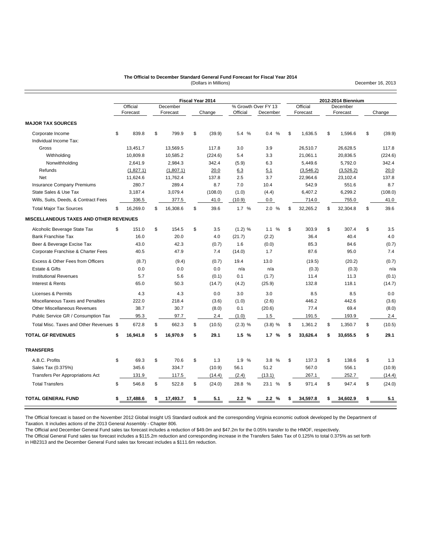#### (Dollars in Millions) **The Official to December Standard General Fund Forecast for Fiscal Year 2014**

**MAJOR TAX SOURCES** Corporate Income \$ 839.8 \$ 799.9 \$ (39.9) 5.4 % 0.4 % \$ 1,636.5 \$ 1,596.6 \$ (39.9) Individual Income Tax: Gross 13,451.7 13,569.5 117.8 3.0 3.9 26,510.7 26,628.5 117.8 Withholding 10,809.8 10,585.2 (224.6) 5.4 3.3 21,061.1 20,836.5 (224.6) Nonwithholding 2,641.9 2,984.3 342.4 (5.9) 6.3 5,449.6 5,792.0 342.4 Refunds (1,827.1) (1,807.1) 20.0 6.3 5.1 (3,546.2) (3,526.2) 20.0 Net 11,624.6 11,762.4 137.8 2.5 3.7 22,964.6 23,102.4 137.8 Insurance Company Premiums 280.7 289.4 8.7 7.0 10.4 542.9 551.6 8.7 State Sales & Use Tax 3,187.4 3,079.4 (108.0) (1.0) (4.4) 6,407.2 6,299.2 (108.0) Wills, Suits, Deeds, & Contract Fees 336.5 377.5 41.0 (10.9) 0.0 714.0 755.0 41.0 Total Major Tax Sources \$ 16,269.0 \$ 16,308.6 \$ 39.6 1.7 % 2.0 % \$ 32,265.2 \$ 32,304.8 \$ 39.6 **MISCELLANEOUS TAXES AND OTHER REVENUES** Alcoholic Beverage State Tax  $$$  151.0  $$$  154.5  $$$  3.5 (1.2) % 1.1 %  $$$  303.9  $$$  307.4  $$$  3.5 Bank Franchise Tax **16.0** 20.0 4.0 (21.7) (2.2) 36.4 40.4 4.0 4.0 Beer & Beverage Excise Tax **43.0** 43.0 42.3 (0.7) 1.6 (0.0) 85.3 84.6 (0.7) Corporate Franchise & Charter Fees 40.5 47.9 7.4 (14.0) 1.7 87.6 95.0 7.4 Excess & Other Fees from Officers (8.7) (9.4) (0.7) 19.4 13.0 (19.5) (20.2) (0.7) (20.9 Estate & Gifts 0.0 0.0 0.0 n/a n/a (0.3) (0.3) n/a Institutional Revenues 5.7 5.6 (0.1) 0.1 (1.7) 11.4 11.3 (0.1) Interest & Rents 65.0 50.3 (14.7) (4.2) (25.9) 132.8 118.1 (14.7) Licenses & Permits **4.3** 4.3 4.3 6.0 3.0 3.0 8.5 8.5 0.0 Miscellaneous Taxes and Penalties 222.0 218.4 (3.6) (1.0) (2.6) 446.2 442.6 (3.6) Other Miscellaneous Revenues 38.7 30.7 (8.0) 0.1 (20.6) 77.4 69.4 (8.0) Public Service GR / Consumption Tax 95.3 97.7 2.4 (1.0) 1.5 191.5 193.9 2.4 Total Misc. Taxes and Other Revenues \$ 672.8 \$ 662.3 \$ (10.5) (2.3) % (3.8) % \$ 1,361.2 \$ 1,350.7 \$ (10.5) **TOTAL GF REVENUES \$ 16,941.8 \$ 16,970.9 \$ 29.1 1.5 % 1.7 % \$ 33,626.4 \$ 33,655.5 \$ 29.1 TRANSFERS** A.B.C. Profits \$ 69.3 \$ 70.6 \$ 1.3 1.9 % 3.8 % \$ 137.3 \$ 138.6 \$ 1.3 Sales Tax (0.375%) 345.6 334.7 (10.9) 56.1 51.2 567.0 556.1 (10.9) Transfers Per Appropriations Act 131.9 117.5 (14.4) (2.4) (13.1) 267.1 252.7 (14.4) Total Transfers \$ 546.8 \$ 522.8 \$ (24.0) 28.8 % 23.1 % \$ 971.4 \$ 947.4 \$ (24.0) **TOTAL GENERAL FUND \$ 17,488.6 \$ 17,493.7 \$ 5.1 2.2 % 2.2 % \$ 34,597.8 \$ 34,602.9 \$ 5.1** Official December **Fiscal Year 2014** % Growth Over FY 13<br>Official Decembe **2012-2014 Biennium** Official December<br>Forecast Forecast Forecast Forecast Change Official December Forecast Forecast Change

The Official forecast is based on the November 2012 Global Insight US Standard outlook and the corresponding Virginia economic outlook developed by the Department of Taxation. It includes actions of the 2013 General Assembly - Chapter 806.

The Official and December General Fund sales tax forecast includes a reduction of \$49.0m and \$47.2m for the 0.05% transfer to the HMOF, respectively.

The Official General Fund sales tax forecast includes a \$115.2m reduction and corresponding increase in the Transfers Sales Tax of 0.125% to total 0.375% as set forth in HB2313 and the December General Fund sales tax forecast includes a \$111.6m reduction.

December 16, 2013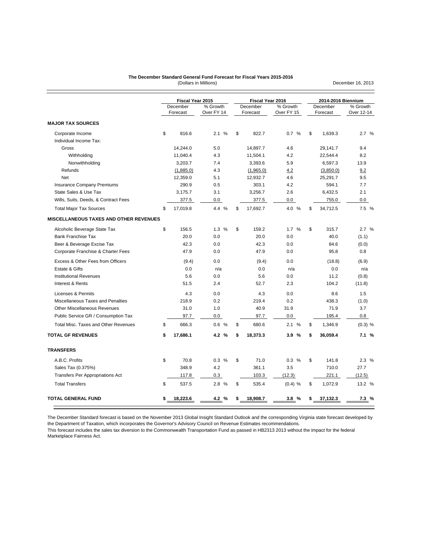#### **The December Standard General Fund Forecast for Fiscal Years 2015-2016**

(Dollars in Millions)

December 16, 2013

|                                               | Fiscal Year 2015     |                        | Fiscal Year 2016     |                        | 2014-2016 Biennium   |                        |
|-----------------------------------------------|----------------------|------------------------|----------------------|------------------------|----------------------|------------------------|
|                                               | December<br>Forecast | % Growth<br>Over FY 14 | December<br>Forecast | % Growth<br>Over FY 15 | December<br>Forecast | % Growth<br>Over 12-14 |
| <b>MAJOR TAX SOURCES</b>                      |                      |                        |                      |                        |                      |                        |
| Corporate Income                              | \$<br>816.6          | 2.1%                   | \$<br>822.7          | 0.7 %                  | \$<br>1,639.3        | 2.7%                   |
| Individual Income Tax:                        |                      |                        |                      |                        |                      |                        |
| Gross                                         | 14,244.0             | 5.0                    | 14,897.7             | 4.6                    | 29,141.7             | 9.4                    |
| Withholding                                   | 11,040.4             | 4.3                    | 11,504.1             | 4.2                    | 22,544.4             | 8.2                    |
| Nonwithholding                                | 3.203.7              | 7.4                    | 3.393.6              | 5.9                    | 6.597.3              | 13.9                   |
| Refunds                                       | (1,885.0)            | 4.3                    | (1,965.0)            | 4.2                    | (3,850.0)            | 9.2                    |
| <b>Net</b>                                    | 12,359.0             | 5.1                    | 12,932.7             | 4.6                    | 25,291.7             | 9.5                    |
| <b>Insurance Company Premiums</b>             | 290.9                | 0.5                    | 303.1                | 4.2                    | 594.1                | 7.7                    |
| State Sales & Use Tax                         | 3,175.7              | 3.1                    | 3,256.7              | 2.6                    | 6,432.5              | 2.1                    |
| Wills, Suits, Deeds, & Contract Fees          | 377.5                | 0.0                    | 377.5                | 0.0                    | 755.0                | 0.0                    |
| <b>Total Major Tax Sources</b>                | \$<br>17,019.8       | 4.4 %                  | \$<br>17,692.7       | 4.0 %                  | \$<br>34,712.5       | 7.5 %                  |
| <b>MISCELLANEOUS TAXES AND OTHER REVENUES</b> |                      |                        |                      |                        |                      |                        |
| Alcoholic Beverage State Tax                  | \$<br>156.5          | 1.3%                   | \$<br>159.2          | %<br>1.7               | \$<br>315.7          | 2.7%                   |
| <b>Bank Franchise Tax</b>                     | 20.0                 | 0.0                    | 20.0                 | 0.0                    | 40.0                 | (1.1)                  |
| Beer & Beverage Excise Tax                    | 42.3                 | 0.0                    | 42.3                 | 0.0                    | 84.6                 | (0.0)                  |
| Corporate Franchise & Charter Fees            | 47.9                 | 0.0                    | 47.9                 | 0.0                    | 95.8                 | 0.8                    |
| Excess & Other Fees from Officers             | (9.4)                | 0.0                    | (9.4)                | 0.0                    | (18.8)               | (6.9)                  |
| Estate & Gifts                                | 0.0                  | n/a                    | 0.0                  | n/a                    | 0.0                  | n/a                    |
| <b>Institutional Revenues</b>                 | 5.6                  | 0.0                    | 5.6                  | 0.0                    | 11.2                 | (0.8)                  |
| Interest & Rents                              | 51.5                 | 2.4                    | 52.7                 | 2.3                    | 104.2                | (11.8)                 |
| Licenses & Permits                            | 4.3                  | 0.0                    | 4.3                  | 0.0                    | 8.6                  | 1.5                    |
| Miscellaneous Taxes and Penalties             | 218.9                | 0.2                    | 219.4                | 0.2                    | 438.3                | (1.0)                  |
| <b>Other Miscellaneous Revenues</b>           | 31.0                 | 1.0                    | 40.9                 | 31.9                   | 71.9                 | 3.7                    |
| Public Service GR / Consumption Tax           | 97.7                 | $0.0\,$                | 97.7                 | 0.0                    | 195.4                | 0.8                    |
| Total Misc. Taxes and Other Revenues          | \$<br>666.3          | 0.6%                   | \$<br>680.6          | 2.1<br>$\frac{0}{0}$   | \$<br>1,346.9        | $(0.3)$ %              |
| <b>TOTAL GF REVENUES</b>                      | \$<br>17,686.1       | 4.2 %                  | \$<br>18,373.3       | 3.9%                   | \$<br>36,059.4       | 7.1%                   |
| <b>TRANSFERS</b>                              |                      |                        |                      |                        |                      |                        |
| A.B.C. Profits                                | \$<br>70.8           | 0.3%                   | \$<br>71.0           | 0.3<br>$\frac{0}{0}$   | \$<br>141.8          | 2.3%                   |
| Sales Tax (0.375%)                            | 348.9                | 4.2                    | 361.1                | 3.5                    | 710.0                | 27.7                   |
| <b>Transfers Per Appropriations Act</b>       | 117.8                | 0.3                    | 103.3                | (12.3)                 | 221.1                | (12.5)                 |
| <b>Total Transfers</b>                        | \$<br>537.5          | 2.8 %                  | \$<br>535.4          | $(0.4)$ %              | \$<br>1,072.9        | 13.2 %                 |
| <b>TOTAL GENERAL FUND</b>                     | 18,223.6             | 4.2 %                  | \$<br>18,908.7       | 3.8%                   | 37,132.3             | 7.3%                   |

The December Standard forecast is based on the November 2013 Global Insight Standard Outlook and the corresponding Virginia state forecast developed by the Department of Taxation, which incorporates the Governor's Advisory Council on Revenue Estimates recommendations.

This forecast includes the sales tax diversion to the Commonwealth Transportation Fund as passed in HB2313 2013 without the impact for the federal Marketplace Fairness Act.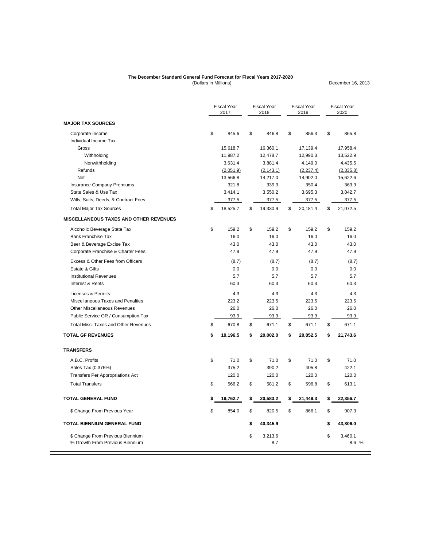#### (Dollars in Millions) **The December Standard General Fund Forecast for Fiscal Years 2017-2020**

December 16, 2013

|                                               | <b>Fiscal Year</b><br>2017 | <b>Fiscal Year</b><br>2018 | <b>Fiscal Year</b><br>2019 | <b>Fiscal Year</b><br>2020 |
|-----------------------------------------------|----------------------------|----------------------------|----------------------------|----------------------------|
| <b>MAJOR TAX SOURCES</b>                      |                            |                            |                            |                            |
| Corporate Income                              | \$<br>845.6                | \$<br>846.8                | \$<br>856.3                | \$<br>865.8                |
| Individual Income Tax:                        |                            |                            |                            |                            |
| Gross                                         | 15,618.7                   | 16,360.1                   | 17,139.4                   | 17,958.4                   |
| Withholding                                   | 11,987.2                   | 12,478.7                   | 12,990.3                   | 13,522.9                   |
| Nonwithholding                                | 3,631.4                    | 3,881.4                    | 4,149.0                    | 4,435.5                    |
| Refunds<br><b>Net</b>                         | (2,051.9)<br>13,566.8      | (2, 143.1)<br>14,217.0     | (2, 237.4)<br>14,902.0     | (2,335.8)                  |
| <b>Insurance Company Premiums</b>             | 321.8                      | 339.3                      | 350.4                      | 15,622.6<br>363.9          |
| State Sales & Use Tax                         | 3,414.1                    | 3,550.2                    | 3,695.3                    | 3,842.7                    |
| Wills, Suits, Deeds, & Contract Fees          | 377.5                      | 377.5                      | 377.5                      | 377.5                      |
| <b>Total Major Tax Sources</b>                | \$<br>18,525.7             | \$<br>19,330.9             | \$<br>20,181.4             | \$<br>21,072.5             |
| <b>MISCELLANEOUS TAXES AND OTHER REVENUES</b> |                            |                            |                            |                            |
| Alcoholic Beverage State Tax                  | \$<br>159.2                | \$<br>159.2                | \$<br>159.2                | \$<br>159.2                |
| <b>Bank Franchise Tax</b>                     | 16.0                       | 16.0                       | 16.0                       | 16.0                       |
| Beer & Beverage Excise Tax                    | 43.0                       | 43.0                       | 43.0                       | 43.0                       |
| Corporate Franchise & Charter Fees            | 47.9                       | 47.9                       | 47.9                       | 47.9                       |
| Excess & Other Fees from Officers             | (8.7)                      | (8.7)                      | (8.7)                      | (8.7)                      |
| Estate & Gifts                                | 0.0                        | 0.0                        | 0.0                        | 0.0                        |
| <b>Institutional Revenues</b>                 | 5.7                        | 5.7                        | 5.7                        | 5.7                        |
| Interest & Rents                              | 60.3                       | 60.3                       | 60.3                       | 60.3                       |
| Licenses & Permits                            | 4.3                        | 4.3                        | 4.3                        | 4.3                        |
| Miscellaneous Taxes and Penalties             | 223.2                      | 223.5                      | 223.5                      | 223.5                      |
| Other Miscellaneous Revenues                  | 26.0                       | 26.0                       | 26.0                       | 26.0                       |
| Public Service GR / Consumption Tax           | 93.9                       | 93.9                       | 93.9                       | 93.9                       |
| <b>Total Misc. Taxes and Other Revenues</b>   | \$<br>670.8                | \$<br>671.1                | \$<br>671.1                | \$<br>671.1                |
| <b>TOTAL GF REVENUES</b>                      | \$<br>19,196.5             | \$<br>20,002.0             | \$<br>20,852.5             | \$<br>21,743.6             |
| <b>TRANSFERS</b>                              |                            |                            |                            |                            |
| A.B.C. Profits                                | \$<br>71.0                 | \$<br>71.0                 | \$<br>71.0                 | \$<br>71.0                 |
| Sales Tax (0.375%)                            | 375.2                      | 390.2                      | 405.8                      | 422.1                      |
| <b>Transfers Per Appropriations Act</b>       | 120.0                      | 120.0                      | 120.0                      | 120.0                      |
| <b>Total Transfers</b>                        | \$<br>566.2                | \$<br>581.2                | \$<br>596.8                | \$<br>613.1                |
| <b>TOTAL GENERAL FUND</b>                     | \$<br>19,762.7             | \$<br>20,583.2             | \$<br>21,449.3             | \$<br>22,356.7             |
| \$ Change From Previous Year                  | \$<br>854.0                | \$<br>820.5                | \$<br>866.1                | \$<br>907.3                |
| <b>TOTAL BIENNIUM GENERAL FUND</b>            |                            | \$<br>40,345.9             |                            | \$<br>43,806.0             |
| \$ Change From Previous Biennium              |                            | \$<br>3,213.6              |                            | \$<br>3,460.1              |
| % Growth From Previous Biennium               |                            | 8.7                        |                            | 8.6%                       |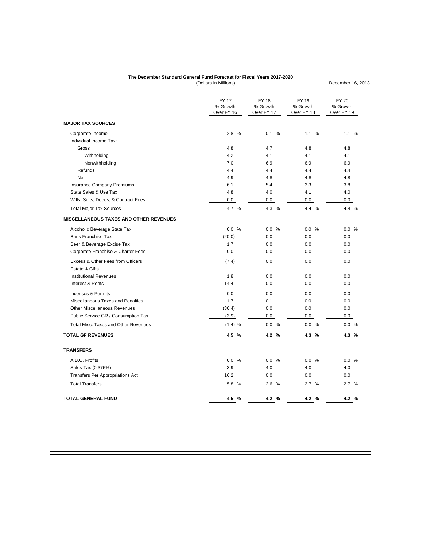#### **The December Standard General Fund Forecast for Fiscal Years 2017-2020**

(Dollars in Millions)

December 16, 2013

|                                               | <b>FY 17</b><br>% Growth<br>Over FY 16 | <b>FY 18</b><br>% Growth<br>Over FY 17 | FY 19<br>% Growth<br>Over FY 18 | <b>FY 20</b><br>% Growth<br>Over FY 19 |
|-----------------------------------------------|----------------------------------------|----------------------------------------|---------------------------------|----------------------------------------|
| <b>MAJOR TAX SOURCES</b>                      |                                        |                                        |                                 |                                        |
| Corporate Income                              | 2.8 %                                  | 0.1 %                                  | 1.1 %                           | 1.1 %                                  |
| Individual Income Tax:                        |                                        |                                        |                                 |                                        |
| Gross                                         | 4.8                                    | 4.7                                    | 4.8                             | 4.8                                    |
| Withholding                                   | 4.2                                    | 4.1                                    | 4.1                             | 4.1                                    |
| Nonwithholding                                | 7.0                                    | 6.9                                    | 6.9                             | 6.9                                    |
| Refunds                                       | 4.4                                    | 4.4                                    | 4.4                             | 4.4                                    |
| <b>Net</b>                                    | 4.9                                    | 4.8                                    | 4.8                             | 4.8                                    |
| <b>Insurance Company Premiums</b>             | 6.1                                    | 5.4                                    | 3.3                             | 3.8                                    |
| State Sales & Use Tax                         | 4.8                                    | 4.0                                    | 4.1                             | 4.0                                    |
| Wills, Suits, Deeds, & Contract Fees          | 0.0                                    | 0.0                                    | 0.0                             | 0.0                                    |
| <b>Total Major Tax Sources</b>                | 4.7 %                                  | 4.3 %                                  | 4.4 %                           | 4.4 %                                  |
| <b>MISCELLANEOUS TAXES AND OTHER REVENUES</b> |                                        |                                        |                                 |                                        |
| Alcoholic Beverage State Tax                  | 0.0 %                                  | 0.0 %                                  | 0.0 %                           | 0.0 %                                  |
| <b>Bank Franchise Tax</b>                     | (20.0)                                 | 0.0                                    | 0.0                             | 0.0                                    |
| Beer & Beverage Excise Tax                    | 1.7                                    | 0.0                                    | 0.0                             | 0.0                                    |
| Corporate Franchise & Charter Fees            | 0.0                                    | 0.0                                    | 0.0                             | 0.0                                    |
| Excess & Other Fees from Officers             | (7.4)                                  | 0.0                                    | 0.0                             | 0.0                                    |
| Estate & Gifts                                |                                        |                                        |                                 |                                        |
| <b>Institutional Revenues</b>                 | 1.8                                    | 0.0                                    | 0.0                             | 0.0                                    |
| Interest & Rents                              | 14.4                                   | 0.0                                    | 0.0                             | 0.0                                    |
| Licenses & Permits                            | 0.0                                    | 0.0                                    | 0.0                             | 0.0                                    |
| Miscellaneous Taxes and Penalties             | 1.7                                    | 0.1                                    | 0.0                             | 0.0                                    |
| <b>Other Miscellaneous Revenues</b>           | (36.4)                                 | 0.0                                    | 0.0                             | 0.0                                    |
| Public Service GR / Consumption Tax           | (3.9)                                  | 0.0                                    | 0.0                             | 0.0                                    |
| Total Misc. Taxes and Other Revenues          | (1.4) %                                | 0.0 %                                  | 0.0 %                           | 0.0 %                                  |
| <b>TOTAL GF REVENUES</b>                      | 4.5 %                                  | 4.2 %                                  | 4.3 %                           | 4.3 %                                  |
| <b>TRANSFERS</b>                              |                                        |                                        |                                 |                                        |
| A.B.C. Profits                                | 0.0 %                                  | 0.0 %                                  | 0.0 %                           | 0.0 %                                  |
| Sales Tax (0.375%)                            | 3.9                                    | 4.0                                    | 4.0                             | 4.0                                    |
| <b>Transfers Per Appropriations Act</b>       | 16.2                                   | 0.0                                    | 0.0                             | 0.0                                    |
| <b>Total Transfers</b>                        | 5.8 %                                  | 2.6 %                                  | 2.7%                            | 2.7%                                   |
|                                               |                                        |                                        |                                 |                                        |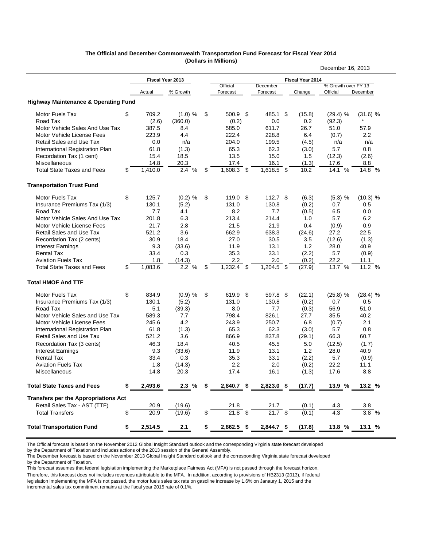|                                                 |               |                  |                        |                          |                                  | December 16, 2013               |               |
|-------------------------------------------------|---------------|------------------|------------------------|--------------------------|----------------------------------|---------------------------------|---------------|
|                                                 |               | Fiscal Year 2013 |                        |                          | Fiscal Year 2014                 |                                 |               |
|                                                 | Actual        | % Growth         | Official<br>Forecast   | December<br>Forecast     | Change                           | % Growth over FY 13<br>Official | December      |
| <b>Highway Maintenance &amp; Operating Fund</b> |               |                  |                        |                          |                                  |                                 |               |
| Motor Fuels Tax                                 | \$<br>709.2   | (1.0) %          | \$<br>500.9            | \$<br>485.1 \$           | (15.8)                           | $(29.4)$ %                      | (31.6) %      |
| Road Tax                                        | (2.6)         | (360.0)          | (0.2)                  | 0.0                      | 0.2                              | (92.3)                          |               |
| Motor Vehicle Sales And Use Tax                 | 387.5         | 8.4              | 585.0                  | 611.7                    | 26.7                             | 51.0                            | 57.9          |
| Motor Vehicle License Fees                      | 223.9         | 4.4              | 222.4                  | 228.8                    | 6.4                              | (0.7)                           | 2.2           |
| Retail Sales and Use Tax                        | 0.0           | n/a              | 204.0                  | 199.5                    | (4.5)                            | n/a                             | n/a           |
| International Registration Plan                 | 61.8          | (1.3)            | 65.3                   | 62.3                     | (3.0)                            | 5.7                             | 0.8           |
| Recordation Tax (1 cent)                        | 15.4          | 18.5             | 13.5                   | 15.0                     | 1.5                              | (12.3)                          | (2.6)         |
| <b>Miscellaneous</b>                            | 14.8          | 20.3             | 17.4                   | 16.1                     | (1.3)                            | 17.6                            | 8.8           |
| <b>Total State Taxes and Fees</b>               | \$<br>1,410.0 | 2.4<br>%         | \$<br>1,608.3          | \$<br>1,618.5 \$         | 10.2                             | 14.1 %                          | 14.8 %        |
| <b>Transportation Trust Fund</b>                |               |                  |                        |                          |                                  |                                 |               |
| Motor Fuels Tax                                 | \$<br>125.7   | $(0.2)$ %        | \$<br>119.0            | \$<br>112.7 <sup>5</sup> | (6.3)                            | $(5.3)$ %                       | (10.3) %      |
| Insurance Premiums Tax (1/3)                    | 130.1         | (5.2)            | 131.0                  | 130.8                    | (0.2)                            | 0.7                             | 0.5           |
| Road Tax                                        | 7.7           | 4.1              | 8.2                    | 7.7                      | (0.5)                            | 6.5                             | 0.0           |
| Motor Vehicle Sales And Use Tax                 | 201.8         | 6.3              | 213.4                  | 214.4                    | 1.0                              | 5.7                             | 6.2           |
| Motor Vehicle License Fees                      | 21.7          | 2.8              | 21.5                   | 21.9                     | 0.4                              | (0.9)                           | 0.9           |
| <b>Retail Sales and Use Tax</b>                 | 521.2         | 3.6              | 662.9                  | 638.3                    | (24.6)                           | 27.2                            | 22.5          |
| Recordation Tax (2 cents)                       | 30.9          | 18.4             | 27.0                   | 30.5                     | 3.5                              | (12.6)                          | (1.3)         |
| <b>Interest Earnings</b>                        | 9.3           | (33.6)           | 11.9                   | 13.1                     | 1.2                              | 28.0                            | 40.9          |
| <b>Rental Tax</b>                               | 33.4          | 0.3              | 35.3                   | 33.1                     | (2.2)                            | 5.7                             | (0.9)         |
| <b>Aviation Fuels Tax</b>                       | 1.8           | (14.3)           | 2.2                    | 2.0                      | (0.2)                            | 22.2                            | 11.1          |
| <b>Total State Taxes and Fees</b>               | \$<br>1,083.6 | 2.2%             | \$<br>1,232.4          | \$<br>1,204.5 \$         | (27.9)                           | 13.7 %                          | 11.2 %        |
| <b>Total HMOF And TTF</b>                       |               |                  |                        |                          |                                  |                                 |               |
| Motor Fuels Tax                                 | \$<br>834.9   | $(0.9)$ %        | \$<br>619.9            | \$<br>597.8 \$           | (22.1)                           | (25.8) %                        | (28.4) %      |
| Insurance Premiums Tax (1/3)                    | 130.1         | (5.2)            | 131.0                  | 130.8                    | (0.2)                            | 0.7                             | 0.5           |
| Road Tax                                        | 5.1           | (39.3)           | 8.0                    | 7.7                      | (0.3)                            | 56.9                            | 51.0          |
| Motor Vehicle Sales and Use Tax                 | 589.3         | 7.7              | 798.4                  | 826.1                    | 27.7                             | 35.5                            | 40.2          |
| Motor Vehicle License Fees                      | 245.6         | 4.2              | 243.9                  | 250.7                    | 6.8                              | (0.7)                           | 2.1           |
| International Registration Plan                 | 61.8          | (1.3)            | 65.3                   | 62.3                     | (3.0)                            | 5.7                             | 0.8           |
| <b>Retail Sales and Use Tax</b>                 | 521.2         | 3.6              | 866.9                  | 837.8                    | (29.1)                           | 66.3                            | 60.7          |
| Recordation Tax (3 cents)                       | 46.3          | 18.4             | 40.5                   | 45.5                     | 5.0                              | (12.5)                          | (1.7)         |
| <b>Interest Earnings</b>                        | 9.3           | (33.6)           | 11.9                   | 13.1                     | 1.2                              | 28.0                            | 40.9          |
| <b>Rental Tax</b>                               | 33.4          | 0.3              | 35.3                   | 33.1                     | (2.2)                            | 5.7                             | (0.9)         |
| <b>Aviation Fuels Tax</b>                       | 1.8           | (14.3)           | 2.2                    | 2.0                      | (0.2)                            | 22.2                            | 11.1          |
| Miscellaneous                                   | 14.8          | 20.3             | 17.4                   | 16.1                     | (1.3)                            | 17.6                            | 8.8           |
| <b>Total State Taxes and Fees</b>               | \$<br>2,493.6 | 2.3%             | \$<br>$2,840.7$ \$     | $2,823.0$ \$             | (17.7)                           | 13.9%                           | 13.2 %        |
| <b>Transfers per the Appropriations Act</b>     |               |                  |                        |                          |                                  |                                 |               |
| Retail Sales Tax - AST (TTF)                    | 20.9          | (19.6)           |                        |                          | (0.1)                            | 4.3                             | 3.8           |
| <b>Total Transfers</b>                          | \$<br>20.9    | (19.6)           | $\frac{21.8}{21.8}$ \$ | $\frac{21.7}{21.7}$ \$   | (0.1)                            |                                 | $3.8\%$       |
| <b>Total Transportation Fund</b>                | \$<br>2,514.5 | 2.1              | \$                     |                          | $2,862.5$ \$ $2,844.7$ \$ (17.8) | $13.8\%$                        | <u>13.1 %</u> |

#### **The Official and December Commonwealth Transportation Fund Forecast for Fiscal Year 2014 (Dollars in Millions)**

The Official forecast is based on the November 2012 Global Insight Standard outlook and the corresponding Virginia state forecast developed by the Department of Taxation and includes actions of the 2013 session of the General Assembly.

The December forecast is based on the November 2013 Global Insight Standard outlook and the corresponding Virginia state forecast developed by the Department of Taxation.

This forecast assumes that federal legislation implementing the Marketplace Fairness Act (MFA) is not passed through the forecast horizon. Therefore, this forecast does not includes revenues attributable to the MFA. In addition, according to provisions of HB2313 (2013), if federal legislation implementing the MFA is not passed, the motor fuels sales tax rate on gasoline increase by 1.6% on Janaury 1, 2015 and the

incremental sales tax commitment remains at the fiscal year 2015 rate of 0.1%.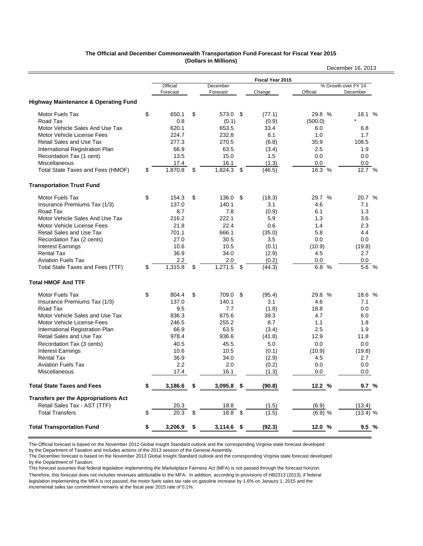#### **The Official and December Commonwealth Transportation Fund Forecast for Fiscal Year 2015 (Dollars in Millions)**

|                                                 |                      |                      |     |                  |           | December 16, 2013               |
|-------------------------------------------------|----------------------|----------------------|-----|------------------|-----------|---------------------------------|
|                                                 |                      |                      |     | Fiscal Year 2015 |           |                                 |
|                                                 | Official<br>Forecast | December<br>Forecast |     | Change           | Official  | % Growth over FY 14<br>December |
| <b>Highway Maintenance &amp; Operating Fund</b> |                      |                      |     |                  |           |                                 |
| Motor Fuels Tax                                 | \$<br>650.1          | \$<br>573.0 \$       |     | (77.1)           | 29.8 %    | 18.1 %                          |
| Road Tax                                        | 0.8                  | (0.1)                |     | (0.9)            | (500.0)   |                                 |
| Motor Vehicle Sales And Use Tax                 | 620.1                | 653.5                |     | 33.4             | 6.0       | 6.8                             |
| Motor Vehicle License Fees                      | 224.7                | 232.8                |     | 8.1              | 1.0       | 1.7                             |
| <b>Retail Sales and Use Tax</b>                 | 277.3                | 270.5                |     | (6.8)            | 35.9      | 108.5                           |
| International Registration Plan                 | 66.9                 | 63.5                 |     | (3.4)            | 2.5       | 1.9                             |
| Recordation Tax (1 cent)                        | 13.5                 | 15.0                 |     | 1.5              | 0.0       | 0.0                             |
| Miscellaneous                                   | 17.4                 | 16.1                 |     | (1.3)            | 0.0       | 0.0                             |
| Total State Taxes and Fees (HMOF)               | \$<br>1,870.8        | \$<br>1,824.3        | -\$ | (46.5)           | 16.3 %    | 12.7 %                          |
| <b>Transportation Trust Fund</b>                |                      |                      |     |                  |           |                                 |
| <b>Motor Fuels Tax</b>                          | \$<br>154.3          | \$<br>136.0          | \$  | (18.3)           | 29.7 %    | 20.7 %                          |
| Insurance Premiums Tax (1/3)                    | 137.0                | 140.1                |     | 3.1              | 4.6       | 7.1                             |
| Road Tax                                        | 8.7                  | 7.8                  |     | (0.9)            | 6.1       | 1.3                             |
| Motor Vehicle Sales And Use Tax                 | 216.2                | 222.1                |     | 5.9              | 1.3       | 3.6                             |
| Motor Vehicle License Fees                      | 21.8                 | 22.4                 |     | 0.6              | 1.4       | 2.3                             |
| <b>Retail Sales and Use Tax</b>                 | 701.1                | 666.1                |     | (35.0)           | 5.8       | 4.4                             |
| Recordation Tax (2 cents)                       | 27.0                 | 30.5                 |     | 3.5              | 0.0       | 0.0                             |
| <b>Interest Earnings</b>                        | 10.6                 | 10.5                 |     | (0.1)            | (10.9)    | (19.8)                          |
| <b>Rental Tax</b>                               | 36.9                 | 34.0                 |     | (2.9)            | 4.5       | 2.7                             |
| <b>Aviation Fuels Tax</b>                       | 2.2                  | 2.0                  |     | (0.2)            | 0.0       | 0.0                             |
| Total State Taxes and Fees (TTF)                | \$<br>1,315.8        | \$<br>1,271.5        | \$  | (44.3)           | 6.8 %     | 5.6 %                           |
| <b>Total HMOF And TTF</b>                       |                      |                      |     |                  |           |                                 |
| <b>Motor Fuels Tax</b>                          | \$<br>804.4          | \$<br>709.0          | \$  | (95.4)           | 29.8 %    | 18.6 %                          |
| Insurance Premiums Tax (1/3)                    | 137.0                | 140.1                |     | 3.1              | 4.6       | 7.1                             |
| Road Tax                                        | 9.5                  | 7.7                  |     | (1.8)            | 18.8      | 0.0                             |
| Motor Vehicle Sales and Use Tax                 | 836.3                | 875.6                |     | 39.3             | 4.7       | 6.0                             |
| Motor Vehicle License Fees                      | 246.5                | 255.2                |     | 8.7              | 1.1       | 1.8                             |
| International Registration Plan                 | 66.9                 | 63.5                 |     | (3.4)            | 2.5       | 1.9                             |
| Retail Sales and Use Tax                        | 978.4                | 936.6                |     | (41.8)           | 12.9      | 11.8                            |
| Recordation Tax (3 cents)                       | 40.5                 | 45.5                 |     | 5.0              | 0.0       | 0.0                             |
| <b>Interest Earnings</b>                        | 10.6                 | 10.5                 |     | (0.1)            | (10.9)    | (19.8)                          |
| <b>Rental Tax</b>                               | 36.9                 | 34.0                 |     | (2.9)            | 4.5       | 2.7                             |
| <b>Aviation Fuels Tax</b>                       | 2.2                  | 2.0                  |     | (0.2)            | 0.0       | 0.0                             |
| Miscellaneous                                   | 17.4                 | 16.1                 |     | (1.3)            | 0.0       | $0.0\,$                         |
| <b>Total State Taxes and Fees</b>               | \$<br>3,186.6        | 3,095.8              | \$  | (90.8)           | 12.2%     | 9.7 %                           |
| <b>Transfers per the Appropriations Act</b>     |                      |                      |     |                  |           |                                 |
| Retail Sales Tax - AST (TTF)                    | 20.3                 | 18.8                 |     | (1.5)            | (6.9)     | (13.4)                          |
| <b>Total Transfers</b>                          | \$<br>20.3           | \$<br>18.8           |     | (1.5)            | $(6.9)$ % | (13.4) %                        |
| <b>Total Transportation Fund</b>                | \$<br>3,206.9        | \$<br>$3,114.6$ \$   |     | (92.3)           | 12.0%     | $9.5\%$                         |

The Official forecast is based on the November 2012 Global Insight Standard outlook and the corresponding Virginia state forecast developed

by the Department of Taxation and includes actions of the 2013 session of the General Assembly.

The December forecast is based on the November 2013 Global Insight Standard outlook and the corresponding Virginia state forecast developed by the Department of Taxation.

This forecast assumes that federal legislation implementing the Marketplace Fairness Act (MFA) is not passed through the forecast horizon. Therefore, this forecast does not includes revenues attributable to the MFA. In addition, according to provisions of HB2313 (2013), if federal

legislation implementing the MFA is not passed, the motor fuels sales tax rate on gasoline increase by 1.6% on Janaury 1, 2015 and the incremental sales tax commitment remains at the fiscal year 2015 rate of 0.1%.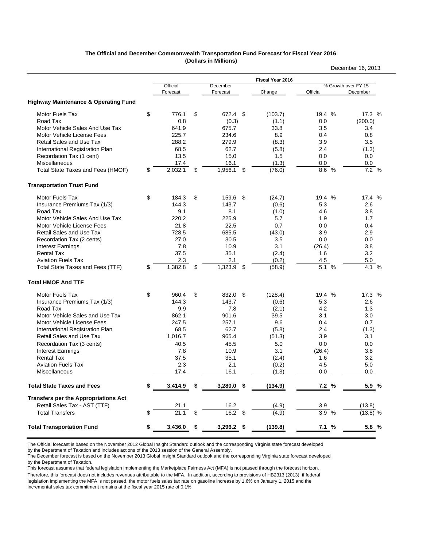#### **The Official and December Commonwealth Transportation Fund Forecast for Fiscal Year 2016 (Dollars in Millions)**

|                                                 |               |                     |                  |                     | December 16, 2013   |
|-------------------------------------------------|---------------|---------------------|------------------|---------------------|---------------------|
|                                                 |               |                     | Fiscal Year 2016 |                     |                     |
|                                                 | Official      | December            |                  |                     | % Growth over FY 15 |
|                                                 | Forecast      | Forecast            | Change           | Official            | December            |
| <b>Highway Maintenance &amp; Operating Fund</b> |               |                     |                  |                     |                     |
| Motor Fuels Tax                                 | \$<br>776.1   | \$<br>672.4         | \$<br>(103.7)    | 19.4 %              | 17.3 %              |
| Road Tax                                        | 0.8           | (0.3)               | (1.1)            | 0.0                 | (200.0)             |
| Motor Vehicle Sales And Use Tax                 | 641.9         | 675.7               | 33.8             | 3.5                 | 3.4                 |
| Motor Vehicle License Fees                      | 225.7         | 234.6               | 8.9              | 0.4                 | 0.8                 |
| <b>Retail Sales and Use Tax</b>                 | 288.2         | 279.9               | (8.3)            | 3.9                 | 3.5                 |
| International Registration Plan                 | 68.5          | 62.7                | (5.8)            | 2.4                 | (1.3)               |
| Recordation Tax (1 cent)                        | 13.5          | 15.0                | 1.5              | 0.0                 | 0.0                 |
| Miscellaneous                                   | 17.4          | 16.1                | (1.3)            | 0.0                 | 0.0                 |
| Total State Taxes and Fees (HMOF)               | \$<br>2,032.1 | \$<br>1,956.1       | \$<br>(76.0)     | 8.6 %               | 7.2 %               |
| <b>Transportation Trust Fund</b>                |               |                     |                  |                     |                     |
| <b>Motor Fuels Tax</b>                          | \$<br>184.3   | \$<br>159.6         | \$<br>(24.7)     | 19.4 %              | 17.4 %              |
| Insurance Premiums Tax (1/3)                    | 144.3         | 143.7               | (0.6)            | 5.3                 | 2.6                 |
| Road Tax                                        | 9.1           | 8.1                 | (1.0)            | 4.6                 | 3.8                 |
| Motor Vehicle Sales And Use Tax                 | 220.2         | 225.9               | 5.7              | 1.9                 | 1.7                 |
| Motor Vehicle License Fees                      | 21.8          | 22.5                | 0.7              | 0.0                 | 0.4                 |
| <b>Retail Sales and Use Tax</b>                 | 728.5         | 685.5               | (43.0)           | 3.9                 | 2.9                 |
| Recordation Tax (2 cents)                       | 27.0          | 30.5                | 3.5              | 0.0                 | 0.0                 |
| <b>Interest Earnings</b>                        | 7.8           | 10.9                | 3.1              | (26.4)              | 3.8                 |
| <b>Rental Tax</b>                               | 37.5          | 35.1                | (2.4)            | 1.6                 | 3.2                 |
| <b>Aviation Fuels Tax</b>                       | 2.3           | 2.1                 | (0.2)            | 4.5                 | 5.0                 |
| Total State Taxes and Fees (TTF)                | \$<br>1,382.8 | \$<br>1,323.9       | \$<br>(58.9)     | 5.1 %               | $4.1\%$             |
| <b>Total HMOF And TTF</b>                       |               |                     |                  |                     |                     |
| <b>Motor Fuels Tax</b>                          | \$<br>960.4   | \$<br>832.0         | \$<br>(128.4)    | 19.4 %              | 17.3 %              |
| Insurance Premiums Tax (1/3)                    | 144.3         | 143.7               | (0.6)            | 5.3                 | 2.6                 |
| Road Tax                                        | 9.9           | 7.8                 | (2.1)            | 4.2                 | 1.3                 |
| Motor Vehicle Sales and Use Tax                 | 862.1         | 901.6               | 39.5             | 3.1                 | 3.0                 |
| Motor Vehicle License Fees                      | 247.5         | 257.1               | 9.6              | 0.4                 | 0.7                 |
| International Registration Plan                 | 68.5          | 62.7                | (5.8)            | 2.4                 | (1.3)               |
| <b>Retail Sales and Use Tax</b>                 | 1,016.7       | 965.4               | (51.3)           | 3.9                 | 3.1                 |
| Recordation Tax (3 cents)                       | 40.5          | 45.5                | 5.0              | 0.0                 | 0.0                 |
| <b>Interest Earnings</b>                        | 7.8           | 10.9                | 3.1              | (26.4)              | 3.8                 |
| <b>Rental Tax</b>                               | 37.5          | 35.1                | (2.4)            | 1.6                 | 3.2                 |
| <b>Aviation Fuels Tax</b>                       | 2.3           | 2.1                 | (0.2)            | 4.5                 | 5.0                 |
| Miscellaneous                                   | 17.4          | 16.1                | (1.3)            | 0.0                 | 0.0                 |
| <b>Total State Taxes and Fees</b>               | \$<br>3,414.9 | 3,280.0             | \$<br>(134.9)    | 7.2 %               | 5.9%                |
| <b>Transfers per the Appropriations Act</b>     |               |                     |                  |                     |                     |
| Retail Sales Tax - AST (TTF)                    | 21.1          | $\frac{16.2}{16.2}$ | (4.9)            | $\frac{3.9}{3.9}$ % | (13.8)              |
| <b>Total Transfers</b>                          | \$<br>21.1    |                     | (4.9)            |                     | $(13.8)$ %          |
| <b>Total Transportation Fund</b>                | \$<br>3,436.0 | \$<br>$3,296.2$ \$  | (139.8)          | <u>7.1</u> %        | 5.8 %               |

The Official forecast is based on the November 2012 Global Insight Standard outlook and the corresponding Virginia state forecast developed

by the Department of Taxation and includes actions of the 2013 session of the General Assembly.

The December forecast is based on the November 2013 Global Insight Standard outlook and the corresponding Virginia state forecast developed by the Department of Taxation.

This forecast assumes that federal legislation implementing the Marketplace Fairness Act (MFA) is not passed through the forecast horizon. Therefore, this forecast does not includes revenues attributable to the MFA. In addition, according to provisions of HB2313 (2013), if federal legislation implementing the MFA is not passed, the motor fuels sales tax rate on gasoline increase by 1.6% on Janaury 1, 2015 and the incremental sales tax commitment remains at the fiscal year 2015 rate of 0.1%.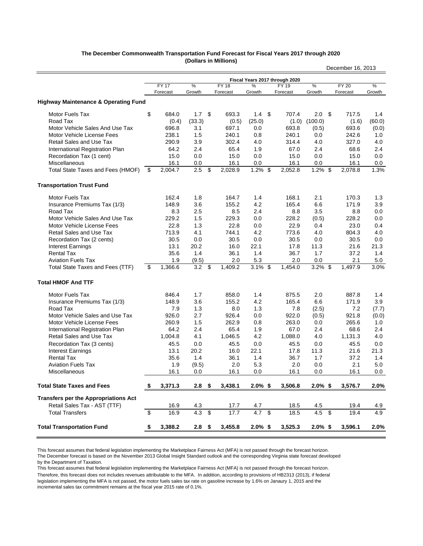#### **The December Commonwealth Transportation Fund Forecast for Fiscal Years 2017 through 2020 (Dollars in Millions)**

|                                                 |                         |              |        |                         |              |                  |                                |            |      | December 16, 2013 |        |
|-------------------------------------------------|-------------------------|--------------|--------|-------------------------|--------------|------------------|--------------------------------|------------|------|-------------------|--------|
|                                                 |                         |              |        |                         |              |                  | Fiscal Years 2017 through 2020 |            |      |                   |        |
|                                                 |                         | <b>FY 17</b> | $\%$   |                         | <b>FY 18</b> | %                | FY 19                          | %          |      | <b>FY 20</b>      | $\%$   |
|                                                 |                         | Forecast     | Growth |                         | Forecast     | Growth           | Forecast                       | Growth     |      | Forecast          | Growth |
| <b>Highway Maintenance &amp; Operating Fund</b> |                         |              |        |                         |              |                  |                                |            |      |                   |        |
| Motor Fuels Tax                                 | \$                      | 684.0        | 1.7    | \$                      | 693.3        | 1.4 <sup>5</sup> | 707.4                          | $2.0\,$    | - \$ | 717.5             | 1.4    |
| Road Tax                                        |                         | (0.4)        | (33.3) |                         | (0.5)        | (25.0)           | (1.0)                          | (100.0)    |      | (1.6)             | (60.0) |
| Motor Vehicle Sales And Use Tax                 |                         | 696.8        | 3.1    |                         | 697.1        | 0.0              | 693.8                          | (0.5)      |      | 693.6             | (0.0)  |
| Motor Vehicle License Fees                      |                         | 238.1        | 1.5    |                         | 240.1        | 0.8              | 240.1                          | 0.0        |      | 242.6             | 1.0    |
| <b>Retail Sales and Use Tax</b>                 |                         | 290.9        | 3.9    |                         | 302.4        | 4.0              | 314.4                          | 4.0        |      | 327.0             | 4.0    |
| International Registration Plan                 |                         | 64.2         | 2.4    |                         | 65.4         | 1.9              | 67.0                           | 2.4        |      | 68.6              | 2.4    |
| Recordation Tax (1 cent)                        |                         | 15.0         | 0.0    |                         | 15.0         | 0.0              | 15.0                           | 0.0        |      | 15.0              | 0.0    |
| Miscellaneous                                   |                         | 16.1         | 0.0    |                         | 16.1         | 0.0              | 16.1                           | 0.0        |      | 16.1              | 0.0    |
| Total State Taxes and Fees (HMOF)               | -\$                     | 2,004.7      | 2.5    | \$                      | 2,028.9      | $1.2\%$ \$       | 2,052.8                        | $1.2\%$ \$ |      | 2,078.8           | 1.3%   |
| <b>Transportation Trust Fund</b>                |                         |              |        |                         |              |                  |                                |            |      |                   |        |
| <b>Motor Fuels Tax</b>                          |                         | 162.4        | 1.8    |                         | 164.7        | 1.4              | 168.1                          | 2.1        |      | 170.3             | 1.3    |
| Insurance Premiums Tax (1/3)                    |                         | 148.9        | 3.6    |                         | 155.2        | 4.2              | 165.4                          | 6.6        |      | 171.9             | 3.9    |
| Road Tax                                        |                         | 8.3          | 2.5    |                         | 8.5          | 2.4              | 8.8                            | 3.5        |      | 8.8               | 0.0    |
| Motor Vehicle Sales And Use Tax                 |                         | 229.2        | 1.5    |                         | 229.3        | 0.0              | 228.2                          | (0.5)      |      | 228.2             | 0.0    |
| Motor Vehicle License Fees                      |                         | 22.8         | 1.3    |                         | 22.8         | 0.0              | 22.9                           | 0.4        |      | 23.0              | 0.4    |
| <b>Retail Sales and Use Tax</b>                 |                         | 713.9        | 4.1    |                         | 744.1        | 4.2              | 773.6                          | 4.0        |      | 804.3             | 4.0    |
| Recordation Tax (2 cents)                       |                         | 30.5         | 0.0    |                         | 30.5         | 0.0              | 30.5                           | 0.0        |      | 30.5              | 0.0    |
| <b>Interest Earnings</b>                        |                         | 13.1         | 20.2   |                         | 16.0         | 22.1             | 17.8                           | 11.3       |      | 21.6              | 21.3   |
| <b>Rental Tax</b>                               |                         | 35.6         | 1.4    |                         | 36.1         | 1.4              | 36.7                           | 1.7        |      | 37.2              | 1.4    |
| <b>Aviation Fuels Tax</b>                       |                         | 1.9          | (9.5)  |                         | 2.0          | 5.3              | 2.0                            | 0.0        |      | 2.1               | 5.0    |
| Total State Taxes and Fees (TTF)                | \$                      | 1,366.6      | 3.2    | \$                      | 1,409.2      | $3.1\%$ \$       | 1,454.0                        | $3.2\%$ \$ |      | 1,497.9           | 3.0%   |
| <b>Total HMOF And TTF</b>                       |                         |              |        |                         |              |                  |                                |            |      |                   |        |
| Motor Fuels Tax                                 |                         | 846.4        | 1.7    |                         | 858.0        | 1.4              | 875.5                          | 2.0        |      | 887.8             | 1.4    |
| Insurance Premiums Tax (1/3)                    |                         | 148.9        | 3.6    |                         | 155.2        | 4.2              | 165.4                          | 6.6        |      | 171.9             | 3.9    |
| Road Tax                                        |                         | 7.9          | 1.3    |                         | 8.0          | 1.3              | 7.8                            | (2.5)      |      | 7.2               | (7.7)  |
| Motor Vehicle Sales and Use Tax                 |                         | 926.0        | 2.7    |                         | 926.4        | 0.0              | 922.0                          | (0.5)      |      | 921.8             | (0.0)  |
| Motor Vehicle License Fees                      |                         | 260.9        | 1.5    |                         | 262.9        | 0.8              | 263.0                          | 0.0        |      | 265.6             | 1.0    |
| International Registration Plan                 |                         | 64.2         | 2.4    |                         | 65.4         | 1.9              | 67.0                           | 2.4        |      | 68.6              | 2.4    |
| <b>Retail Sales and Use Tax</b>                 |                         | 1,004.8      | 4.1    |                         | 1,046.5      | 4.2              | 1,088.0                        | 4.0        |      | 1,131.3           | 4.0    |
| Recordation Tax (3 cents)                       |                         | 45.5         | 0.0    |                         | 45.5         | 0.0              | 45.5                           | 0.0        |      | 45.5              | 0.0    |
| <b>Interest Earnings</b>                        |                         | 13.1         | 20.2   |                         | 16.0         | 22.1             | 17.8                           | 11.3       |      | 21.6              | 21.3   |
| <b>Rental Tax</b>                               |                         | 35.6         | 1.4    |                         | 36.1         | 1.4              | 36.7                           | 1.7        |      | 37.2              | 1.4    |
| <b>Aviation Fuels Tax</b>                       |                         | 1.9          | (9.5)  |                         | 2.0          | 5.3              | 2.0                            | 0.0        |      | 2.1               | 5.0    |
| Miscellaneous                                   |                         | 16.1         | 0.0    |                         | 16.1         | 0.0              | 16.1                           | 0.0        |      | 16.1              | 0.0    |
| <b>Total State Taxes and Fees</b>               | \$                      | 3,371.3      | 2.8    | \$                      | 3,438.1      | $2.0\%$ \$       | 3,506.8                        | $2.0\%$ \$ |      | 3,576.7           | 2.0%   |
| <b>Transfers per the Appropriations Act</b>     |                         |              |        |                         |              |                  |                                |            |      |                   |        |
| Retail Sales Tax - AST (TTF)                    |                         | 16.9         | 4.3    |                         | 17.7         | 4.7              | 18.5                           | 4.5        |      | 19.4              | 4.9    |
| <b>Total Transfers</b>                          | $\overline{\mathbf{e}}$ | 16.9         | 4.3    | $\overline{\mathbf{3}}$ | 17.7         | $4.7$ \$         | 18.5                           | 4.5        | - \$ | $\overline{19.4}$ | 4.9    |
| <b>Total Transportation Fund</b>                | \$                      | 3,388.2      | 2.8    | \$                      | 3,455.8      | $2.0\%$ \$       | 3,525.3                        | $2.0\%$ \$ |      | 3,596.1           | 2.0%   |
|                                                 |                         |              |        |                         |              |                  |                                |            |      |                   |        |

This forecast assumes that federal legislation implementing the Marketplace Fairness Act (MFA) is not passed through the forecast horizon.

The December forecast is based on the November 2013 Global Insight Standard outlook and the corresponding Virginia state forecast developed by the Department of Taxation.

This forecast assumes that federal legislation implementing the Marketplace Fairness Act (MFA) is not passed through the forecast horizon. Therefore, this forecast does not includes revenues attributable to the MFA. In addition, according to provisions of HB2313 (2013), if federal legislation implementing the MFA is not passed, the motor fuels sales tax rate on gasoline increase by 1.6% on Janaury 1, 2015 and the incremental sales tax commitment remains at the fiscal year 2015 rate of 0.1%.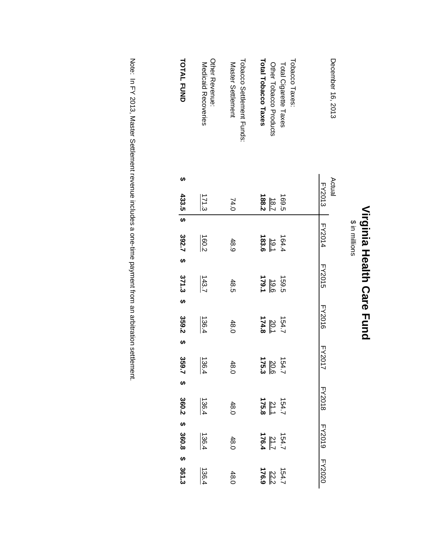| I<br>L<br>ť<br>n,<br>п |  |
|------------------------|--|
| I                      |  |
| ١<br>t                 |  |
| ı.                     |  |

\$ in millions \$ in millions

| <b>TOTAL FUND</b>       | Other Revenue:<br><b>Nedicald Recoveries</b> | Tobacco Settlement Funds:<br>Master Settlement | Tobacco Taxes:<br>Total Tobacco Taxes<br>Total Cigarette Taxes<br>Other Tobacco Products | December 16, 2013    |
|-------------------------|----------------------------------------------|------------------------------------------------|------------------------------------------------------------------------------------------|----------------------|
| မာ                      |                                              |                                                |                                                                                          | Actual               |
| 433.5 \$                | 171.3                                        | 74.0                                           | 188.2<br>169.5<br>$\sqrt{8.7}$                                                           | FY2013               |
|                         |                                              |                                                |                                                                                          |                      |
| 392.7 <sup>2</sup>      | 160.2                                        | 48.9                                           | 183.6<br>164.4<br>10.1                                                                   | FY2014               |
|                         |                                              |                                                |                                                                                          |                      |
| $371.3$ \$              | 143.7                                        | 48.5                                           | $\frac{1.9.6}{179.1}$<br>159.5                                                           | <b>FY2015</b>        |
|                         |                                              |                                                |                                                                                          |                      |
| 359.2\$                 | 136.4                                        | 48.0                                           | $\frac{20.1}{174.8}$<br>154.7                                                            | <b>FY2016</b>        |
|                         |                                              |                                                |                                                                                          | <b>FY201</b>         |
| 359.7                   | 136.4                                        | 48.0                                           | $\frac{20.6}{20.6}$<br>20.6                                                              |                      |
|                         |                                              |                                                |                                                                                          |                      |
|                         | 136.4                                        | 48.0                                           | $\frac{154.7}{21.5.8}$                                                                   | FY2018               |
| 360.2 \$ 360.8 \$ 361.3 | 136.4                                        | 48.0                                           | $\frac{2154.7}{2126.4}$                                                                  | <b>FY2010 PY2020</b> |
|                         |                                              |                                                |                                                                                          |                      |
|                         | 136.4                                        | 48.0                                           | $\frac{154.7}{22.2}$                                                                     |                      |

Note: In FY 2013, Master Settlement revenue includes a one-time payment from an arbitration settlement. Note: In FY 2013, Master Settlement revenue includes a one-time payment from an arbitration settlement.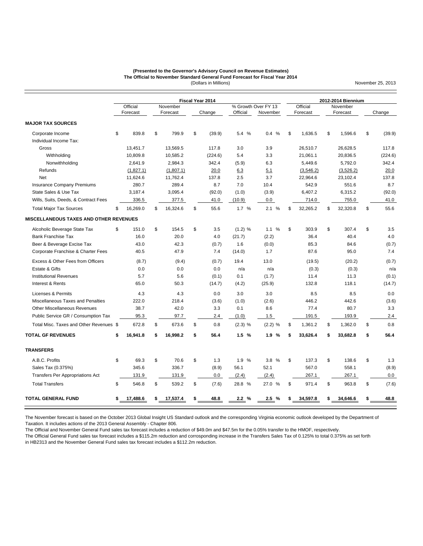#### (Dollars in Millions) **(Presented to the Governor's Advisory Council on Revenue Estimates) The Official to November Standard General Fund Forecast for Fiscal Year 2014**

**MAJOR TAX SOURCES** Corporate Income \$ 839.8 \$ 799.9 \$ (39.9) 5.4 % 0.4 % \$ 1,636.5 \$ 1,596.6 \$ (39.9) Individual Income Tax: Gross 13,451.7 13,569.5 117.8 3.0 3.9 26,510.7 26,628.5 117.8 Withholding 10,809.8 10,585.2 (224.6) 5.4 3.3 21,061.1 20,836.5 (224.6) Nonwithholding 2,641.9 2,984.3 342.4 (5.9) 6.3 5,449.6 5,792.0 342.4 Refunds (1,827.1) (1,807.1) 20.0 6.3 5.1 (3,546.2) (3,526.2) 20.0 Net 11,624.6 11,762.4 137.8 2.5 3.7 22,964.6 23,102.4 137.8 Insurance Company Premiums 280.7 289.4 8.7 7.0 10.4 542.9 551.6 8.7 State Sales & Use Tax 3,187.4 3,095.4 (92.0) (1.0) (3.9) 6,407.2 6,315.2 (92.0) Wills, Suits, Deeds, & Contract Fees 336.5 377.5 41.0 (10.9) 0.0 714.0 755.0 41.0 Total Major Tax Sources \$ 16,269.0 \$ 16,324.6 \$ 55.6 1.7 % 2.1 % \$ 32,265.2 \$ 32,320.8 \$ 55.6 **MISCELLANEOUS TAXES AND OTHER REVENUES** Alcoholic Beverage State Tax  $\begin{array}{ccccccccccccc}\n\$ & 151.0 & \$ & 154.5 & \$ & 3.5 & (1.2) & \% & 1.1 & \% & \$ & 303.9 & \$ & 307.4 & \$ & 3.5\n\end{array}$ Bank Franchise Tax 16.0 20.0 4.0 (21.7) (2.2) 36.4 40.4 4.0 Beer & Beverage Excise Tax 43.0 42.3 (0.7) 1.6 (0.0) 85.3 84.6 (0.7) Corporate Franchise & Charter Fees 40.5 47.9 7.4 (14.0) 1.7 87.6 95.0 7.4 Excess & Other Fees from Officers (8.7) (9.4) (0.7) 19.4 13.0 (19.5) (20.2) (0.7) (20.7) Estate & Gifts 0.0 0.0 0.0 n/a n/a (0.3) (0.3) n/a Institutional Revenues 5.7 5.6 (0.1) 0.1 (1.7) 11.4 11.3 (0.1) Interest & Rents 65.0 50.3 (14.7) (4.2) (25.9) 132.8 118.1 (14.7) Licenses & Permits **4.3** 4.3 4.3 6.0 3.0 3.0 8.5 8.5 0.0 Miscellaneous Taxes and Penalties 222.0 218.4 (3.6) (1.0) (2.6) 446.2 442.6 (3.6) Other Miscellaneous Revenues **38.7** 42.0 3.3 0.1 8.6 77.4 80.7 3.3 Public Service GR / Consumption Tax 95.3 97.7 2.4 (1.0) 1.5 191.5 193.9 2.4 Total Misc. Taxes and Other Revenues \$ 672.8 \$ 673.6 \$ 0.8 (2.3) % (2.2) % \$ 1,361.2 \$ 1,362.0 \$ 0.8 **TOTAL GF REVENUES \$ 16,941.8 \$ 16,998.2 \$ 56.4 1.5 % 1.9 % \$ 33,626.4 \$ 33,682.8 \$ 56.4 TRANSFERS** A.B.C. Profits \$ 69.3 \$ 70.6 \$ 1.3 1.9 % 3.8 % \$ 137.3 \$ 138.6 \$ 1.3 Sales Tax (0.375%) 345.6 336.7 (8.9) 56.1 52.1 567.0 558.1 (8.9) Transfers Per Appropriations Act 131.9 131.9 131.9 0.0 (2.4) (2.4) 267.1 267.1 267.1 0.0 Total Transfers \$ 546.8 \$ 539.2 \$ (7.6) 28.8 % 27.0 % \$ 971.4 \$ 963.8 \$ (7.6) **TOTAL GENERAL FUND \$ 17,488.6 \$ 17,537.4 \$ 48.8 2.2 % 2.5 % \$ 34,597.8 \$ 34,646.6 \$ 48.8** Official November **Fiscal Year 2014** % Growth Over FY 13<br>Official Novembe **2012-2014 Biennium** Official November<br>Forecast Forecast Forecast Forecast Change Official November Forecast Forecast Change

The November forecast is based on the October 2013 Global Insight US Standard outlook and the corresponding Virginia economic outlook developed by the Department of Taxation. It includes actions of the 2013 General Assembly - Chapter 806.

The Official and November General Fund sales tax forecast includes a reduction of \$49.0m and \$47.5m for the 0.05% transfer to the HMOF, respectively.

The Official General Fund sales tax forecast includes a \$115.2m reduction and corrosponding increase in the Transfers Sales Tax of 0.125% to total 0.375% as set forth in HB2313 and the November General Fund sales tax forecast includes a \$112.2m reduction.

November 25, 2013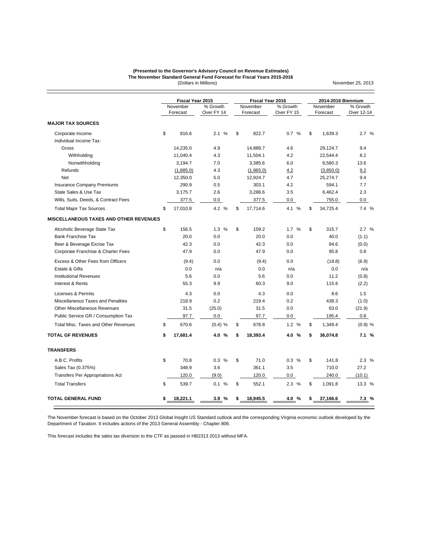#### (Dollars in Millions) **The November Standard General Fund Forecast for Fiscal Years 2015-2016 (Presented to the Governor's Advisory Council on Revenue Estimates)**

November 25, 2013

**MAJOR TAX SOURCES** Corporate Income \$ 816.6 2.1 % \$ 822.7 0.7 % \$ 1,639.3 2.7 % Individual Income Tax: Gross 14,235.0 4.9 14,889.7 4.6 29,124.7 9.4 Withholding 11,040.4 4.3 11,504.1 4.2 22,544.4 8.2 Nonwithholding 3,194.7 7.0 3,385.6 6.0 6,580.3 13.6 Refunds <u>(1,885.0)</u> 4.3 <u>(1,965.0)</u> <u>4.2</u> <u>(3,850.0)</u> 9.2 Net 12,350.0 5.0 12,924.7 4.7 25,274.7 9.4 Insurance Company Premiums 290.9 0.5 303.1 4.2 594.1 7.7 State Sales & Use Tax  $3,175.7$   $2.6$   $3,286.6$   $3.5$   $6,462.4$   $2.3$ Wills, Suits, Deeds, & Contract Fees 377.5 0.0 377.5 0.0 377.5 0.0 755.0 0.0 Total Major Tax Sources \$ 17,010.8 4.2 % \$ 17,714.6 4.1 % \$ 34,725.4 7.4 % **MISCELLANEOUS TAXES AND OTHER REVENUES** Alcoholic Beverage State Tax  $$ 156.5$   $1.3 % $ 159.2$   $1.7 % $ 315.7$   $2.7 %$ Bank Franchise Tax 20.0 0.0 20.0 0.0 40.0 (1.1) Beer & Beverage Excise Tax **60.0** 42.3 0.0 42.3 0.0 42.3 0.0 84.6 (0.0) Corporate Franchise & Charter Fees 47.9 0.0 47.9 0.0 95.8 0.8 Excess & Other Fees from Officers (9.4) 0.0 (9.4) 0.0 (18.8) (6.9) Estate & Gifts 0.0 n/a 0.0 n/a 0.0 n/a Institutional Revenues 5.6 0.0 5.6 0.0 11.2 (0.8) Interest & Rents 55.3 9.9 60.3 9.0 115.6 (2.2) Licenses & Permits **A.5 4.3 4.3 4.3 4.3 6.0 4.6 4.5 8.6 1.5 4.5 4.9 4.9 1.5** Miscellaneous Taxes and Penalties 218.9 0.2 219.4 0.2 438.3 (1.0) Other Miscellaneous Revenues 31.5 (25.0) 31.5 0.0 63.0 (21.9) Public Service GR / Consumption Tax 97.7 0.0 97.7 0.0 195.4 0.8 Total Misc. Taxes and Other Revenues \$ 670.6 (0.4) % \$ 678.8 1.2 % \$ 1,349.4 (0.9) % **TOTAL GF REVENUES \$ 17,681.4 4.0 % \$ 18,393.4 4.0 % \$ 36,074.8 7.1 % TRANSFERS** A.B.C. Profits \$ 70.8 0.3 % \$ 71.0 0.3 % \$ 141.8 2.3 % Sales Tax (0.375%) 348.9 3.6 361.1 3.5 710.0 27.2 Transfers Per Appropriations Act 120.0 (9.0) 120.0 0.0 240.0 (10.1) Total Transfers \$ 539.7 0.1 % \$ 552.1 2.3 % \$ 1,091.8 13.3 % Forecast Over FY 14 Forecast Over FY 15 Forecast November % Growth<br>Forecast Over FY 14 Over FY 14 November % Growth<br>Forecast Over FY 15 **Fiscal Year 2015 Fiscal Year 2016 2014-2016 Biennium** November % Growth<br>Forecast Over 12-14 Over 12-14

The November forecast is based on the October 2013 Global Insight US Standard outlook and the corresponding Virginia economic outlook developed by the Department of Taxation. It includes actions of the 2013 General Assembly - Chapter 806.

**TOTAL GENERAL FUND \$ 18,221.1 3.9 % \$ 18,945.5 4.0 % \$ 37,166.6 7.3 %**

This forecast includes the sales tax diversion to the CTF as passed in HB2313 2013 without MFA.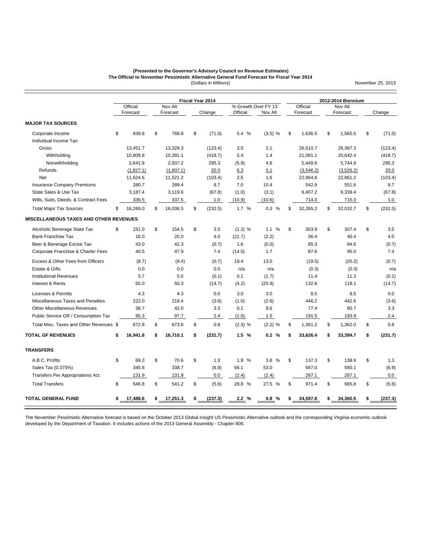#### (Dollars in Millions) **(Presented to the Governor's Advisory Council on Revenue Estimates) The Official to November Pessimistic Alternative General Fund Forecast for Fiscal Year 2014**

November 25, 2013

|                                               |                |    | Fiscal Year 2014 |               |           |                     | 2012-2014 Biennium |           |    |           |    |         |
|-----------------------------------------------|----------------|----|------------------|---------------|-----------|---------------------|--------------------|-----------|----|-----------|----|---------|
|                                               | Official       |    | Nov Alt          |               |           | % Growth Over FY 13 |                    | Official  |    | Nov Alt   |    |         |
|                                               | Forecast       |    | Forecast         | Change        | Official  | Nov Alt             |                    | Forecast  |    | Forecast  |    | Change  |
| <b>MAJOR TAX SOURCES</b>                      |                |    |                  |               |           |                     |                    |           |    |           |    |         |
| Corporate Income                              | \$<br>839.8    | \$ | 768.8            | \$<br>(71.0)  | 5.4 %     | $(3.5)$ %           | \$                 | 1.636.5   | \$ | 1.565.5   | \$ | (71.0)  |
| Individual Income Tax:                        |                |    |                  |               |           |                     |                    |           |    |           |    |         |
| Gross                                         | 13,451.7       |    | 13,328.3         | (123.4)       | 3.0       | 2.1                 |                    | 26.510.7  |    | 26,387.3  |    | (123.4) |
| Withholding                                   | 10,809.8       |    | 10,391.1         | (418.7)       | 5.4       | 1.4                 |                    | 21,061.1  |    | 20,642.4  |    | (418.7) |
| Nonwithholding                                | 2,641.9        |    | 2,937.2          | 295.3         | (5.9)     | 4.6                 |                    | 5,449.6   |    | 5,744.9   |    | 295.3   |
| Refunds                                       | (1,827.1)      |    | (1,807.1)        | 20.0          | 6.3       | 5.1                 |                    | (3,546.2) |    | (3,526.2) |    | 20.0    |
| <b>Net</b>                                    | 11,624.6       |    | 11,521.2         | (103.4)       | 2.5       | 1.6                 |                    | 22,964.6  |    | 22.861.2  |    | (103.4) |
| <b>Insurance Company Premiums</b>             | 280.7          |    | 289.4            | 8.7           | 7.0       | 10.4                |                    | 542.9     |    | 551.6     |    | 8.7     |
| State Sales & Use Tax                         | 3,187.4        |    | 3,119.6          | (67.8)        | (1.0)     | (3.1)               |                    | 6,407.2   |    | 6,339.4   |    | (67.8)  |
| Wills, Suits, Deeds, & Contract Fees          | 336.5          |    | 337.5            | 1.0           | (10.9)    | (10.6)              |                    | 714.0     |    | 715.0     |    | 1.0     |
| <b>Total Major Tax Sources</b>                | \$<br>16,269.0 | \$ | 16,036.5         | \$<br>(232.5) | 1.7%      | 0.3 %               | \$                 | 32,265.2  | \$ | 32,032.7  | \$ | (232.5) |
| <b>MISCELLANEOUS TAXES AND OTHER REVENUES</b> |                |    |                  |               |           |                     |                    |           |    |           |    |         |
| Alcoholic Beverage State Tax                  | \$<br>151.0    | \$ | 154.5            | \$<br>3.5     | (1.2) %   | 1.1%                | \$                 | 303.9     | \$ | 307.4     | \$ | 3.5     |
| <b>Bank Franchise Tax</b>                     | 16.0           |    | 20.0             | 4.0           | (21.7)    | (2.2)               |                    | 36.4      |    | 40.4      |    | 4.0     |
| Beer & Beverage Excise Tax                    | 43.0           |    | 42.3             | (0.7)         | 1.6       | (0.0)               |                    | 85.3      |    | 84.6      |    | (0.7)   |
| Corporate Franchise & Charter Fees            | 40.5           |    | 47.9             | 7.4           | (14.0)    | 1.7                 |                    | 87.6      |    | 95.0      |    | 7.4     |
| Excess & Other Fees from Officers             | (8.7)          |    | (9.4)            | (0.7)         | 19.4      | 13.0                |                    | (19.5)    |    | (20.2)    |    | (0.7)   |
| Estate & Gifts                                | 0.0            |    | 0.0              | 0.0           | n/a       | n/a                 |                    | (0.3)     |    | (0.3)     |    | n/a     |
| <b>Institutional Revenues</b>                 | 5.7            |    | 5.6              | (0.1)         | 0.1       | (1.7)               |                    | 11.4      |    | 11.3      |    | (0.1)   |
| Interest & Rents                              | 65.0           |    | 50.3             | (14.7)        | (4.2)     | (25.9)              |                    | 132.8     |    | 118.1     |    | (14.7)  |
| Licenses & Permits                            | 4.3            |    | 4.3              | 0.0           | 3.0       | 3.0                 |                    | 8.5       |    | 8.5       |    | 0.0     |
| Miscellaneous Taxes and Penalties             | 222.0          |    | 218.4            | (3.6)         | (1.0)     | (2.6)               |                    | 446.2     |    | 442.6     |    | (3.6)   |
| <b>Other Miscellaneous Revenues</b>           | 38.7           |    | 42.0             | 3.3           | 0.1       | 8.6                 |                    | 77.4      |    | 80.7      |    | 3.3     |
| Public Service GR / Consumption Tax           | 95.3           |    | 97.7             | 2.4           | (1.0)     | 1.5                 |                    | 191.5     |    | 193.9     |    | 2.4     |
| Total Misc. Taxes and Other Revenues \$       | 672.8          | \$ | 673.6            | \$<br>0.8     | $(2.3)$ % | $(2.2)$ %           | \$                 | 1,361.2   | \$ | 1,362.0   | \$ | 0.8     |
| <b>TOTAL GF REVENUES</b>                      | \$<br>16,941.8 | s  | 16,710.1         | \$<br>(231.7) | 1.5<br>%  | 0.2 %               | S                  | 33,626.4  | S  | 33,394.7  | S  | (231.7) |
| <b>TRANSFERS</b>                              |                |    |                  |               |           |                     |                    |           |    |           |    |         |
| A.B.C. Profits                                | \$<br>69.3     | \$ | 70.6             | \$<br>1.3     | 1.9<br>%  | 3.8<br>%            | \$                 | 137.3     | \$ | 138.6     | \$ | 1.3     |
| Sales Tax (0.375%)                            | 345.6          |    | 338.7            | (6.9)         | 56.1      | 53.0                |                    | 567.0     |    | 560.1     |    | (6.9)   |
| Transfers Per Appropriations Act              | 131.9          |    | 131.9            | 0.0           | (2.4)     | (2.4)               |                    | 267.1     |    | 267.1     |    | 0.0     |
| <b>Total Transfers</b>                        | \$<br>546.8    | \$ | 541.2            | \$<br>(5.6)   | 28.8 %    | 27.5 %              | \$                 | 971.4     | \$ | 965.8     | \$ | (5.6)   |
| <b>TOTAL GENERAL FUND</b>                     | \$<br>17.488.6 | \$ | 17,251.3         | \$<br>(237.3) | 2.2%      | 0.8%                | S                  | 34,597.8  | \$ | 34,360.5  |    | (237.3) |
|                                               |                |    |                  |               |           |                     |                    |           |    |           |    |         |

The November Pessimistic Alternative forecast is based on the October 2013 Global Insight US Pessimistic Alternative outlook and the corresponding Virginia economic outlook developed by the Department of Taxation. It includes actions of the 2013 General Assembly - Chapter 806.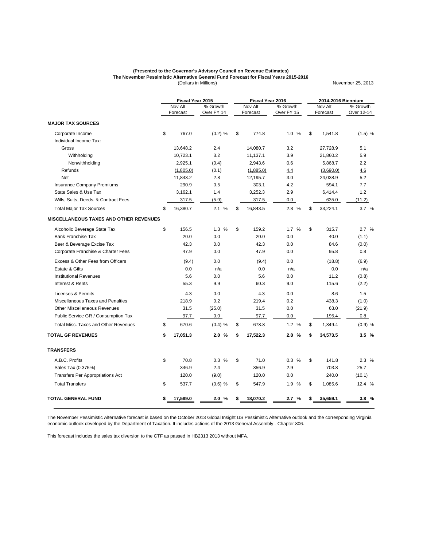#### (Dollars in Millions) **The November Pessimistic Alternative General Fund Forecast for Fiscal Years 2015-2016 (Presented to the Governor's Advisory Council on Revenue Estimates)**

November 25, 2013

**MAJOR TAX SOURCES** Corporate Income \$ 767.0 (0.2) % \$ 774.8 1.0 % \$ 1,541.8 (1.5) % Individual Income Tax: Gross 13,648.2 2.4 14,080.7 3.2 27,728.9 5.1 Withholding 10,723.1 3.2 11,137.1 3.9 21,860.2 5.9 Nonwithholding 2,925.1 (0.4) 2,943.6 0.6 5,868.7 2.2 Refunds <u>(1,805.0)</u> (0.1) <u>(1,885.0)</u> <u>4.4</u> <u>(3,690.0)</u> 4.6 Net 11,843.2 2.8 12,195.7 3.0 24,038.9 5.2 Insurance Company Premiums 290.9 0.5 303.1 4.2 594.1 7.7 State Sales & Use Tax  $3,162.1$   $1.4$   $3,252.3$   $2.9$   $6,414.4$   $1.2$ Wills, Suits, Deeds, & Contract Fees 317.5 (5.9) 317.5 (5.9) 317.5 (5.9) 317.5 (5.9) 635.0 (11.2) Total Major Tax Sources \$ 16,380.7 2.1 % \$ 16,843.5 2.8 % \$ 33,224.1 3.7 % **MISCELLANEOUS TAXES AND OTHER REVENUES** Alcoholic Beverage State Tax  $$ 156.5$   $1.3 % $ 159.2$   $1.7 % $ 315.7$   $2.7 %$ Bank Franchise Tax 20.0 0.0 20.0 0.0 40.0 (1.1) Beer & Beverage Excise Tax **60.0** 42.3 0.0 42.3 0.0 42.3 0.0 84.6 (0.0) Corporate Franchise & Charter Fees 47.9 0.0 47.9 0.0 95.8 0.8 Excess & Other Fees from Officers (9.4) 0.0 (9.4) 0.0 (18.8) (6.9) Estate & Gifts 0.0 n/a 0.0 n/a 0.0 n/a Institutional Revenues 5.6 0.0 5.6 0.0 11.2 (0.8) Interest & Rents 55.3 9.9 60.3 9.0 115.6 (2.2) Licenses & Permits **A.5 4.3 4.3 4.3 4.3 6.0 4.6 4.5 8.6 1.5 4.5 4.9 4.9 1.5** Miscellaneous Taxes and Penalties 218.9 0.2 219.4 0.2 438.3 (1.0) Other Miscellaneous Revenues 31.5 (25.0) 31.5 0.0 63.0 (21.9) Public Service GR / Consumption Tax 97.7 0.0 97.7 0.0 195.4 0.8 Total Misc. Taxes and Other Revenues \$ 670.6 (0.4) % \$ 678.8 1.2 % \$ 1,349.4 (0.9) % **TOTAL GF REVENUES \$ 17,051.3 2.0 % \$ 17,522.3 2.8 % \$ 34,573.5 3.5 % TRANSFERS** A.B.C. Profits \$ 70.8 0.3 % \$ 71.0 0.3 % \$ 141.8 2.3 % Sales Tax (0.375%) 346.9 2.4 356.9 2.9 703.8 25.7 Transfers Per Appropriations Act 120.0 (9.0) 120.0 0.0 240.0 (10.1) Total Transfers \$ 537.7 (0.6) % \$ 547.9 1.9 % \$ 1,085.6 12.4 % **TOTAL GENERAL FUND \$ 17,589.0 2.0 % \$ 18,070.2 2.7 % \$ 35,659.1 3.8 %** Forecast Over FY 14 Forecast Over FY 15 Forecast Nov Alt % Growth<br>Forecast Over FY 14 Over FY 14 Nov Alt % Growth<br>Forecast Over FY 15 **Fiscal Year 2015 Fiscal Year 2016 2014-2016 Biennium** Nov Alt % Growth<br>Forecast Over 12-14 Over 12-14

The November Pessimistic Alternative forecast is based on the October 2013 Global Insight US Pessimistic Alternative outlook and the corresponding Virginia economic outlook developed by the Department of Taxation. It includes actions of the 2013 General Assembly - Chapter 806.

This forecast includes the sales tax diversion to the CTF as passed in HB2313 2013 without MFA.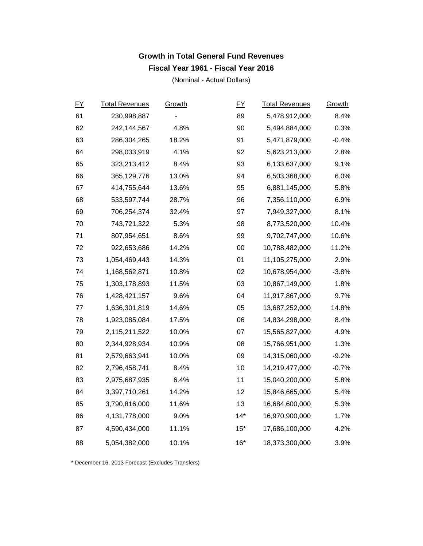#### **Growth in Total General Fund Revenues Fiscal Year 1961 - Fiscal Year 2016**

(Nominal - Actual Dollars)

| EY | <b>Total Revenues</b> | Growth | EY     | <b>Total Revenues</b> | Growth  |
|----|-----------------------|--------|--------|-----------------------|---------|
| 61 | 230,998,887           |        | 89     | 5,478,912,000         | 8.4%    |
| 62 | 242,144,567           | 4.8%   | 90     | 5,494,884,000         | 0.3%    |
| 63 | 286,304,265           | 18.2%  | 91     | 5,471,879,000         | $-0.4%$ |
| 64 | 298,033,919           | 4.1%   | 92     | 5,623,213,000         | 2.8%    |
| 65 | 323,213,412           | 8.4%   | 93     | 6,133,637,000         | 9.1%    |
| 66 | 365,129,776           | 13.0%  | 94     | 6,503,368,000         | 6.0%    |
| 67 | 414,755,644           | 13.6%  | 95     | 6,881,145,000         | 5.8%    |
| 68 | 533,597,744           | 28.7%  | 96     | 7,356,110,000         | 6.9%    |
| 69 | 706,254,374           | 32.4%  | 97     | 7,949,327,000         | 8.1%    |
| 70 | 743,721,322           | 5.3%   | 98     | 8,773,520,000         | 10.4%   |
| 71 | 807,954,651           | 8.6%   | 99     | 9,702,747,000         | 10.6%   |
| 72 | 922,653,686           | 14.2%  | $00\,$ | 10,788,482,000        | 11.2%   |
| 73 | 1,054,469,443         | 14.3%  | 01     | 11,105,275,000        | 2.9%    |
| 74 | 1,168,562,871         | 10.8%  | 02     | 10,678,954,000        | $-3.8%$ |
| 75 | 1,303,178,893         | 11.5%  | 03     | 10,867,149,000        | 1.8%    |
| 76 | 1,428,421,157         | 9.6%   | 04     | 11,917,867,000        | 9.7%    |
| 77 | 1,636,301,819         | 14.6%  | 05     | 13,687,252,000        | 14.8%   |
| 78 | 1,923,085,084         | 17.5%  | 06     | 14,834,298,000        | 8.4%    |
| 79 | 2,115,211,522         | 10.0%  | 07     | 15,565,827,000        | 4.9%    |
| 80 | 2,344,928,934         | 10.9%  | 08     | 15,766,951,000        | 1.3%    |
| 81 | 2,579,663,941         | 10.0%  | 09     | 14,315,060,000        | $-9.2%$ |
| 82 | 2,796,458,741         | 8.4%   | 10     | 14,219,477,000        | $-0.7%$ |
| 83 | 2,975,687,935         | 6.4%   | 11     | 15,040,200,000        | 5.8%    |
| 84 | 3,397,710,261         | 14.2%  | 12     | 15,846,665,000        | 5.4%    |
| 85 | 3,790,816,000         | 11.6%  | 13     | 16,684,600,000        | 5.3%    |
| 86 | 4,131,778,000         | 9.0%   | $14*$  | 16,970,900,000        | 1.7%    |
| 87 | 4,590,434,000         | 11.1%  | $15*$  | 17,686,100,000        | 4.2%    |
| 88 | 5,054,382,000         | 10.1%  | $16*$  | 18,373,300,000        | 3.9%    |

\* December 16, 2013 Forecast (Excludes Transfers)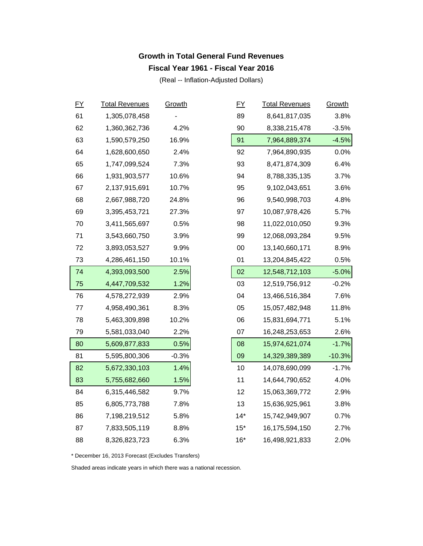#### **Growth in Total General Fund Revenues Fiscal Year 1961 - Fiscal Year 2016**

(Real -- Inflation-Adjusted Dollars)

| EY | <b>Total Revenues</b> | Growth  | EY     |       | <b>Total Revenues</b> | Growth   |
|----|-----------------------|---------|--------|-------|-----------------------|----------|
| 61 | 1,305,078,458         |         | 89     |       | 8,641,817,035         | 3.8%     |
| 62 | 1,360,362,736         | 4.2%    | 90     |       | 8,338,215,478         | $-3.5%$  |
| 63 | 1,590,579,250         | 16.9%   | 91     |       | 7,964,889,374         | $-4.5%$  |
| 64 | 1,628,600,650         | 2.4%    | 92     |       | 7,964,890,935         | 0.0%     |
| 65 | 1,747,099,524         | 7.3%    |        | 93    | 8,471,874,309         | 6.4%     |
| 66 | 1,931,903,577         | 10.6%   | 94     |       | 8,788,335,135         | 3.7%     |
| 67 | 2,137,915,691         | 10.7%   | 95     |       | 9,102,043,651         | 3.6%     |
| 68 | 2,667,988,720         | 24.8%   |        | 96    | 9,540,998,703         | 4.8%     |
| 69 | 3,395,453,721         | 27.3%   | 97     |       | 10,087,978,426        | 5.7%     |
| 70 | 3,411,565,697         | 0.5%    | 98     |       | 11,022,010,050        | 9.3%     |
| 71 | 3,543,660,750         | 3.9%    |        | 99    | 12,068,093,284        | 9.5%     |
| 72 | 3,893,053,527         | 9.9%    | $00\,$ |       | 13,140,660,171        | 8.9%     |
| 73 | 4,286,461,150         | 10.1%   | 01     |       | 13,204,845,422        | 0.5%     |
| 74 | 4,393,093,500         | 2.5%    | 02     |       | 12,548,712,103        | $-5.0%$  |
| 75 | 4,447,709,532         | 1.2%    | 03     |       | 12,519,756,912        | $-0.2%$  |
| 76 | 4,578,272,939         | 2.9%    | 04     |       | 13,466,516,384        | 7.6%     |
| 77 | 4,958,490,361         | 8.3%    | 05     |       | 15,057,482,948        | 11.8%    |
| 78 | 5,463,309,898         | 10.2%   | 06     |       | 15,831,694,771        | 5.1%     |
| 79 | 5,581,033,040         | 2.2%    | 07     |       | 16,248,253,653        | 2.6%     |
| 80 | 5,609,877,833         | 0.5%    | 08     |       | 15,974,621,074        | $-1.7%$  |
| 81 | 5,595,800,306         | $-0.3%$ | 09     |       | 14,329,389,389        | $-10.3%$ |
| 82 | 5,672,330,103         | 1.4%    |        | 10    | 14,078,690,099        | $-1.7%$  |
| 83 | 5,755,682,660         | 1.5%    | 11     |       | 14,644,790,652        | 4.0%     |
| 84 | 6,315,446,582         | 9.7%    |        | 12    | 15,063,369,772        | 2.9%     |
| 85 | 6,805,773,788         | 7.8%    |        | 13    | 15,636,925,961        | 3.8%     |
| 86 | 7,198,219,512         | 5.8%    |        | $14*$ | 15,742,949,907        | 0.7%     |
| 87 | 7,833,505,119         | 8.8%    |        | $15*$ | 16,175,594,150        | 2.7%     |
| 88 | 8,326,823,723         | 6.3%    |        | $16*$ | 16,498,921,833        | 2.0%     |

\* December 16, 2013 Forecast (Excludes Transfers)

Shaded areas indicate years in which there was a national recession.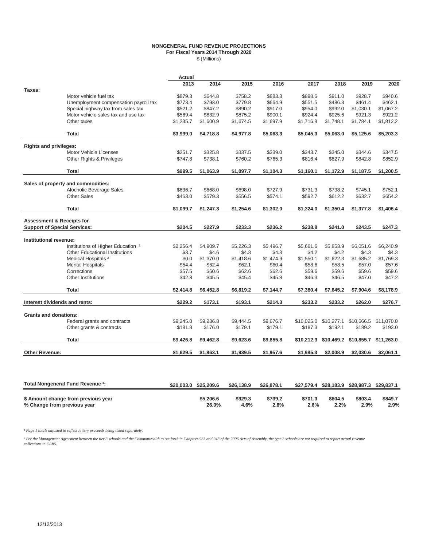#### **NONGENERAL FUND REVENUE PROJECTIONS For Fiscal Years 2014 Through 2020** \$ (Millions)

|                                      |                                               | Actual    |           |           |           |            |            |                                             |            |
|--------------------------------------|-----------------------------------------------|-----------|-----------|-----------|-----------|------------|------------|---------------------------------------------|------------|
|                                      |                                               | 2013      | 2014      | 2015      | 2016      | 2017       | 2018       | 2019                                        | 2020       |
| Taxes:                               |                                               |           |           |           |           |            |            |                                             |            |
|                                      | Motor vehicle fuel tax                        | \$879.3   | \$644.8   | \$758.2   | \$883.3   | \$898.6    | \$911.0    | \$928.7                                     | \$940.6    |
|                                      | Unemployment compensation payroll tax         | \$773.4   | \$793.0   | \$779.8   | \$664.9   | \$551.5    | \$486.3    | \$461.4                                     | \$462.1    |
|                                      | Special highway tax from sales tax            | \$521.2   | \$847.2   | \$890.2   | \$917.0   | \$954.0    | \$992.0    | \$1,030.1                                   | \$1,067.2  |
|                                      | Motor vehicle sales tax and use tax           | \$589.4   | \$832.9   | \$875.2   | \$900.1   | \$924.4    | \$925.6    | \$921.3                                     | \$921.2    |
|                                      | Other taxes                                   | \$1,235.7 | \$1,600.9 | \$1,674.5 | \$1,697.9 | \$1,716.8  | \$1,748.1  | \$1,784.1                                   | \$1,812.2  |
|                                      | Total                                         | \$3,999.0 | \$4,718.8 | \$4,977.8 | \$5,063.3 | \$5,045.3  | \$5,063.0  | \$5,125.6                                   | \$5,203.3  |
| <b>Rights and privileges:</b>        |                                               |           |           |           |           |            |            |                                             |            |
|                                      | Motor Vehicle Licenses                        | \$251.7   | \$325.8   | \$337.5   | \$339.0   | \$343.7    | \$345.0    | \$344.6                                     | \$347.5    |
|                                      | Other Rights & Privileges                     | \$747.8   | \$738.1   | \$760.2   | \$765.3   | \$816.4    | \$827.9    | \$842.8                                     | \$852.9    |
|                                      | <b>Total</b>                                  | \$999.5   | \$1,063.9 | \$1,097.7 | \$1,104.3 | \$1,160.1  | \$1,172.9  | \$1,187.5                                   | \$1,200.5  |
|                                      | Sales of property and commodities:            |           |           |           |           |            |            |                                             |            |
|                                      | Alocholic Beverage Sales                      | \$636.7   | \$668.0   | \$698.0   | \$727.9   | \$731.3    | \$738.2    | \$745.1                                     | \$752.1    |
|                                      | <b>Other Sales</b>                            | \$463.0   | \$579.3   | \$556.5   | \$574.1   | \$592.7    | \$612.2    | \$632.7                                     | \$654.2    |
|                                      | <b>Total</b>                                  | \$1.099.7 | \$1,247.3 | \$1,254.6 | \$1,302.0 | \$1,324.0  | \$1,350.4  | \$1,377.8                                   | \$1,406.4  |
| <b>Assessment &amp; Receipts for</b> |                                               |           |           |           |           |            |            |                                             |            |
| <b>Support of Special Services:</b>  |                                               | \$204.5   | \$227.9   | \$233.3   | \$236.2   | \$238.8    | \$241.0    | \$243.5                                     | \$247.3    |
| Institutional revenue:               |                                               |           |           |           |           |            |            |                                             |            |
|                                      | Institutions of Higher Education <sup>2</sup> | \$2.256.4 | \$4,909.7 | \$5,226.3 | \$5,496.7 | \$5,661.6  | \$5,853.9  | \$6,051.6                                   | \$6,240.9  |
|                                      | <b>Other Educational Institutions</b>         | \$3.7     | \$4.6     | \$4.3     | \$4.3     | \$4.2      | \$4.2      | \$4.3                                       | \$4.3      |
|                                      | Medical Hospitals <sup>2</sup>                | \$0.0     | \$1,370.0 | \$1,418.6 | \$1,474.9 | \$1,550.1  | \$1,622.3  | \$1,685.2                                   | \$1,769.3  |
|                                      | <b>Mental Hospitals</b>                       | \$54.4    | \$62.4    | \$62.1    | \$60.4    | \$58.6     | \$58.5     | \$57.0                                      | \$57.6     |
|                                      | Corrections                                   | \$57.5    | \$60.6    | \$62.6    | \$62.6    | \$59.6     | \$59.6     | \$59.6                                      | \$59.6     |
|                                      | Other Institutions                            | \$42.8    | \$45.5    | \$45.4    | \$45.8    | \$46.3     | \$46.5     | \$47.0                                      | \$47.2     |
|                                      | Total                                         | \$2,414.8 | \$6,452.8 | \$6,819.2 | \$7,144.7 | \$7,380.4  | \$7,645.2  | \$7,904.6                                   | \$8,178.9  |
| Interest dividends and rents:        |                                               | \$229.2   | \$173.1   | \$193.1   | \$214.3   | \$233.2    | \$233.2    | \$262.0                                     | \$276.7    |
| <b>Grants and donations:</b>         |                                               |           |           |           |           |            |            |                                             |            |
|                                      | Federal grants and contracts                  | \$9.245.0 | \$9,286.8 | \$9,444.5 | \$9,676.7 | \$10,025.0 | \$10,277.1 | \$10,666.5                                  | \$11,070.0 |
|                                      | Other grants & contracts                      | \$181.8   | \$176.0   | \$179.1   | \$179.1   | \$187.3    | \$192.1    | \$189.2                                     | \$193.0    |
|                                      | <b>Total</b>                                  | \$9,426.8 | \$9,462.8 | \$9,623.6 | \$9,855.8 |            |            | \$10,212.3 \$10,469.2 \$10,855.7 \$11,263.0 |            |
| <b>Other Revenue:</b>                |                                               | \$1,629.5 | \$1,863.1 | \$1,939.5 | \$1,957.6 | \$1,985.3  | \$2,008.9  | \$2,030.6                                   | \$2,061.1  |
|                                      |                                               |           |           |           |           |            |            |                                             |            |

| Total Nongeneral Fund Revenue 1:    | \$20,003.0 | \$25,209.6 | \$26,138.9 | \$26,878.1 | \$27.579.4 |         | \$28,183.9 \$28,987.3 | \$29.837.1 |
|-------------------------------------|------------|------------|------------|------------|------------|---------|-----------------------|------------|
| \$ Amount change from previous year |            | \$5.206.6  | \$929.3    | \$739.2    | \$701.3    | \$604.5 | \$803.4               | \$849.7    |
| % Change from previous year         |            | 26.0%      | 4.6%       | 2.8%       | 2.6%       | 2.2%    | 2.9%                  | 2.9%       |

*¹ Page 1 totals adjusted to reflect lottery proceeds being listed separately.*

<sup>2</sup> Per the Management Agreement between the tier 3 schools and the Commonwealth as set forth in Chapters 933 and 943 of the 2006 Acts of Assembly, the type 3 schools are not required to report actual revenue<br>collections i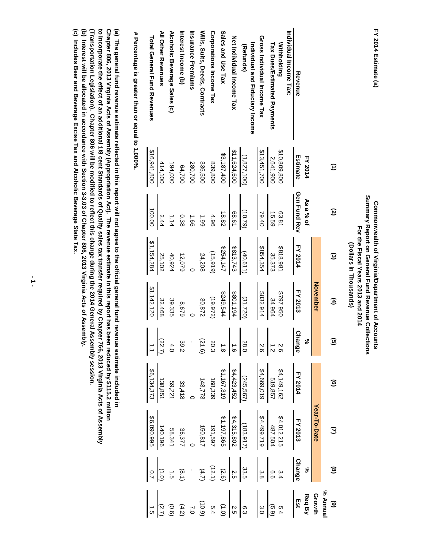|                                              |                |                  | For the Fiscal Years 2013 and 2014<br>(Dollars in Thousands) |                 |                                                                     |                                                                                                                                                                   |                                                                                                                                                                                                 |                                                                                                                                   |                                                                                  |
|----------------------------------------------|----------------|------------------|--------------------------------------------------------------|-----------------|---------------------------------------------------------------------|-------------------------------------------------------------------------------------------------------------------------------------------------------------------|-------------------------------------------------------------------------------------------------------------------------------------------------------------------------------------------------|-----------------------------------------------------------------------------------------------------------------------------------|----------------------------------------------------------------------------------|
|                                              | Ξ              | $\mathbf{S}$     | $\widehat{\omega}$                                           | E               | $\mathbf{\widehat{g}}$                                              | ම                                                                                                                                                                 | $\mathcal{Q}$                                                                                                                                                                                   | ම                                                                                                                                 | $\widehat{\mathbf{e}}$                                                           |
|                                              |                |                  |                                                              | <b>November</b> |                                                                     |                                                                                                                                                                   | Year-To-Date                                                                                                                                                                                    |                                                                                                                                   |                                                                                  |
|                                              | <b>FY 2014</b> | As a % of        |                                                              |                 | ಸ್ಥೆ                                                                |                                                                                                                                                                   |                                                                                                                                                                                                 | ೢೕ                                                                                                                                | % Annual<br>Growth<br>Req By<br>Est                                              |
| Revenue                                      | Estimate       | Gen Fund Rev     | FY 2014                                                      | FY 2013         | $\Omega$<br>hange                                                   | <b>FY 2014</b>                                                                                                                                                    | <b>FY 2013</b>                                                                                                                                                                                  | <b>Change</b>                                                                                                                     |                                                                                  |
| Individual Income Tax:                       |                |                  |                                                              |                 |                                                                     |                                                                                                                                                                   |                                                                                                                                                                                                 |                                                                                                                                   |                                                                                  |
| <b>Withholding</b>                           | \$10,809,800   | 63.81            | \$818,981                                                    | \$797,950       |                                                                     |                                                                                                                                                                   |                                                                                                                                                                                                 |                                                                                                                                   | 5.4                                                                              |
| Tax Dues/Estimated Payments                  | 2,641,900      | 15.59            | 35,373                                                       | 34,964          | $rac{2.6}{24}$                                                      |                                                                                                                                                                   |                                                                                                                                                                                                 |                                                                                                                                   |                                                                                  |
| Gross Individual Income Tax                  | \$13,451,700   | 79.40            | \$854,354                                                    | \$832,914       | 2.6                                                                 | $$4,149,162$<br>$$19,857$<br>$$4,669,019$                                                                                                                         | $$4,012,215$<br>$$4,499,719$<br>$$4,499,719$                                                                                                                                                    | $\begin{bmatrix} 0 & 0 \\ 0 & 0 \\ 0 & 0 \end{bmatrix}$                                                                           | $\frac{(5.9)}{3.0}$                                                              |
| Individual and Fiduciary Income<br>(Refunds) | (1, 827, 100)  | (10.79)          | (40.611)                                                     | (31, 720)       |                                                                     |                                                                                                                                                                   |                                                                                                                                                                                                 |                                                                                                                                   |                                                                                  |
| Net Individual Income Tax                    | \$11,624,600   | 68.61            | \$813,743                                                    | \$801,194       | 28.0                                                                |                                                                                                                                                                   |                                                                                                                                                                                                 |                                                                                                                                   |                                                                                  |
| Sales and Use Tax                            | \$3,187,400    | 18.82            | \$254,147                                                    | \$249,544       |                                                                     | $\frac{(2452452}{11423452}$ $\frac{44423452}{11457,319}$ $\frac{44423452}{1143772}$<br>$\frac{168339}{143772}$<br>$\frac{53448}{138851}$ $\frac{59,221}{138,851}$ | $\begin{array}{r l} \hline 1833 \\ \hline 121315,802 \\ \hline 1491,508 \\ \hline 1491,508 \\ \hline 1491,508 \\ \hline 1497,808 \\ \hline 15081,740 \\ \hline 15081,740 \\ \hline \end{array}$ | $\begin{array}{c cc}\n & 33 & 2 & 2 & 3 & 3 \\  & 2 & 3 & 4 & 4 & 5 \\  & 3 & 3 & 5 & 6 & 6 \\  & 3 & 4 & 5 & 6 & 6\n\end{array}$ | $\begin{array}{c c}\n6.3 \\ 6.4 \\ 6.4 \\ 7.4 \\ 8.5 \\ 6.4 \\ 7.2\n\end{array}$ |
| Corporations Income Tax                      | 839,800        | 4.96             | (15, 919)                                                    | (19, 972)       |                                                                     |                                                                                                                                                                   |                                                                                                                                                                                                 |                                                                                                                                   |                                                                                  |
| Wills, Suits, Deeds, Contracts               | 336,500        | 66 <sup>-1</sup> | 24,208                                                       | 30,872          | $\begin{pmatrix} 2 & 2 & 2 \\ 2 & 0 & 0 \\ 0 & 0 & 0 \end{pmatrix}$ |                                                                                                                                                                   |                                                                                                                                                                                                 |                                                                                                                                   |                                                                                  |
| Insurance Premiums                           | 280,700        | $-58$            |                                                              |                 |                                                                     |                                                                                                                                                                   |                                                                                                                                                                                                 |                                                                                                                                   |                                                                                  |
| Interest Income (b)                          | 64,700         | 0.38             | 12,079                                                       | 8,679           | 39.2                                                                |                                                                                                                                                                   |                                                                                                                                                                                                 |                                                                                                                                   |                                                                                  |
| Alcoholic Beverage Sales (c)                 | 194,000        | 1.14             | 40,924                                                       | 39,335          | 4.0                                                                 |                                                                                                                                                                   |                                                                                                                                                                                                 |                                                                                                                                   | (0.6)                                                                            |
| All Other Revenues                           | 414,100        | 2.44             | 25,102                                                       | 32,468          | $\frac{(22.7)}{1.1}$                                                |                                                                                                                                                                   | 140,196                                                                                                                                                                                         |                                                                                                                                   | (2.7)                                                                            |
| <b>Total General Fund Revenues</b>           | \$16,941,800   | 100.00           | \$1,154,284                                                  | \$1,142,120     |                                                                     | \$6,134,37                                                                                                                                                        | \$6,090,999                                                                                                                                                                                     | $\frac{10}{10}$                                                                                                                   |                                                                                  |
|                                              |                |                  |                                                              |                 |                                                                     |                                                                                                                                                                   |                                                                                                                                                                                                 |                                                                                                                                   |                                                                                  |

**FY 2014 Estimate (a)**

FY 2014 Estimate (a)

**Commonwealth of Virginia/Department of Accounts Summary Report on General Fund Revenue Collections For the Fiscal Years 2013 and 2014**

Summary Report on General Fund Revenue Collections Commonwealth of Virginia/Department of Accounts

 **# Percentage is greater than or equal to 1,000%.**  $#$  Percentage is greater than or equal to 1,000%.

(b) Interest will be allocated in accordance with Section 3-3.03 of Chapter 806, 2013 Virginia Acts of Assembly.<br>(c) Includes Beer and Beverage Excise Tax and Alcoholic Beverage State Tax. (Transportation Legislation). Chapter 806 will be modified to reflect this change during the 2014 General Assembly session. to incorporate the effect of an additional 1/8 cent Standards of Quality sales tax transfer required by Chapter 766, 2013 Virginia Acts of Assembly (a) The general fund revenue estimate reflected in this report will not agree to the official general fund revenue estimate included in<br>Chapter 806, 2013 Virginia Acts of Assembly (Appropriation Act). The revenue estimate **(c) Includes Beer and Beverage Excise Tax and Alcoholic Beverage State Tax. (b) Interest will be allocated in accordance with Section 3-3.03 of Chapter 806, 2013 Virginia Acts of Assembly. (Transportation Legislation). Chapter 806 will be modified to reflect this change during the 2014 General Assembly session. to incorporate the effect of an additional 1/8 cent Standards of Quality sales tax transfer required by Chapter 766, 2013 Virginia Acts of Assembly Chapter 806, 2013 Virginia Acts of Assembly (Appropriation Act). The revenue estimate in this report has been reduced by \$115.2 million (a) The general fund revenue estimate reflected in this report will not agree to the official general fund revenue estimate included in**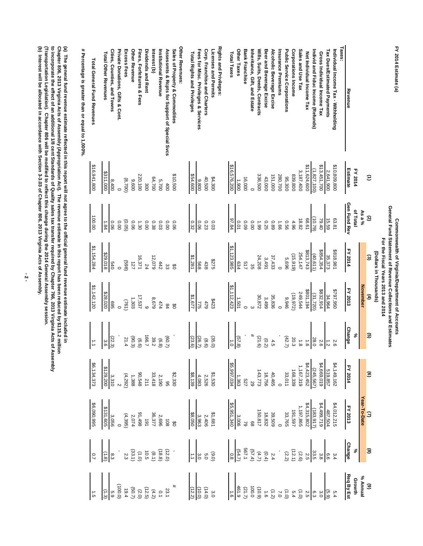| FY 2014 Estimate (a)                            |                 |              |                        | Commonwealth of Virginia/Department of Accounts                                                   |               |                                                                                                                                                                                                                                                                                                                                                                                                      |                                                                                                                                                                                                                                                                               |                |  |
|-------------------------------------------------|-----------------|--------------|------------------------|---------------------------------------------------------------------------------------------------|---------------|------------------------------------------------------------------------------------------------------------------------------------------------------------------------------------------------------------------------------------------------------------------------------------------------------------------------------------------------------------------------------------------------------|-------------------------------------------------------------------------------------------------------------------------------------------------------------------------------------------------------------------------------------------------------------------------------|----------------|--|
|                                                 |                 |              |                        | General Fund Statement of Revenue Collections and Estimates<br>For the Fiscal Years 2013 and 2014 |               |                                                                                                                                                                                                                                                                                                                                                                                                      |                                                                                                                                                                                                                                                                               |                |  |
|                                                 |                 |              | (Dollars in Thousands) |                                                                                                   |               |                                                                                                                                                                                                                                                                                                                                                                                                      |                                                                                                                                                                                                                                                                               |                |  |
|                                                 | Э               | $\mathbf{c}$ | $\mathbf{c}$           | $\mathbf{f}$                                                                                      | ⊕             |                                                                                                                                                                                                                                                                                                                                                                                                      |                                                                                                                                                                                                                                                                               |                |  |
|                                                 |                 | As a %       |                        | <b>November</b>                                                                                   |               |                                                                                                                                                                                                                                                                                                                                                                                                      |                                                                                                                                                                                                                                                                               |                |  |
|                                                 | FY 2014         | of Total     |                        |                                                                                                   | ೢೕ            |                                                                                                                                                                                                                                                                                                                                                                                                      |                                                                                                                                                                                                                                                                               |                |  |
| Taxes:<br>Revenue                               | <b>Estimate</b> | Gen Fund Rev | FY 2014                | FY 2013                                                                                           | <b>Change</b> |                                                                                                                                                                                                                                                                                                                                                                                                      |                                                                                                                                                                                                                                                                               |                |  |
| Individual Income Tax - Withholding             | \$10,809,800    | 63.81        | \$818,981              | 096'161\$                                                                                         | 2.6           |                                                                                                                                                                                                                                                                                                                                                                                                      |                                                                                                                                                                                                                                                                               |                |  |
| <b>Tax Dues/Estimated Payments</b>              | 2,641,900       | 15.59        | 35,373                 | 34,964                                                                                            | $\vec{z}$     |                                                                                                                                                                                                                                                                                                                                                                                                      |                                                                                                                                                                                                                                                                               |                |  |
| Gross Individual Income Tax                     | \$13,451,700    | 79.40        | \$854,354              | \$832,914                                                                                         | 2.6           |                                                                                                                                                                                                                                                                                                                                                                                                      |                                                                                                                                                                                                                                                                               |                |  |
| ndivid and Fiduc Income (Refunds)               | (1, 827, 100)   | (97.0)       | (40,611)               | (31, 720)                                                                                         | 28.0          |                                                                                                                                                                                                                                                                                                                                                                                                      |                                                                                                                                                                                                                                                                               |                |  |
| Net Individual Income Tax                       | 11,624,600      | 68.61        | \$813,743              | \$801,194                                                                                         | $\ddot{6}$    |                                                                                                                                                                                                                                                                                                                                                                                                      |                                                                                                                                                                                                                                                                               |                |  |
| Sales and Use Tax                               | 3,187,400       | 18.82        | 254,147                | 249,544                                                                                           | $\frac{1}{8}$ |                                                                                                                                                                                                                                                                                                                                                                                                      |                                                                                                                                                                                                                                                                               |                |  |
| Corporations Income                             | 839,800         | 4.96         | (15,919)               | (19, 972)                                                                                         | 20.3          |                                                                                                                                                                                                                                                                                                                                                                                                      |                                                                                                                                                                                                                                                                               |                |  |
| Public Service Corporations                     | 95,300          | 950          | 5,696                  | 9,946                                                                                             | (42.7)        |                                                                                                                                                                                                                                                                                                                                                                                                      |                                                                                                                                                                                                                                                                               |                |  |
| nsurance Premiums                               | 280,700         | $99^{\circ}$ |                        |                                                                                                   |               |                                                                                                                                                                                                                                                                                                                                                                                                      |                                                                                                                                                                                                                                                                               |                |  |
| Alcoholic Beverage Excise                       | 151,000         | 680          | 37,433                 | 35,836                                                                                            | 4.5           |                                                                                                                                                                                                                                                                                                                                                                                                      |                                                                                                                                                                                                                                                                               |                |  |
| Beer and Beverage Excise                        | 43,000          | 0.25         | 3,491                  | 3,499                                                                                             | (0.2)         |                                                                                                                                                                                                                                                                                                                                                                                                      |                                                                                                                                                                                                                                                                               |                |  |
| Wills, Suits, Deeds, Contracts                  | 336,500         | 66°1         | 24,208                 | 30,872                                                                                            | (21.6)        |                                                                                                                                                                                                                                                                                                                                                                                                      |                                                                                                                                                                                                                                                                               |                |  |
| nheritance, Gift, and Estate                    |                 | 0.00         | ပ္တ                    |                                                                                                   |               |                                                                                                                                                                                                                                                                                                                                                                                                      |                                                                                                                                                                                                                                                                               |                |  |
| Other Taxes<br><b>Bank Franchise</b>            | 16,000<br>1,900 | 0.01<br>60'0 | 517<br>634             | 1,501                                                                                             | (57.8)        |                                                                                                                                                                                                                                                                                                                                                                                                      |                                                                                                                                                                                                                                                                               |                |  |
| Total Taxes                                     | \$16,576,200    | 97.84        | \$1,123,985            | \$1,112,423                                                                                       | $\vec{c}$     |                                                                                                                                                                                                                                                                                                                                                                                                      |                                                                                                                                                                                                                                                                               |                |  |
| Rights and Privileges:                          |                 |              |                        |                                                                                                   |               |                                                                                                                                                                                                                                                                                                                                                                                                      |                                                                                                                                                                                                                                                                               |                |  |
| Licenses and Permits                            | \$4,300         | 0.03         | <b>SZZ\$</b>           | \$423                                                                                             | (35.0)        |                                                                                                                                                                                                                                                                                                                                                                                                      |                                                                                                                                                                                                                                                                               |                |  |
| Corp. Franchise and Charters                    | 40,500          | 0.23         | 438                    | 479                                                                                               | (6.6)         |                                                                                                                                                                                                                                                                                                                                                                                                      |                                                                                                                                                                                                                                                                               |                |  |
| Fees for Misc. Privileges & Services            | 9,800           | 0.06         | 568                    | 775                                                                                               | (26.7)        |                                                                                                                                                                                                                                                                                                                                                                                                      |                                                                                                                                                                                                                                                                               |                |  |
| Total Rights and Privileges                     | \$54,600        | 0.32         | \$1,281                | 51,677                                                                                            | (23.6)        |                                                                                                                                                                                                                                                                                                                                                                                                      |                                                                                                                                                                                                                                                                               |                |  |
| Other Revenues:                                 |                 |              |                        |                                                                                                   |               | $\begin{array}{r rrrrrrrrrrrrrrrrrrrrrrrrrrrrrr} \hline\text{FY} & \text{FY} & \text{FY} & \text{FY} & \text{FY} & \text{FY} & \text{FY} & \text{FY} & \text{FY} & \text{FY} & \text{FY} & \text{FY} & \text{FY} & \text{FY} & \text{FY} & \text{FY} & \text{FY} & \text{FY} & \text{FY} & \text{FY} & \text{FY} & \text{FY} & \text{FY} & \text{FY} & \text{FY} & \text{FY} & \text{FY} & \text{FY$ | <b>Year-To-Date</b><br>FY 2013<br>19-1957/5012<br>19-1957/502<br>19-1957/502<br>19-1957/502<br>19-1957/502<br>19-1957/502<br>19-1952<br>19-1952<br>19-1952<br>19-1952<br>19-1952<br>19-1952<br>19-1952<br>19-1952<br>19-1952<br>19-1952<br>19-1952<br>19-1952<br>19-1952<br>1 |                |  |
| Sales of Property & Commodities                 | \$10,500        | 90.0         | ರೆ                     | ೮                                                                                                 |               |                                                                                                                                                                                                                                                                                                                                                                                                      |                                                                                                                                                                                                                                                                               |                |  |
| Assessmts & Rcpts for Support of Special Svcs   | 400             | 0.00         | జ                      | $\frac{8}{4}$                                                                                     | (60.7)        |                                                                                                                                                                                                                                                                                                                                                                                                      |                                                                                                                                                                                                                                                                               |                |  |
| Institutional Revenue                           | 5,700           | 0.03         | 442                    | 474                                                                                               | (6.8)         |                                                                                                                                                                                                                                                                                                                                                                                                      |                                                                                                                                                                                                                                                                               |                |  |
| Interest (b)                                    | 64,700          | 0.38         | 12,079                 | 8,679                                                                                             | 39.2          |                                                                                                                                                                                                                                                                                                                                                                                                      |                                                                                                                                                                                                                                                                               |                |  |
| Dividends and Rent                              | $\frac{8}{200}$ | 0.00         | 24                     |                                                                                                   | 166.7         |                                                                                                                                                                                                                                                                                                                                                                                                      |                                                                                                                                                                                                                                                                               |                |  |
| Fines, Forfeitures & Fees                       | 220,100         | 1.30         | 16,371                 | 17,537                                                                                            | (6.6)         |                                                                                                                                                                                                                                                                                                                                                                                                      |                                                                                                                                                                                                                                                                               |                |  |
| Other Revenue                                   | 9,600           | 90.0         | 127                    | 1,303                                                                                             | (90.3)        |                                                                                                                                                                                                                                                                                                                                                                                                      |                                                                                                                                                                                                                                                                               |                |  |
| Excess Fees                                     | (8,700)         | (90.05)      | (869)                  | (192)                                                                                             | 21.4          |                                                                                                                                                                                                                                                                                                                                                                                                      |                                                                                                                                                                                                                                                                               |                |  |
| Private Donations, Gifts & Cont.                |                 | 0.00         |                        |                                                                                                   |               |                                                                                                                                                                                                                                                                                                                                                                                                      |                                                                                                                                                                                                                                                                               |                |  |
| Cities, Counties, and Towns                     | 8,400           | 0.06         | 0+9                    | 995                                                                                               | (22.3)        |                                                                                                                                                                                                                                                                                                                                                                                                      |                                                                                                                                                                                                                                                                               |                |  |
| Total Other Revenues                            | 000'148\$       | 1.84         | \$29,018               | \$28,020                                                                                          | 3.6           |                                                                                                                                                                                                                                                                                                                                                                                                      |                                                                                                                                                                                                                                                                               |                |  |
| Total General Fund Revenues                     | \$16,941,800    | 100.00       | \$1,154,284            | \$1,142,120                                                                                       |               | \$6,134,37                                                                                                                                                                                                                                                                                                                                                                                           |                                                                                                                                                                                                                                                                               | $\overline{c}$ |  |
| # Percentage is greater than or equal to 1,000% |                 |              |                        |                                                                                                   |               |                                                                                                                                                                                                                                                                                                                                                                                                      |                                                                                                                                                                                                                                                                               |                |  |
|                                                 |                 |              |                        |                                                                                                   |               |                                                                                                                                                                                                                                                                                                                                                                                                      |                                                                                                                                                                                                                                                                               |                |  |

(a) The general fund revenue estimate reflected in this report will not agree to the official general fund revenue estimate included in<br>Chapter 806, 2013 Virginia Acts of Assembly (Appropriation Act). The revenue estimate **(Transportation Legislation). Chapter 806 will be modified to reflect this change during the 2014 General Assembly session.** to incorporate the effect of an additional 1/8 cent Standards of Quality sales tax transfer required by Chapter 766, 2013 Virginia Acts of Assembly **Chapter 806, 2013 Virginia Acts of Assembly (Appropriation Act). The revenue estimate in this report has been reduced by \$115.2 million (a) The general fund revenue estimate reflected in this report will not agree to the official general fund revenue estimate included in**

**(b) Interest will be allocated in accordance with Section 3-3.03 of Chapter 806, 2013 Virginia Acts of Assembly.**

**- 2 -**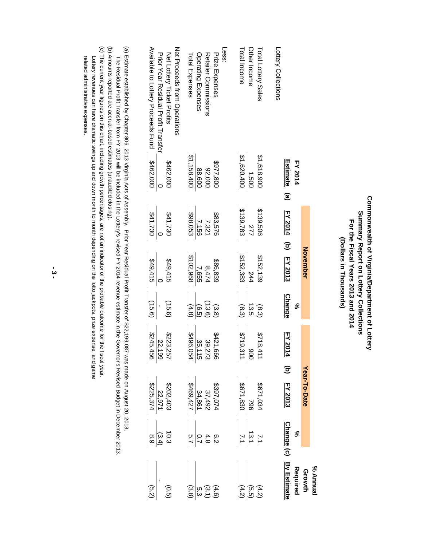## Commonwealth of Virginia/Department of Lottery **Commonwealth of Virginia/Department of Lottery** Summary Report on Lottery Collections **Summary Report on Lottery Collections** For the Fiscal Years 2013 and 2014  **For the Fiscal Years 2013 and 2014** (Dollars in Thousands) **(Dollars in Thousands)**

|                                     |                                   |              |                             |                     |                                            |                                                                                                           |                                     | % Annual         |
|-------------------------------------|-----------------------------------|--------------|-----------------------------|---------------------|--------------------------------------------|-----------------------------------------------------------------------------------------------------------|-------------------------------------|------------------|
|                                     |                                   |              | November                    |                     |                                            | Year-To-Date                                                                                              |                                     | Growth           |
|                                     | <b>Estimate</b><br><b>FY 2014</b> | $\mathbf{e}$ | $EY \t2014$ (b) $EY \t2013$ | <b>Change</b><br>ಸಿ | <b>FY 2014</b>                             | (b) FY 2013                                                                                               | <u>Change</u> (c) By Estimate<br>ಸಿ | Required         |
| Lottery Collections                 |                                   |              |                             |                     |                                            |                                                                                                           |                                     |                  |
| Total Lottery Sales                 | \$1,618,900                       | \$139,506    | \$152,139                   | (8.3)               |                                            | 420'129\$                                                                                                 | $\mathbb{R}^1$                      | (4.2)            |
| Other Income                        | 1,500                             | <b>ZTT</b>   | 244                         | 13.5                |                                            | 962                                                                                                       | 13.1                                | (5.5)            |
| Total Income                        | \$1,620,400                       | \$139,783    | \$152,383                   | (8.3                | $$718,411$<br>$\frac{900}{1000}$           | 028'1'830                                                                                                 |                                     | (4.2)            |
| Less:                               |                                   |              |                             |                     |                                            |                                                                                                           |                                     |                  |
| Prize Expenses                      | 008'116\$                         | \$83,576     | \$86,839                    | (3.8)               |                                            |                                                                                                           |                                     | (4.6)            |
| <b>Retailer Commissions</b>         | 92,000                            | 7,321        | 8,474                       | (13.6)              |                                            |                                                                                                           | פ 4 ס <br>א ס 4 ס ט<br>א א ∞ א      | (3.1)            |
| Operating Expenses                  | 88,600                            | 7,156        | 7,655                       | (6.5)               |                                            |                                                                                                           |                                     | ις<br>ვ          |
| Total Expenses                      | \$1,158,400                       | \$98,053     | \$102,968                   | (4.8)               | $2421,666$ $39,273$ $39,25,115$ $3496,054$ | $\begin{array}{r} 5397,074 \\ 37,492 \\ \underline{34,861} \\ \underline{34,861} \\ 4469,427 \end{array}$ |                                     | (3.8)            |
| Net Proceds trom Operations         |                                   |              |                             |                     |                                            |                                                                                                           |                                     |                  |
| Net Lottery Ticket Profits          | \$462,000                         | 021,730      | \$49,415                    | (15.6)              | $$2223,257$<br>$$22,199$<br>$$245,456$     | $\frac{22,971}{22,971}$<br>22,971                                                                         | 10.3                                | $\overline{5}$   |
| Prior Year Residral Profit Hransfer |                                   |              |                             |                     |                                            |                                                                                                           | $\frac{(3.4)}{8.9}$                 |                  |
| Available to Lottery Proceeds Fund  | \$462,000                         | \$41,730     | \$49,415                    | (15.6)              |                                            |                                                                                                           |                                     | $\widetilde{52}$ |
|                                     |                                   |              |                             |                     |                                            |                                                                                                           |                                     |                  |

(a) Estimate established by Chapter 806, 2013 Virginia Acts of Assembly. Prior Year Residual Profit Transfer of \$22,199,087 was made on August 20, 2013. The Residual Profit Transfer from FY 2013 will be included in the Lottery's revised FY 2014 revenue estimate in the Governor's Revised Budget in December 2013. (a) Estimate established by Chapter 806, 2013 Virginia Acts of Assembly. Prior Year Residual Profit Transfer of \$22,199,087 was made on August 20, 2013. The Residual Profit Transfer from FY 2013 will be included in the Lottery's revised FY 2014 revenue estimate in the Governor's Revised Budget in December 2013.

(b) Amounts reported are accrual-based estimates (unaudited closing). (b) Amounts reported are accrual-based estimates (unaudited closing).

(c) The current year figures on this chart, including growth percentages, are not an indicator of the probable outcome for the fiscal year. related administrative expenses. Lottery revenues can have dramatic swings up and down month depending on the lotto jackpots, prize is and game when we have a lottery revenues and down month during on the lottery and all the weak and the maniform control (c) The current year figures on this chart, including growth percentages, are not an indicator of the probable outcome for the fiscal year. Lottery revenues can have dramatic swings up and down month to month depending on the lotto jackpots, prize expense, and game related administrative expenses.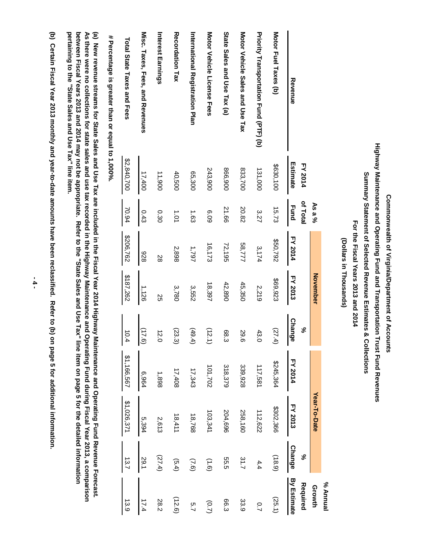Commonwealth of Virginia/Department of Accounts  **Commonwealth of Virginia/Department of Accounts**

Highway Maintenance and Operating Fund and Transportation Trust Fund Revenues **Highway Maintenance and Operating Fund and Transportation Trust Fund Revenues** Summary Statement of Selected Revenue Estimates & Collections **Summary Statement of Selected Revenue Estimates & Collections**

 **For the Fiscal Years 2013 and 2014** For the Fiscal Years 2013 and 2014

(Dollars in Thousands) **(Dollars in Thousands)**

|                                                 |                |             |                |                 |                                   |                |                |               | Isunna %           |
|-------------------------------------------------|----------------|-------------|----------------|-----------------|-----------------------------------|----------------|----------------|---------------|--------------------|
|                                                 |                | As a $\%$   |                | <b>November</b> |                                   |                | Year-To-Date   |               | Growth             |
|                                                 | <b>FY 2014</b> | of Total    |                |                 | వ్                                |                |                | ಸಿ            | Required           |
| Revenue                                         | Estimate       | <b>Eund</b> | <b>FY 2014</b> | <b>FY 2013</b>  | <b>Change</b>                     | <b>FY 2014</b> | <b>FY 2013</b> | <b>Change</b> | <b>By Estimate</b> |
| Motor Fuel Taxes (b)                            | \$630,100      | 15.73       | \$50,792       | \$69,923        | (27.4)                            | \$245,364      | \$302,366      | (18.9)        | (25.1)             |
| Priority Transportation Fund (PTF) (b)          | 131,000        | 3.27        | 3,174          | 2,219           | 43<br>$\circ$                     | 117,581        | 112,622        | 4.4           | 0.7                |
| Motor Vehicle Sales and Use Tax                 | 833,700        | 20.82       | 58,777         | 45,350          | 29.<br>თ                          | 339,928        | 258,160        | 31.7          | 33.9               |
| State Sales and Use Tax (a)                     | 866,900        | 21.66       | 72,195         | 42,890          | 88.<br>ω                          | 318,379        | 204,696        | 55.5          | 66.3               |
| Motor Vehicle License Hees                      | 243,900        | 60.9        | 16,173         | 18,397          | (12.<br>こ                         | 101,702        | 103,341        | (9.1)         | (0.7)              |
| International Registration Plan                 | 65,300         | 1.63        | 19797          | 3,552           | (49)<br>$\overline{4}$            | 17,343         | 18,768         | (7.6)         | 5.7                |
| Recordation Tax                                 | 40,500         | 101         | 2,898          | 3,780           | (23.<br>$\widetilde{\varepsilon}$ | 17,408         | 18,411         | (5.4)         | (12.6)             |
| Interest Earnings                               | 11,900         | 0.30        | 28             | 25              | t2.<br>$\circ$                    | 1,898          | 2,613          | (27.4)        | 28.2               |
| Misc. Taxes, Hees, and Revenues                 | 17,400         | 0.43        | 826            | 1,126           | $\frac{(17.6)}{1}$                | 6,964          | 5,394          | 29.1          | 17.4               |
| Total State Taxes and Fees                      | \$2,840,700    | 70.94       | \$206,762      | \$187,262       | $\overrightarrow{0}$<br>  4       | \$1,166,567    | \$1,026,371    | 13.7          | 13.9               |
| # Percentage is greater than or equal to 1,000% |                |             |                |                 |                                   |                |                |               |                    |

 **# Percentage is greater than or equal to 1,000%.**  $\epsilon$ 

pertaining to the "State Sales and Use Tax" line item. between Fiscal Years 2013 and 2014 may not be appropriate. Refer to the "State Sales and Use Tax" line item on page 5 for the detailed information As there were no collections for state sales and use tax recorded in the Highway Maintenance and Operating Fund during Fiscal Year 2013, a comparison (a) New revenue streams for State Sales and Use Tax are included in the Fiscal Year 2014 Highway Maintenance and Operating Fund Revenue Forecast. **pertaining to the "State Sales and Use Tax" line item. between Fiscal Years 2013 and 2014 may not be appropriate. Refer to the "State Sales and Use Tax" line item on page 5 for the detailed information As there were no collections for state sales and use tax recorded in the Highway Maintenance and Operating Fund during Fiscal Year 2013, a comparison (a) New revenue streams for State Sales and Use Tax are included in the Fiscal Year 2014 Highway Maintenance and Operating Fund Revenue Forecast.**

(b) Certain Fiscal Year 2013 monthly and year-to-date amounts have been reclassified. Refer to (b) on page 5 for additional information. **(b) Certain Fiscal Year 2013 monthly and year-to-date amounts have been reclassified. Refer to (b) on page 5 for additional information.**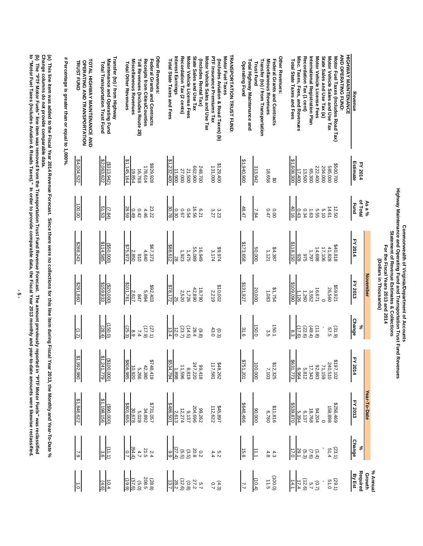|                                                                    |                              |                                               | Highway Maintenance and Operating Fund and Transportation Trust Fund Revenues<br>Commonwealth of Virginia/Department of Accounts<br>Statement of Revenue Estimates & Collections | For the Fiscal Years 2013 and 2014<br>(Dollars in Thousands) |                                          |                                                                                                                                                                                                                                                                                                                                                                                                                |                                                                                                                                                                                                                                                                                           |                                                                                                                                                                                                                     |
|--------------------------------------------------------------------|------------------------------|-----------------------------------------------|----------------------------------------------------------------------------------------------------------------------------------------------------------------------------------|--------------------------------------------------------------|------------------------------------------|----------------------------------------------------------------------------------------------------------------------------------------------------------------------------------------------------------------------------------------------------------------------------------------------------------------------------------------------------------------------------------------------------------------|-------------------------------------------------------------------------------------------------------------------------------------------------------------------------------------------------------------------------------------------------------------------------------------------|---------------------------------------------------------------------------------------------------------------------------------------------------------------------------------------------------------------------|
|                                                                    |                              | As a %                                        |                                                                                                                                                                                  | <b>November</b>                                              |                                          |                                                                                                                                                                                                                                                                                                                                                                                                                | Year-To-Date                                                                                                                                                                                                                                                                              |                                                                                                                                                                                                                     |
| Revenue                                                            | Estimate<br>FY 2014          | of Total<br><b>E</b> und                      | FY 2014                                                                                                                                                                          | FY 2013                                                      | <b>Change</b><br>S,                      | <b>FY 2014</b>                                                                                                                                                                                                                                                                                                                                                                                                 | FY 2013                                                                                                                                                                                                                                                                                   | o <sub>v</sub><br>Change                                                                                                                                                                                            |
| <b>AND OPERATING FUND:</b><br><b>HIGHWAY MAINTENANCE</b>           |                              |                                               |                                                                                                                                                                                  |                                                              |                                          |                                                                                                                                                                                                                                                                                                                                                                                                                |                                                                                                                                                                                                                                                                                           |                                                                                                                                                                                                                     |
| Motor Fuel Taxes (Includes Road Tax)                               | \$500,700                    |                                               | \$40,818                                                                                                                                                                         | \$59,92                                                      |                                          |                                                                                                                                                                                                                                                                                                                                                                                                                |                                                                                                                                                                                                                                                                                           |                                                                                                                                                                                                                     |
| Motor Vehicle Sales and Use Tax                                    | 585,000                      | 12.50<br>14.61                                |                                                                                                                                                                                  | 26,560                                                       | (31.9)                                   |                                                                                                                                                                                                                                                                                                                                                                                                                | $\begin{array}{r} 6786.489 \\ 180.898 \\ 181.789 \\ 187.780 \\ 187.780 \\ 187.89 \\ 180.89 \\ 180.89 \\ 180.89 \\ 180.89 \\ 180.89 \\ 180.89 \\ 180.89 \\ 180.89 \\ 180.89 \\ 180.89 \\ 180.89 \\ 180.89 \\ 180.89 \\ 180.89 \\ 180.89 \\ 180.89 \\ 180.89 \\ 180.89 \\ 180.89 \\ 180.89$ |                                                                                                                                                                                                                     |
| State Sales and Use Tax (a)                                        | 204,000                      | 5.10                                          | 41,828<br>17,106                                                                                                                                                                 |                                                              |                                          |                                                                                                                                                                                                                                                                                                                                                                                                                |                                                                                                                                                                                                                                                                                           |                                                                                                                                                                                                                     |
| Motor Vehicle License Fees                                         | 222,400                      | 5.55                                          | 14,698                                                                                                                                                                           | 16,671                                                       | (11.8)                                   |                                                                                                                                                                                                                                                                                                                                                                                                                |                                                                                                                                                                                                                                                                                           |                                                                                                                                                                                                                     |
| International Registration Plan                                    | 65,300                       | 1.63                                          | 1,797                                                                                                                                                                            | 3,552                                                        | (49.4)                                   |                                                                                                                                                                                                                                                                                                                                                                                                                |                                                                                                                                                                                                                                                                                           |                                                                                                                                                                                                                     |
| Recordation Tax (1 cent)                                           | 13,500                       | $0.34$<br>$0.43$                              | 975                                                                                                                                                                              | 1,260                                                        | (22.6)                                   |                                                                                                                                                                                                                                                                                                                                                                                                                |                                                                                                                                                                                                                                                                                           |                                                                                                                                                                                                                     |
| Misc. Taxes, Fees, and Revenues                                    | 17,400                       |                                               | 826                                                                                                                                                                              | 1,126                                                        | (17.6)                                   |                                                                                                                                                                                                                                                                                                                                                                                                                |                                                                                                                                                                                                                                                                                           |                                                                                                                                                                                                                     |
| Total State Taxes and Fees                                         | \$1,608,300                  | 40.16                                         | \$118,150                                                                                                                                                                        | \$109,090                                                    | 8.3                                      |                                                                                                                                                                                                                                                                                                                                                                                                                |                                                                                                                                                                                                                                                                                           |                                                                                                                                                                                                                     |
| Other Revenues:<br>Federal Grants and Contracts                    | ෪                            | 0.00                                          | \$4,387                                                                                                                                                                          | \$1,754                                                      | 150.1                                    | $\begin{array}{r} 54197,102\\ 240,510\\ 242\\ 323\\ 3831,78\\ 5631\\ 773\\ 8831,784\\ 8831,784\\ 8831,784\\ 8831,774\\ 8751,201\\ 8751,201\\ 8751,201\\ 8751,201\\ 8751,201\\ 8751,201\\ 8751,201\\ 8751,201\\ 8751,201\\ 8751,201\\ 8751,201\\ 8751,201\\ 87$                                                                                                                                                 | $$11,816$<br>$$6,780$<br>$$6,780$<br>$$648,466$<br>$$648,466$                                                                                                                                                                                                                             | $\begin{array}{c}\n(38.2) & 2 \\ (32.2) & 4 \\ (32.2) & 4 \\ (32.2) & 1\n\end{array}$<br>$\begin{array}{c}\n(32.2) & 2 \\ 4 & 3 \\ 4 & 3\n\end{array}$<br>$\begin{array}{c}\n(32.2) & 2 \\ 4 & 3 \\ 1\n\end{array}$ |
| Miscellaneous Revenues                                             | 18,658                       | 0.47                                          | 1,121                                                                                                                                                                            | 1,083                                                        | ς<br>Θ                                   |                                                                                                                                                                                                                                                                                                                                                                                                                |                                                                                                                                                                                                                                                                                           |                                                                                                                                                                                                                     |
| Transfer (to) / from Transportation<br><b>Trust Fund</b>           | 313,942                      | 7.84                                          | 50,000                                                                                                                                                                           | 20,000                                                       | 150.0                                    |                                                                                                                                                                                                                                                                                                                                                                                                                |                                                                                                                                                                                                                                                                                           |                                                                                                                                                                                                                     |
| Total Highway Maintenance and<br><b>Operating Fund</b>             | \$1,940,900                  | 48.47                                         | \$173,658                                                                                                                                                                        | \$131,927                                                    | 31.6                                     |                                                                                                                                                                                                                                                                                                                                                                                                                |                                                                                                                                                                                                                                                                                           |                                                                                                                                                                                                                     |
| <b>TRANSPORTATION TRUST FUND:</b><br>Motor Fuel Taxes              |                              |                                               |                                                                                                                                                                                  |                                                              |                                          | $\begin{array}{@{}c@{\hspace{1em}}c@{\hspace{1em}}c@{\hspace{1em}}c@{\hspace{1em}}c@{\hspace{1em}}c@{\hspace{1em}}c@{\hspace{1em}}c@{\hspace{1em}}c@{\hspace{1em}}c@{\hspace{1em}}c@{\hspace{1em}}c@{\hspace{1em}}c@{\hspace{1em}}c@{\hspace{1em}}c@{\hspace{1em}}c@{\hspace{1em}}c@{\hspace{1em}}c@{\hspace{1em}}c@{\hspace{1em}}c@{\hspace{1em}}c@{\hspace{1em}}c@{\hspace{1em}}c@{\hspace{1em}}c@{\hspace{$ |                                                                                                                                                                                                                                                                                           | $0.4$ 0.00 $(0.0000)$<br>$0.4$ 0.00 $(0.0000)$<br>$0.4$ 0.00 $(0.000)$<br>$0.0000$                                                                                                                                  |
| PTF Insurance Premiums Tax<br>(Includes Aviation & Road Taxes) (b) | \$129,400<br>000'131         | 3.27<br>3.23                                  | \$9,974<br>3,174                                                                                                                                                                 | \$10,002<br>2,219                                            | 43.0<br>(0.3)                            |                                                                                                                                                                                                                                                                                                                                                                                                                |                                                                                                                                                                                                                                                                                           |                                                                                                                                                                                                                     |
| Motor Vehicle Sales and Use Tax                                    |                              |                                               |                                                                                                                                                                                  |                                                              |                                          |                                                                                                                                                                                                                                                                                                                                                                                                                |                                                                                                                                                                                                                                                                                           |                                                                                                                                                                                                                     |
| (Includes Rental Tax)                                              | 248,700<br>662,900<br>21,500 |                                               | 16,949                                                                                                                                                                           | $\frac{18,790}{42,890}$                                      | $(9.8)$<br>28.4                          |                                                                                                                                                                                                                                                                                                                                                                                                                |                                                                                                                                                                                                                                                                                           |                                                                                                                                                                                                                     |
| State Sales and Use Tax                                            |                              |                                               | 55,089                                                                                                                                                                           |                                                              |                                          |                                                                                                                                                                                                                                                                                                                                                                                                                |                                                                                                                                                                                                                                                                                           |                                                                                                                                                                                                                     |
| Recordation Tax (2 cents)<br>Motor Vehicle License Fees            | 27,000                       | 0<br>0 0 0 0<br>0 0 0 0<br>0 2 0 0<br>2 2 0 0 | $1,475$<br>1,923                                                                                                                                                                 | 1,726<br>2,520                                               | $\frac{(14.8)}{(23.6)}$<br>$\frac{1}{3}$ |                                                                                                                                                                                                                                                                                                                                                                                                                |                                                                                                                                                                                                                                                                                           |                                                                                                                                                                                                                     |
| Interest Earnings                                                  |                              |                                               |                                                                                                                                                                                  |                                                              |                                          |                                                                                                                                                                                                                                                                                                                                                                                                                |                                                                                                                                                                                                                                                                                           |                                                                                                                                                                                                                     |
| Total State Taxes and Fees                                         | $\frac{11,900}{11,232,400}$  | 82.08                                         | \$88,612                                                                                                                                                                         | \$78,172                                                     |                                          |                                                                                                                                                                                                                                                                                                                                                                                                                |                                                                                                                                                                                                                                                                                           |                                                                                                                                                                                                                     |

**% Annual Growth Required By Est**

(29.1) 51.0

-

(0.7) 5.7

 $\frac{12.6}{14.1}$ 

(100.0) 11.5

(10.4)

7.7

 $(4.3)$ 

5.7

27.2 (0.8)

 $\frac{28.2}{13.7}$ 

Total State Taxes and Fees

 **Federal Grants and Contracts**

 **Receipts from Cities/Counties** 

 **Toll Revenues (Includes Route 28)** 

Toll Revenues (Includes Route 28)

 **Miscellaneous Revenues**

Miscellaneous Revenues Receipts trom Cities/Contries Federal Grants and Contracts

 **Total Other Revenues**

**Total Other Revenues** 

 **Maintenance and Operating Fund Transfer (to) / from Highway** 

**Fransfer (to) / from Highway** 

 **Total Transportation Trust Fund** 

Maintenance and Operating Fund<br>Total Transportation Trust Fund

(\$313,942)<br>\$2,063,622

 $\frac{(7.84)}{51.53}$ 

 $($ \$50,000)<br>\$114,585

(\$20,000)<br>\$159,933

 $\frac{(150.0)}{(28.4)}$ 

(\$100,000)<br>\$1,241,779

(\$90,000)

\$1,198,156

 $\frac{(11.1)}{3.6}$ 

 $\frac{10.4}{(4.6)}$ 

\$929,928

178,614

16,768 19,854

\$1,145,164

23.22 4.46

0.42

0.49

28.59

2,850

\$75,973

\$101,761

\$67,373

4,840<br>910

5,894<br>847<br>2,617

\$92,403

(27.1)<br>(17.9)<br>7.4

8.9

(25.3)

\$806,985

\$801,655

\$748,419

42,380<br>5,266<br>10,920

\$731,057

34,892

5,028<br>30,678

 $4.7$ <br>(64.4)<br>0.7

(5.0) (57.6) (19.9)

2.4<br>21.5

(28.8) 208.5

 **Other Revenues:**

Other Revenues:

\$486,501

 **TRUST FUND**

**TRUST FUND** 

\$4,004,522

100.00

\$288,243

\$291,860

(1.2)

\$1,992,980

\$1,846,622

7.9

1.0

 **OPERATING AND TRANSPORTATION TOTAL HIGHWAY MAINTENANCE AND** 

**OPERATING AND TRANSPORTATION** 

**TOTAL HIGHWAY MAINTENANCE AND** 

 **# Percentage is greater than or equal to 1,000%.**  # Percentage is greater than or equal to 1,000%.

(a) This line item was added to the Fiscal Year 2014 Revenue Forecast. Since there were no collections for this line item during Fiscal Year 2013, the Monthly and Year-To-Date %<br>Change columns do not provide comparable dat **Change columns do not provide comparable data.** (a) This line item was added to the Fiscal Year 2014 Revenue Forecast. Since there were no collections force in this line item during Fiscal Year 2014 Revenue Forecast. Since the Webcar 2014 Revenue Forecast. Since the Web

(b) The "PTF Motor Fuels" line item was removed from the Transportation Trust Fund Revenue Forecast. The amount previously reported in "PTF Motor Fuels" was reclassified<br>to "Motor Fuel Taxes (Includes Aviation & Roads Taxe (b) The "PTF Motor Fuels" line item was removed from the Trust Fund Revenue Potecast. The amount previously reported in "PTF Motor Fuels" was reported in "PTF Motor Fuels" was removed from the Trust Purch and Aevenue Porte

**to "Motor Fuel Taxes (Includes Aviation & Roads Taxes)." In order to provide comparable data, the Fiscal Year 2013 monthly and year-to-date amounts were likewise reclassified.**

 $\frac{1}{2}$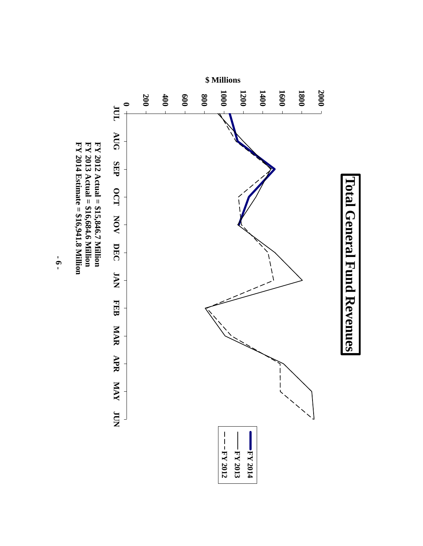

**- 6 -**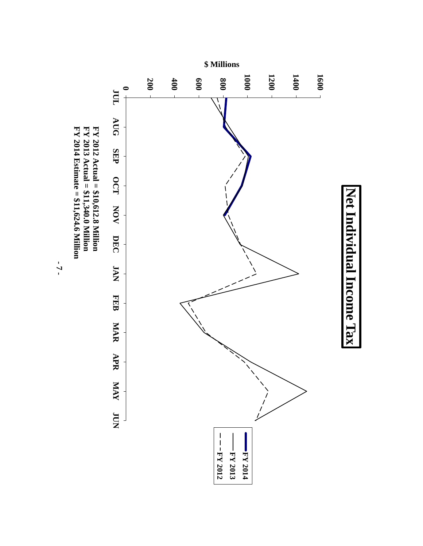

**- 7 -**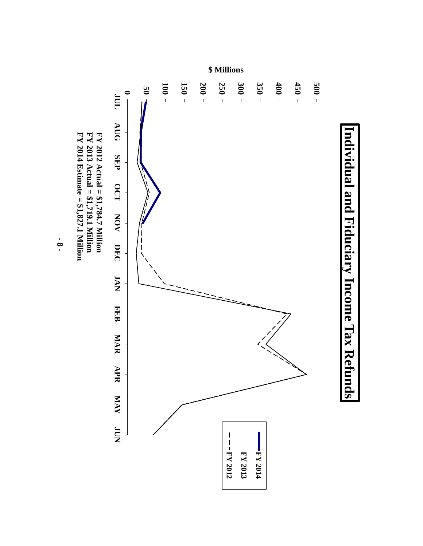

**- 8 -**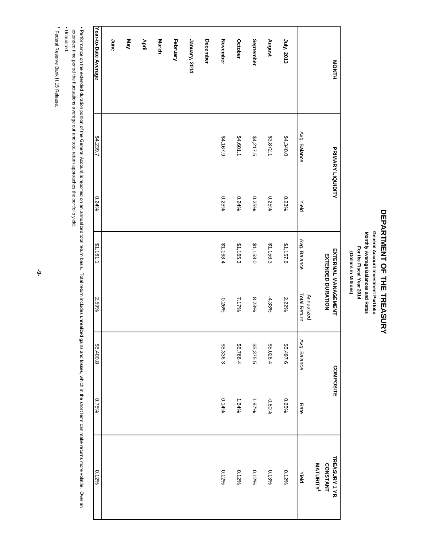# DEPARTMENT OF THE TREASURY **DEPARTMENT OF THE TREASURY**

General Account Investment Portfolio Monthly Average Balances and Rates **Monthly Average Balances and Rates General Account Investment Portfolio** For the Fiscal Year 2014 **For the Fiscal Year 2014** (Dollars in Millions) **(Dollars in Millions)**

| <b>HINOM</b>         | PRIMARY LIQUIDITY |       | <b>EXTENDED DURATION</b> | <b>EXTERNAL MANAGEMENT</b>        | COMPOSITE    |         | TREASURY 1 YR.<br><b>CONSTANT</b> |
|----------------------|-------------------|-------|--------------------------|-----------------------------------|--------------|---------|-----------------------------------|
|                      |                   |       |                          |                                   |              |         | MATURITY <sup>1</sup>             |
|                      | Avg. Balance      | Yield | Avg. Balance             | <b>Total Return</b><br>Annualized | Avg. Balance | Rate    | Yield                             |
| July, 2013           | \$4,340.0         | 0.23% | \$1,157.6                | 2.22%                             | \$5,497.6    | 96990   | $0.12\%$                          |
| August               | \$3,872.1         | 0.25% | \$1,156.3                | -4.33%                            | \$5,028.4    | -0.80%  | $0.13\%$                          |
| September            | \$4,217.5         | 0.25% | \$1,158.0                | 8.23%                             | \$5,375.5    | $97976$ | $0.12\%$                          |
| <b>October</b>       | \$4,601.1         | 0.24% | \$1,165.3                | 7.17%                             | \$5,766.4    | 1.64%   | $0.12\%$                          |
| November             | \$4,167.9         | 0.25% | \$1,168.4                | -0.26%                            | \$5,336.3    | 0.14%   | $0.12\%$                          |
| December             |                   |       |                          |                                   |              |         |                                   |
| January, 2014        |                   |       |                          |                                   |              |         |                                   |
| February             |                   |       |                          |                                   |              |         |                                   |
| <b>March</b>         |                   |       |                          |                                   |              |         |                                   |
| April                |                   |       |                          |                                   |              |         |                                   |
| KeM                  |                   |       |                          |                                   |              |         |                                   |
| June                 |                   |       |                          |                                   |              |         |                                   |
| Year-to-Date Average | \$4,239.7         | 0.24% | \$1,161.1                | 2.59%                             | \$5,400.8    | 9692.0  | $0.12\%$                          |

· Performance on the extended duration portion of the General Account is reported on an annualized total return includes unrealized gains and losses, which in the short term can make returns more volatile. Over an • Performance on the General Account is reported on an annualized total ristal manualized gains and losses, which the shop to a an annualized gains and losses, which in the shond that return in the shond on an annualized g

extended time period the fluctuations average out and total return approaches the portfolio yield. extended time period the fluctuations average out and total return approaches the portfolio yield.

- Unaudited. ▪ Unaudited.

1 Federal Reserve Bank H.15 Release. Federal Reserve Bank H.15 Release.